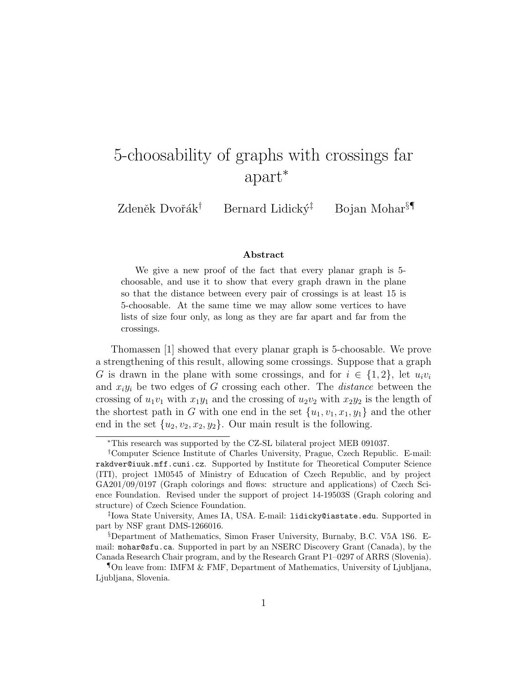# 5-choosability of graphs with crossings far apart<sup>∗</sup>

Zdeněk Dvořák<sup>†</sup> Bernard Lidický<sup>‡</sup> Bojan Mohar<sup>§¶</sup>

#### Abstract

We give a new proof of the fact that every planar graph is 5 choosable, and use it to show that every graph drawn in the plane so that the distance between every pair of crossings is at least 15 is 5-choosable. At the same time we may allow some vertices to have lists of size four only, as long as they are far apart and far from the crossings.

Thomassen [1] showed that every planar graph is 5-choosable. We prove a strengthening of this result, allowing some crossings. Suppose that a graph G is drawn in the plane with some crossings, and for  $i \in \{1,2\}$ , let  $u_i v_i$ and  $x_i y_i$  be two edges of G crossing each other. The *distance* between the crossing of  $u_1v_1$  with  $x_1y_1$  and the crossing of  $u_2v_2$  with  $x_2y_2$  is the length of the shortest path in G with one end in the set  $\{u_1, v_1, x_1, y_1\}$  and the other end in the set  $\{u_2, v_2, x_2, y_2\}$ . Our main result is the following.

<sup>∗</sup>This research was supported by the CZ-SL bilateral project MEB 091037.

<sup>†</sup>Computer Science Institute of Charles University, Prague, Czech Republic. E-mail: rakdver@iuuk.mff.cuni.cz. Supported by Institute for Theoretical Computer Science (ITI), project 1M0545 of Ministry of Education of Czech Republic, and by project GA201/09/0197 (Graph colorings and flows: structure and applications) of Czech Science Foundation. Revised under the support of project 14-19503S (Graph coloring and structure) of Czech Science Foundation.

<sup>‡</sup> Iowa State University, Ames IA, USA. E-mail: lidicky@iastate.edu. Supported in part by NSF grant DMS-1266016.

<sup>§</sup>Department of Mathematics, Simon Fraser University, Burnaby, B.C. V5A 1S6. Email: mohar@sfu.ca. Supported in part by an NSERC Discovery Grant (Canada), by the Canada Research Chair program, and by the Research Grant P1–0297 of ARRS (Slovenia).

<sup>¶</sup>On leave from: IMFM & FMF, Department of Mathematics, University of Ljubljana, Ljubljana, Slovenia.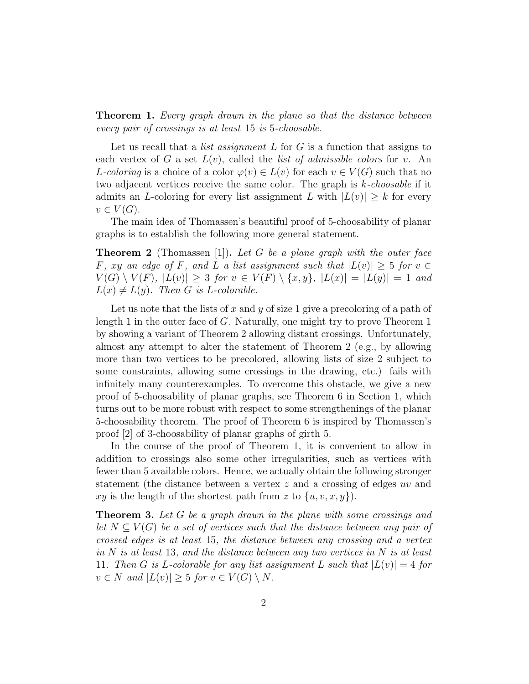**Theorem 1.** Every graph drawn in the plane so that the distance between every pair of crossings is at least 15 is 5-choosable.

Let us recall that a *list assignment L* for  $G$  is a function that assigns to each vertex of G a set  $L(v)$ , called the *list of admissible colors* for v. An L-coloring is a choice of a color  $\varphi(v) \in L(v)$  for each  $v \in V(G)$  such that no two adjacent vertices receive the same color. The graph is  $k$ -choosable if it admits an L-coloring for every list assignment L with  $|L(v)| \geq k$  for every  $v \in V(G)$ .

The main idea of Thomassen's beautiful proof of 5-choosability of planar graphs is to establish the following more general statement.

**Theorem 2** (Thomassen [1]). Let G be a plane graph with the outer face F, xy an edge of F, and L a list assignment such that  $|L(v)| \geq 5$  for  $v \in$  $V(G) \setminus V(F)$ ,  $|L(v)| \geq 3$  for  $v \in V(F) \setminus \{x, y\}$ ,  $|L(x)| = |L(y)| = 1$  and  $L(x) \neq L(y)$ . Then G is L-colorable.

Let us note that the lists of x and y of size 1 give a precoloring of a path of length 1 in the outer face of G. Naturally, one might try to prove Theorem 1 by showing a variant of Theorem 2 allowing distant crossings. Unfortunately, almost any attempt to alter the statement of Theorem 2 (e.g., by allowing more than two vertices to be precolored, allowing lists of size 2 subject to some constraints, allowing some crossings in the drawing, etc.) fails with infinitely many counterexamples. To overcome this obstacle, we give a new proof of 5-choosability of planar graphs, see Theorem 6 in Section 1, which turns out to be more robust with respect to some strengthenings of the planar 5-choosability theorem. The proof of Theorem 6 is inspired by Thomassen's proof [2] of 3-choosability of planar graphs of girth 5.

In the course of the proof of Theorem 1, it is convenient to allow in addition to crossings also some other irregularities, such as vertices with fewer than 5 available colors. Hence, we actually obtain the following stronger statement (the distance between a vertex z and a crossing of edges uv and xy is the length of the shortest path from z to  $\{u, v, x, y\}$ .

**Theorem 3.** Let G be a graph drawn in the plane with some crossings and let  $N \subset V(G)$  be a set of vertices such that the distance between any pair of crossed edges is at least 15, the distance between any crossing and a vertex in  $N$  is at least 13, and the distance between any two vertices in  $N$  is at least 11. Then G is L-colorable for any list assignment L such that  $|L(v)| = 4$  for  $v \in N$  and  $|L(v)| \geq 5$  for  $v \in V(G) \setminus N$ .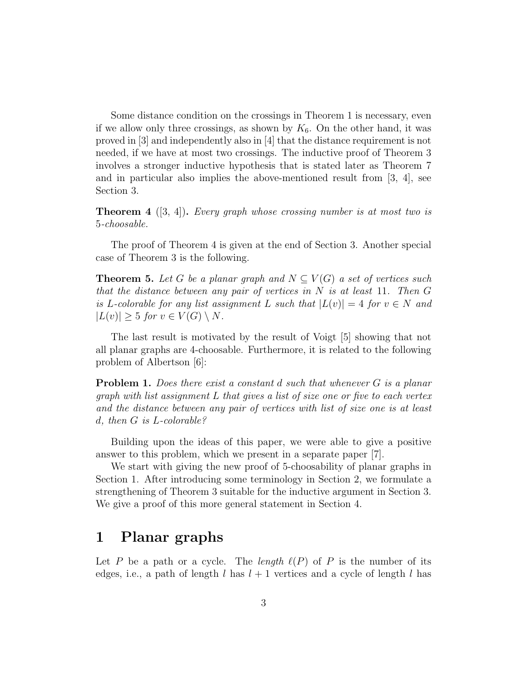Some distance condition on the crossings in Theorem 1 is necessary, even if we allow only three crossings, as shown by  $K_6$ . On the other hand, it was proved in [3] and independently also in [4] that the distance requirement is not needed, if we have at most two crossings. The inductive proof of Theorem 3 involves a stronger inductive hypothesis that is stated later as Theorem 7 and in particular also implies the above-mentioned result from [3, 4], see Section 3.

**Theorem 4** ([3, 4]). Every graph whose crossing number is at most two is 5-choosable.

The proof of Theorem 4 is given at the end of Section 3. Another special case of Theorem 3 is the following.

**Theorem 5.** Let G be a planar graph and  $N \subseteq V(G)$  a set of vertices such that the distance between any pair of vertices in  $N$  is at least 11. Then  $G$ is L-colorable for any list assignment L such that  $|L(v)| = 4$  for  $v \in N$  and  $|L(v)| \geq 5$  for  $v \in V(G) \setminus N$ .

The last result is motivated by the result of Voigt [5] showing that not all planar graphs are 4-choosable. Furthermore, it is related to the following problem of Albertson [6]:

**Problem 1.** Does there exist a constant d such that whenever G is a planar graph with list assignment L that gives a list of size one or five to each vertex and the distance between any pair of vertices with list of size one is at least d, then G is L-colorable?

Building upon the ideas of this paper, we were able to give a positive answer to this problem, which we present in a separate paper [7].

We start with giving the new proof of 5-choosability of planar graphs in Section 1. After introducing some terminology in Section 2, we formulate a strengthening of Theorem 3 suitable for the inductive argument in Section 3. We give a proof of this more general statement in Section 4.

### 1 Planar graphs

Let P be a path or a cycle. The length  $\ell(P)$  of P is the number of its edges, i.e., a path of length l has  $l + 1$  vertices and a cycle of length l has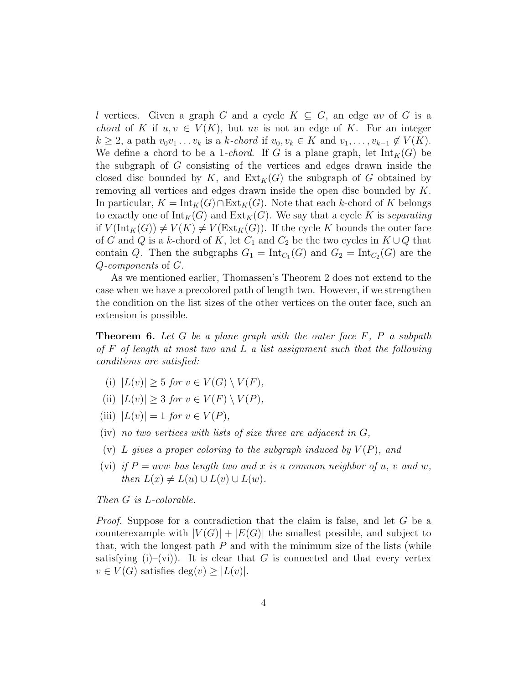l vertices. Given a graph G and a cycle  $K \subseteq G$ , an edge uv of G is a *chord* of K if  $u, v \in V(K)$ , but uv is not an edge of K. For an integer  $k \geq 2$ , a path  $v_0v_1 \ldots v_k$  is a k-chord if  $v_0, v_k \in K$  and  $v_1, \ldots, v_{k-1} \notin V(K)$ . We define a chord to be a 1-*chord*. If G is a plane graph, let  $Int_K(G)$  be the subgraph of G consisting of the vertices and edges drawn inside the closed disc bounded by K, and  $\text{Ext}_K(G)$  the subgraph of G obtained by removing all vertices and edges drawn inside the open disc bounded by K. In particular,  $K = Int_K(G) \cap Ext_K(G)$ . Note that each k-chord of K belongs to exactly one of  $Int_K(G)$  and  $Ext_K(G)$ . We say that a cycle K is separating if  $V(\text{Int}_K(G)) \neq V(K) \neq V(\text{Ext}_K(G))$ . If the cycle K bounds the outer face of G and Q is a k-chord of K, let  $C_1$  and  $C_2$  be the two cycles in  $K \cup Q$  that contain Q. Then the subgraphs  $G_1 = \text{Int}_{C_1}(G)$  and  $G_2 = \text{Int}_{C_2}(G)$  are the Q-components of G.

As we mentioned earlier, Thomassen's Theorem 2 does not extend to the case when we have a precolored path of length two. However, if we strengthen the condition on the list sizes of the other vertices on the outer face, such an extension is possible.

**Theorem 6.** Let G be a plane graph with the outer face  $F$ ,  $P$  a subpath of F of length at most two and L a list assignment such that the following conditions are satisfied:

- (i)  $|L(v)| > 5$  for  $v \in V(G) \setminus V(F)$ ,
- (ii)  $|L(v)| > 3$  for  $v \in V(F) \setminus V(P)$ ,
- (iii)  $|L(v)| = 1$  for  $v \in V(P)$ ,
- $(iv)$  no two vertices with lists of size three are adjacent in  $G$ ,
- (v) L gives a proper coloring to the subgraph induced by  $V(P)$ , and
- (vi) if  $P = uvw$  has length two and x is a common neighbor of u, v and w, then  $L(x) \neq L(u) \cup L(v) \cup L(w)$ .

Then G is L-colorable.

Proof. Suppose for a contradiction that the claim is false, and let G be a counterexample with  $|V(G)| + |E(G)|$  the smallest possible, and subject to that, with the longest path  $P$  and with the minimum size of the lists (while satisfying (i)–(vi)). It is clear that G is connected and that every vertex  $v \in V(G)$  satisfies deg $(v) \geq |L(v)|$ .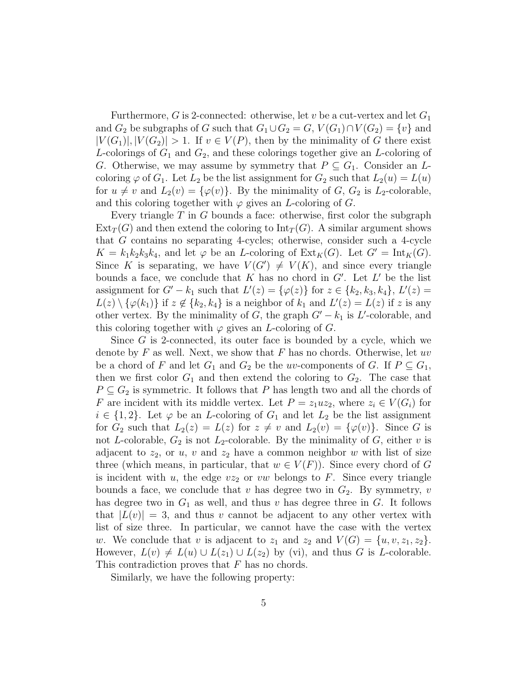Furthermore, G is 2-connected: otherwise, let v be a cut-vertex and let  $G_1$ and  $G_2$  be subgraphs of G such that  $G_1 \cup G_2 = G$ ,  $V(G_1) \cap V(G_2) = \{v\}$  and  $|V(G_1)|, |V(G_2)| > 1$ . If  $v \in V(P)$ , then by the minimality of G there exist L-colorings of  $G_1$  and  $G_2$ , and these colorings together give an L-coloring of G. Otherwise, we may assume by symmetry that  $P \subseteq G_1$ . Consider an Lcoloring  $\varphi$  of  $G_1$ . Let  $L_2$  be the list assignment for  $G_2$  such that  $L_2(u) = L(u)$ for  $u \neq v$  and  $L_2(v) = {\varphi(v)}$ . By the minimality of G,  $G_2$  is  $L_2$ -colorable, and this coloring together with  $\varphi$  gives an *L*-coloring of *G*.

Every triangle  $T$  in  $G$  bounds a face: otherwise, first color the subgraph  $Ext_T(G)$  and then extend the coloring to  $Int_T(G)$ . A similar argument shows that G contains no separating 4-cycles; otherwise, consider such a 4-cycle  $K = k_1k_2k_3k_4$ , and let  $\varphi$  be an *L*-coloring of  $\text{Ext}_K(G)$ . Let  $G' = \text{Int}_K(G)$ . Since K is separating, we have  $V(G') \neq V(K)$ , and since every triangle bounds a face, we conclude that K has no chord in  $G'$ . Let  $L'$  be the list assignment for  $G' - k_1$  such that  $L'(z) = {\varphi(z)}$  for  $z \in {k_2, k_3, k_4}$ ,  $L'(z) =$  $L(z) \setminus {\varphi(k_1)}$  if  $z \notin {k_2, k_4}$  is a neighbor of  $k_1$  and  $L'(z) = L(z)$  if z is any other vertex. By the minimality of G, the graph  $G'-k_1$  is L'-colorable, and this coloring together with  $\varphi$  gives an *L*-coloring of *G*.

Since G is 2-connected, its outer face is bounded by a cycle, which we denote by F as well. Next, we show that F has no chords. Otherwise, let uv be a chord of F and let  $G_1$  and  $G_2$  be the uv-components of G. If  $P \subseteq G_1$ , then we first color  $G_1$  and then extend the coloring to  $G_2$ . The case that  $P \subseteq G_2$  is symmetric. It follows that P has length two and all the chords of F are incident with its middle vertex. Let  $P = z_1uz_2$ , where  $z_i \in V(G_i)$  for  $i \in \{1,2\}$ . Let  $\varphi$  be an *L*-coloring of  $G_1$  and let  $L_2$  be the list assignment for  $G_2$  such that  $L_2(z) = L(z)$  for  $z \neq v$  and  $L_2(v) = {\varphi(v)}$ . Since G is not L-colorable,  $G_2$  is not  $L_2$ -colorable. By the minimality of G, either v is adjacent to  $z_2$ , or u, v and  $z_2$  have a common neighbor w with list of size three (which means, in particular, that  $w \in V(F)$ ). Since every chord of G is incident with u, the edge  $vz_2$  or  $vw$  belongs to F. Since every triangle bounds a face, we conclude that v has degree two in  $G_2$ . By symmetry, v has degree two in  $G_1$  as well, and thus v has degree three in G. It follows that  $|L(v)| = 3$ , and thus v cannot be adjacent to any other vertex with list of size three. In particular, we cannot have the case with the vertex w. We conclude that v is adjacent to  $z_1$  and  $z_2$  and  $V(G) = \{u, v, z_1, z_2\}.$ However,  $L(v) \neq L(u) \cup L(z_1) \cup L(z_2)$  by (vi), and thus G is L-colorable. This contradiction proves that F has no chords.

Similarly, we have the following property: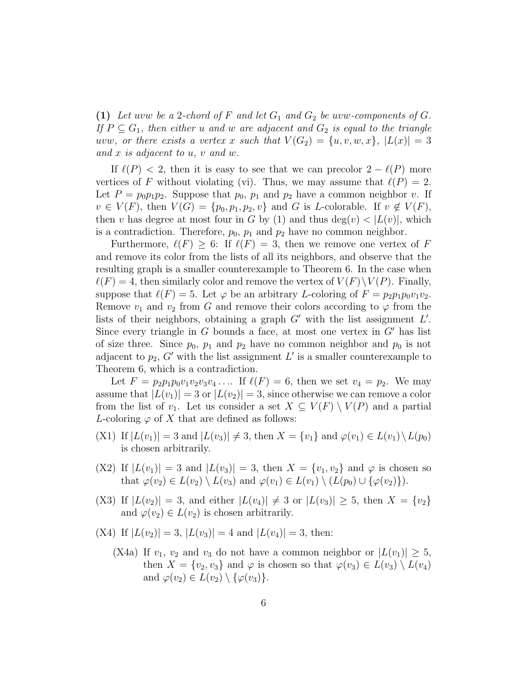(1) Let uvw be a 2-chord of F and let  $G_1$  and  $G_2$  be uvw-components of G. If  $P \subseteq G_1$ , then either u and w are adjacent and  $G_2$  is equal to the triangle uvw, or there exists a vertex x such that  $V(G_2) = \{u, v, w, x\}, |L(x)| = 3$ and x is adjacent to u, v and w.

If  $\ell(P) < 2$ , then it is easy to see that we can precolor  $2 - \ell(P)$  more vertices of F without violating (vi). Thus, we may assume that  $\ell(P) = 2$ . Let  $P = p_0 p_1 p_2$ . Suppose that  $p_0$ ,  $p_1$  and  $p_2$  have a common neighbor v. If  $v \in V(F)$ , then  $V(G) = \{p_0, p_1, p_2, v\}$  and G is L-colorable. If  $v \notin V(F)$ , then v has degree at most four in G by (1) and thus  $deg(v) < |L(v)|$ , which is a contradiction. Therefore,  $p_0$ ,  $p_1$  and  $p_2$  have no common neighbor.

Furthermore,  $\ell(F) \geq 6$ : If  $\ell(F) = 3$ , then we remove one vertex of F and remove its color from the lists of all its neighbors, and observe that the resulting graph is a smaller counterexample to Theorem 6. In the case when  $\ell(F) = 4$ , then similarly color and remove the vertex of  $V(F)\backslash V(P)$ . Finally, suppose that  $\ell(F) = 5$ . Let  $\varphi$  be an arbitrary L-coloring of  $F = p_2p_1p_0v_1v_2$ . Remove  $v_1$  and  $v_2$  from G and remove their colors according to  $\varphi$  from the lists of their neighbors, obtaining a graph  $G'$  with the list assignment  $L'$ . Since every triangle in G bounds a face, at most one vertex in  $G'$  has list of size three. Since  $p_0$ ,  $p_1$  and  $p_2$  have no common neighbor and  $p_0$  is not adjacent to  $p_2$ , G' with the list assignment L' is a smaller counterexample to Theorem 6, which is a contradiction.

Let  $F = p_2 p_1 p_0 v_1 v_2 v_3 v_4 \dots$  If  $\ell(F) = 6$ , then we set  $v_4 = p_2$ . We may assume that  $|L(v_1)| = 3$  or  $|L(v_2)| = 3$ , since otherwise we can remove a color from the list of  $v_1$ . Let us consider a set  $X \subseteq V(F) \setminus V(P)$  and a partial L-coloring  $\varphi$  of X that are defined as follows:

- (X1) If  $|L(v_1)| = 3$  and  $|L(v_3)| \neq 3$ , then  $X = \{v_1\}$  and  $\varphi(v_1) \in L(v_1) \setminus L(p_0)$ is chosen arbitrarily.
- (X2) If  $|L(v_1)| = 3$  and  $|L(v_3)| = 3$ , then  $X = \{v_1, v_2\}$  and  $\varphi$  is chosen so that  $\varphi(v_2) \in L(v_2) \setminus L(v_3)$  and  $\varphi(v_1) \in L(v_1) \setminus (L(p_0) \cup {\varphi(v_2)}).$
- (X3) If  $|L(v_2)| = 3$ , and either  $|L(v_4)| \neq 3$  or  $|L(v_3)| \geq 5$ , then  $X = \{v_2\}$ and  $\varphi(v_2) \in L(v_2)$  is chosen arbitrarily.
- (X4) If  $|L(v_2)| = 3$ ,  $|L(v_3)| = 4$  and  $|L(v_4)| = 3$ , then:
	- (X4a) If  $v_1, v_2$  and  $v_3$  do not have a common neighbor or  $|L(v_1)| \geq 5$ , then  $X = \{v_2, v_3\}$  and  $\varphi$  is chosen so that  $\varphi(v_3) \in L(v_3) \setminus L(v_4)$ and  $\varphi(v_2) \in L(v_2) \setminus {\varphi(v_3)}$ .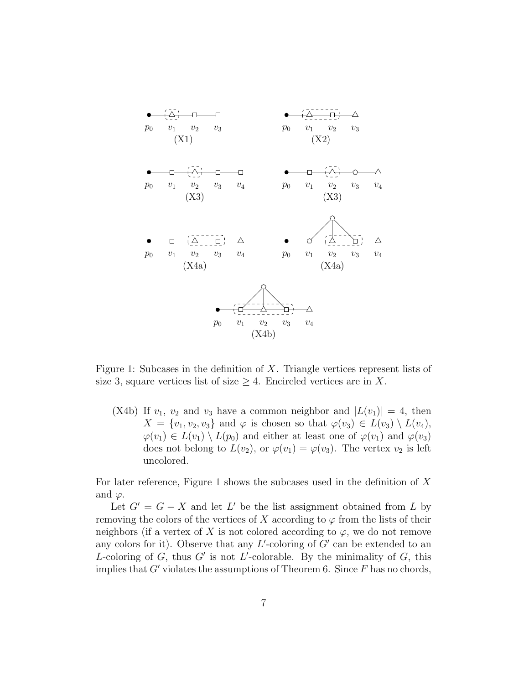

Figure 1: Subcases in the definition of X. Triangle vertices represent lists of size 3, square vertices list of size  $\geq 4$ . Encircled vertices are in X.

(X4b) If  $v_1$ ,  $v_2$  and  $v_3$  have a common neighbor and  $|L(v_1)| = 4$ , then  $X = \{v_1, v_2, v_3\}$  and  $\varphi$  is chosen so that  $\varphi(v_3) \in L(v_3) \setminus L(v_4)$ ,  $\varphi(v_1) \in L(v_1) \setminus L(p_0)$  and either at least one of  $\varphi(v_1)$  and  $\varphi(v_3)$ does not belong to  $L(v_2)$ , or  $\varphi(v_1) = \varphi(v_3)$ . The vertex  $v_2$  is left uncolored.

For later reference, Figure 1 shows the subcases used in the definition of X and  $\varphi$ .

Let  $G' = G - X$  and let L' be the list assignment obtained from L by removing the colors of the vertices of X according to  $\varphi$  from the lists of their neighbors (if a vertex of X is not colored according to  $\varphi$ , we do not remove any colors for it). Observe that any  $L'$ -coloring of  $G'$  can be extended to an L-coloring of G, thus G' is not L'-colorable. By the minimality of G, this implies that  $G'$  violates the assumptions of Theorem 6. Since  $F$  has no chords,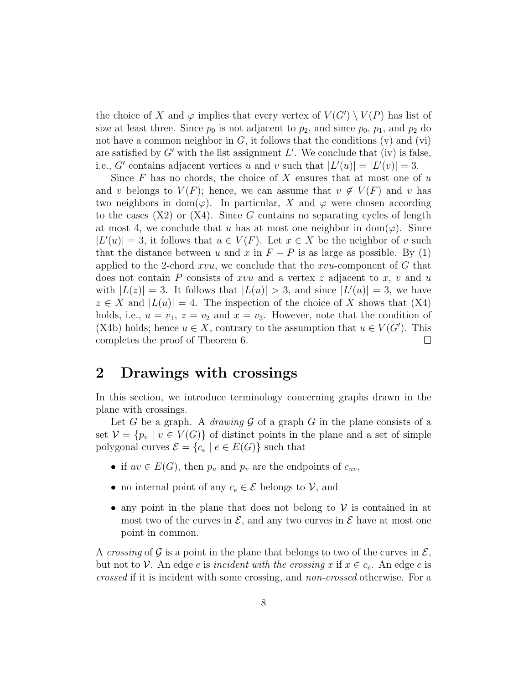the choice of X and  $\varphi$  implies that every vertex of  $V(G') \setminus V(P)$  has list of size at least three. Since  $p_0$  is not adjacent to  $p_2$ , and since  $p_0$ ,  $p_1$ , and  $p_2$  do not have a common neighbor in  $G$ , it follows that the conditions  $(v)$  and  $(vi)$ are satisfied by  $G'$  with the list assignment  $L'$ . We conclude that (iv) is false, i.e., G' contains adjacent vertices u and v such that  $|L'(u)| = |L'(v)| = 3$ .

Since  $F$  has no chords, the choice of  $X$  ensures that at most one of  $u$ and v belongs to  $V(F)$ ; hence, we can assume that  $v \notin V(F)$  and v has two neighbors in dom( $\varphi$ ). In particular, X and  $\varphi$  were chosen according to the cases  $(X2)$  or  $(X4)$ . Since G contains no separating cycles of length at most 4, we conclude that u has at most one neighbor in dom( $\varphi$ ). Since  $|L'(u)| = 3$ , it follows that  $u \in V(F)$ . Let  $x \in X$  be the neighbor of v such that the distance between u and x in  $F - P$  is as large as possible. By (1) applied to the 2-chord  $xvu$ , we conclude that the  $xvu$ -component of G that does not contain P consists of xvu and a vertex z adjacent to x, v and u with  $|L(z)| = 3$ . It follows that  $|L(u)| > 3$ , and since  $|L'(u)| = 3$ , we have  $z \in X$  and  $|L(u)| = 4$ . The inspection of the choice of X shows that  $(X4)$ holds, i.e.,  $u = v_1$ ,  $z = v_2$  and  $x = v_3$ . However, note that the condition of (X4b) holds; hence  $u \in X$ , contrary to the assumption that  $u \in V(G')$ . This completes the proof of Theorem 6.  $\Box$ 

### 2 Drawings with crossings

In this section, we introduce terminology concerning graphs drawn in the plane with crossings.

Let G be a graph. A *drawing*  $\mathcal G$  of a graph  $G$  in the plane consists of a set  $V = \{p_v \mid v \in V(G)\}\$  of distinct points in the plane and a set of simple polygonal curves  $\mathcal{E} = \{c_e \mid e \in E(G)\}\$  such that

- if  $uv \in E(G)$ , then  $p_u$  and  $p_v$  are the endpoints of  $c_{uv}$ ,
- no internal point of any  $c_e \in \mathcal{E}$  belongs to  $\mathcal{V}$ , and
- any point in the plane that does not belong to  $\mathcal V$  is contained in at most two of the curves in  $\mathcal{E}$ , and any two curves in  $\mathcal{E}$  have at most one point in common.

A crossing of G is a point in the plane that belongs to two of the curves in  $\mathcal{E}$ , but not to V. An edge e is incident with the crossing x if  $x \in c_e$ . An edge e is crossed if it is incident with some crossing, and non-crossed otherwise. For a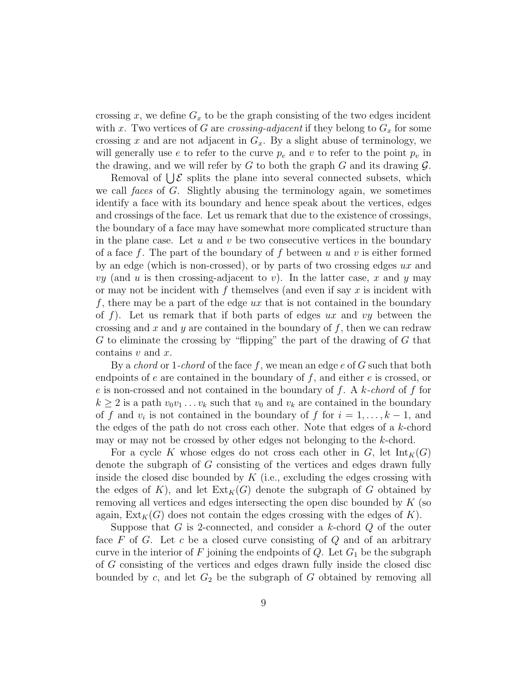crossing x, we define  $G_x$  to be the graph consisting of the two edges incident with x. Two vertices of G are crossing-adjacent if they belong to  $G_x$  for some crossing x and are not adjacent in  $G_x$ . By a slight abuse of terminology, we will generally use e to refer to the curve  $p_e$  and v to refer to the point  $p_v$  in the drawing, and we will refer by  $G$  to both the graph  $G$  and its drawing  $\mathcal{G}$ .

Removal of  $\bigcup \mathcal{E}$  splits the plane into several connected subsets, which we call *faces* of G. Slightly abusing the terminology again, we sometimes identify a face with its boundary and hence speak about the vertices, edges and crossings of the face. Let us remark that due to the existence of crossings, the boundary of a face may have somewhat more complicated structure than in the plane case. Let  $u$  and  $v$  be two consecutive vertices in the boundary of a face f. The part of the boundary of f between u and v is either formed by an edge (which is non-crossed), or by parts of two crossing edges ux and vy (and u is then crossing-adjacent to v). In the latter case, x and y may or may not be incident with f themselves (and even if say  $x$  is incident with f, there may be a part of the edge  $ux$  that is not contained in the boundary of f). Let us remark that if both parts of edges  $ux$  and  $vy$  between the crossing and x and y are contained in the boundary of  $f$ , then we can redraw G to eliminate the crossing by "flipping" the part of the drawing of  $G$  that contains  $v$  and  $x$ .

By a *chord* or 1-*chord* of the face f, we mean an edge e of G such that both endpoints of  $e$  are contained in the boundary of  $f$ , and either  $e$  is crossed, or e is non-crossed and not contained in the boundary of f. A k-chord of f for  $k \geq 2$  is a path  $v_0v_1 \ldots v_k$  such that  $v_0$  and  $v_k$  are contained in the boundary of f and  $v_i$  is not contained in the boundary of f for  $i = 1, \ldots, k - 1$ , and the edges of the path do not cross each other. Note that edges of a  $k$ -chord may or may not be crossed by other edges not belonging to the k-chord.

For a cycle K whose edges do not cross each other in G, let  $\text{Int}_K(G)$ denote the subgraph of G consisting of the vertices and edges drawn fully inside the closed disc bounded by  $K$  (i.e., excluding the edges crossing with the edges of K), and let  $\text{Ext}_K(G)$  denote the subgraph of G obtained by removing all vertices and edges intersecting the open disc bounded by  $K$  (so again,  $Ext_K(G)$  does not contain the edges crossing with the edges of K).

Suppose that  $G$  is 2-connected, and consider a k-chord  $Q$  of the outer face  $F$  of  $G$ . Let  $c$  be a closed curve consisting of  $Q$  and of an arbitrary curve in the interior of F joining the endpoints of  $Q$ . Let  $G_1$  be the subgraph of G consisting of the vertices and edges drawn fully inside the closed disc bounded by c, and let  $G_2$  be the subgraph of G obtained by removing all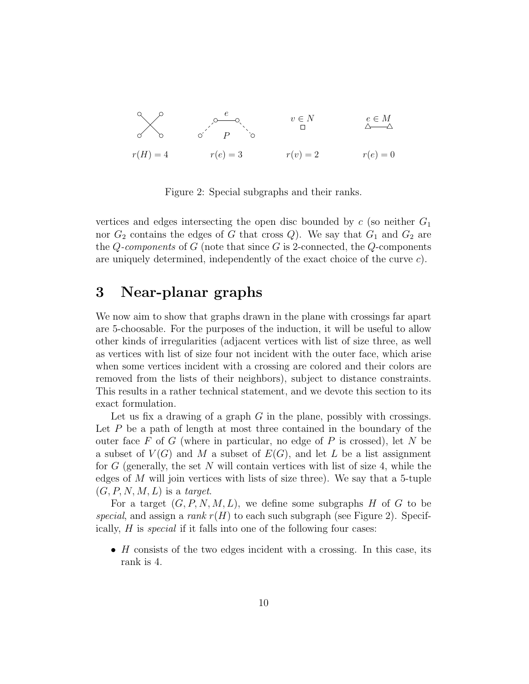

Figure 2: Special subgraphs and their ranks.

vertices and edges intersecting the open disc bounded by  $c$  (so neither  $G_1$ nor  $G_2$  contains the edges of G that cross Q). We say that  $G_1$  and  $G_2$  are the Q-components of G (note that since G is 2-connected, the Q-components are uniquely determined, independently of the exact choice of the curve  $c$ .

### 3 Near-planar graphs

We now aim to show that graphs drawn in the plane with crossings far apart are 5-choosable. For the purposes of the induction, it will be useful to allow other kinds of irregularities (adjacent vertices with list of size three, as well as vertices with list of size four not incident with the outer face, which arise when some vertices incident with a crossing are colored and their colors are removed from the lists of their neighbors), subject to distance constraints. This results in a rather technical statement, and we devote this section to its exact formulation.

Let us fix a drawing of a graph  $G$  in the plane, possibly with crossings. Let  $P$  be a path of length at most three contained in the boundary of the outer face  $F$  of  $G$  (where in particular, no edge of  $P$  is crossed), let  $N$  be a subset of  $V(G)$  and M a subset of  $E(G)$ , and let L be a list assignment for G (generally, the set N will contain vertices with list of size 4, while the edges of  $M$  will join vertices with lists of size three). We say that a 5-tuple  $(G, P, N, M, L)$  is a target.

For a target  $(G, P, N, M, L)$ , we define some subgraphs H of G to be special, and assign a rank  $r(H)$  to each such subgraph (see Figure 2). Specifically, H is special if it falls into one of the following four cases:

•  $H$  consists of the two edges incident with a crossing. In this case, its rank is 4.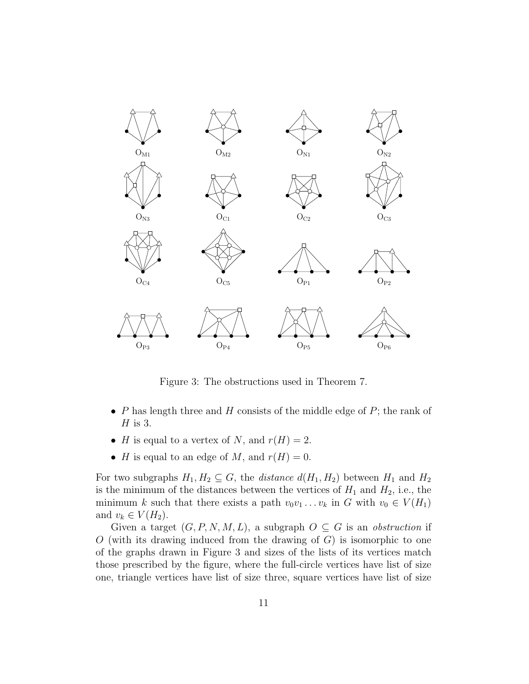

Figure 3: The obstructions used in Theorem 7.

- P has length three and H consists of the middle edge of  $P$ ; the rank of  $H$  is 3.
- H is equal to a vertex of N, and  $r(H) = 2$ .
- H is equal to an edge of M, and  $r(H) = 0$ .

For two subgraphs  $H_1, H_2 \subseteq G$ , the *distance*  $d(H_1, H_2)$  between  $H_1$  and  $H_2$ is the minimum of the distances between the vertices of  $H_1$  and  $H_2$ , i.e., the minimum k such that there exists a path  $v_0v_1 \ldots v_k$  in G with  $v_0 \in V(H_1)$ and  $v_k \in V(H_2)$ .

Given a target  $(G, P, N, M, L)$ , a subgraph  $O \subseteq G$  is an *obstruction* if  $O$  (with its drawing induced from the drawing of  $G$ ) is isomorphic to one of the graphs drawn in Figure 3 and sizes of the lists of its vertices match those prescribed by the figure, where the full-circle vertices have list of size one, triangle vertices have list of size three, square vertices have list of size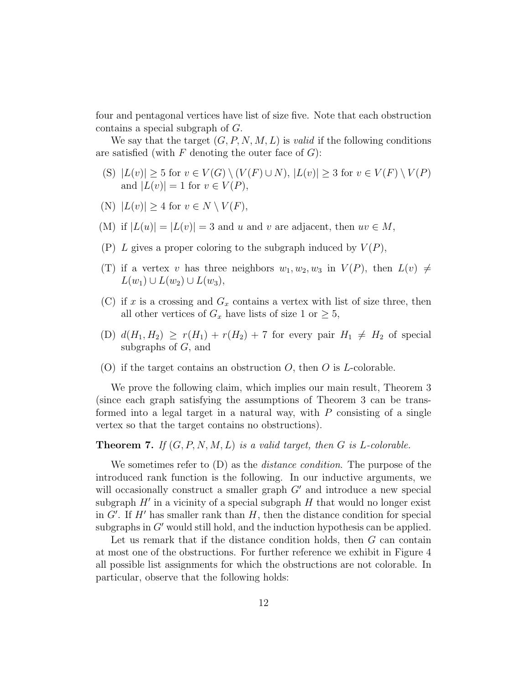four and pentagonal vertices have list of size five. Note that each obstruction contains a special subgraph of G.

We say that the target  $(G, P, N, M, L)$  is valid if the following conditions are satisfied (with  $F$  denoting the outer face of  $G$ ):

- (S)  $|L(v)| \geq 5$  for  $v \in V(G) \setminus (V(F) \cup N)$ ,  $|L(v)| \geq 3$  for  $v \in V(F) \setminus V(P)$ and  $|L(v)| = 1$  for  $v \in V(P)$ ,
- (N)  $|L(v)| > 4$  for  $v \in N \setminus V(F)$ ,
- (M) if  $|L(u)| = |L(v)| = 3$  and u and v are adjacent, then  $uv \in M$ ,
- (P) L gives a proper coloring to the subgraph induced by  $V(P)$ ,
- (T) if a vertex v has three neighbors  $w_1, w_2, w_3$  in  $V(P)$ , then  $L(v) \neq$  $L(w_1) \cup L(w_2) \cup L(w_3),$
- (C) if x is a crossing and  $G_x$  contains a vertex with list of size three, then all other vertices of  $G_x$  have lists of size 1 or  $\geq 5$ ,
- (D)  $d(H_1, H_2) \ge r(H_1) + r(H_2) + 7$  for every pair  $H_1 \ne H_2$  of special subgraphs of  $G$ , and
- (O) if the target contains an obstruction  $O$ , then  $O$  is *L*-colorable.

We prove the following claim, which implies our main result, Theorem 3 (since each graph satisfying the assumptions of Theorem 3 can be transformed into a legal target in a natural way, with  $P$  consisting of a single vertex so that the target contains no obstructions).

**Theorem 7.** If  $(G, P, N, M, L)$  is a valid target, then G is L-colorable.

We sometimes refer to  $(D)$  as the *distance condition*. The purpose of the introduced rank function is the following. In our inductive arguments, we will occasionally construct a smaller graph  $G'$  and introduce a new special subgraph  $H'$  in a vicinity of a special subgraph  $H$  that would no longer exist in  $G'$ . If  $H'$  has smaller rank than  $H$ , then the distance condition for special subgraphs in  $G'$  would still hold, and the induction hypothesis can be applied.

Let us remark that if the distance condition holds, then  $G$  can contain at most one of the obstructions. For further reference we exhibit in Figure 4 all possible list assignments for which the obstructions are not colorable. In particular, observe that the following holds: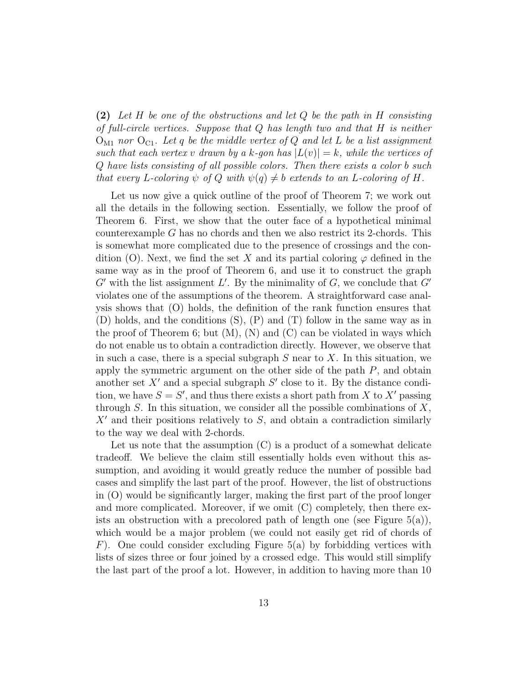(2) Let H be one of the obstructions and let  $Q$  be the path in H consisting of full-circle vertices. Suppose that  $Q$  has length two and that  $H$  is neither  $O_{M1}$  nor  $O_{C1}$ . Let q be the middle vertex of Q and let L be a list assignment such that each vertex v drawn by a k-gon has  $|L(v)| = k$ , while the vertices of Q have lists consisting of all possible colors. Then there exists a color b such that every L-coloring  $\psi$  of Q with  $\psi(q) \neq b$  extends to an L-coloring of H.

Let us now give a quick outline of the proof of Theorem 7; we work out all the details in the following section. Essentially, we follow the proof of Theorem 6. First, we show that the outer face of a hypothetical minimal counterexample G has no chords and then we also restrict its 2-chords. This is somewhat more complicated due to the presence of crossings and the condition (O). Next, we find the set X and its partial coloring  $\varphi$  defined in the same way as in the proof of Theorem 6, and use it to construct the graph  $G'$  with the list assignment  $L'$ . By the minimality of  $G$ , we conclude that  $G'$ violates one of the assumptions of the theorem. A straightforward case analysis shows that (O) holds, the definition of the rank function ensures that (D) holds, and the conditions (S), (P) and (T) follow in the same way as in the proof of Theorem 6; but  $(M)$ ,  $(N)$  and  $(C)$  can be violated in ways which do not enable us to obtain a contradiction directly. However, we observe that in such a case, there is a special subgraph  $S$  near to  $X$ . In this situation, we apply the symmetric argument on the other side of the path  $P$ , and obtain another set  $X'$  and a special subgraph  $S'$  close to it. By the distance condition, we have  $S = S'$ , and thus there exists a short path from X to X' passing through  $S$ . In this situation, we consider all the possible combinations of  $X$ ,  $X'$  and their positions relatively to S, and obtain a contradiction similarly to the way we deal with 2-chords.

Let us note that the assumption  $(C)$  is a product of a somewhat delicate tradeoff. We believe the claim still essentially holds even without this assumption, and avoiding it would greatly reduce the number of possible bad cases and simplify the last part of the proof. However, the list of obstructions in (O) would be significantly larger, making the first part of the proof longer and more complicated. Moreover, if we omit (C) completely, then there exists an obstruction with a precolored path of length one (see Figure  $5(a)$ ), which would be a major problem (we could not easily get rid of chords of  $F$ ). One could consider excluding Figure 5(a) by forbidding vertices with lists of sizes three or four joined by a crossed edge. This would still simplify the last part of the proof a lot. However, in addition to having more than 10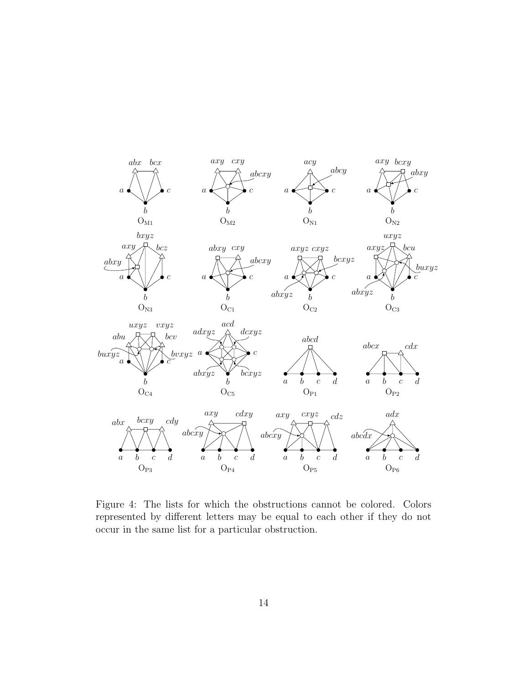

Figure 4: The lists for which the obstructions cannot be colored. Colors represented by different letters may be equal to each other if they do not occur in the same list for a particular obstruction.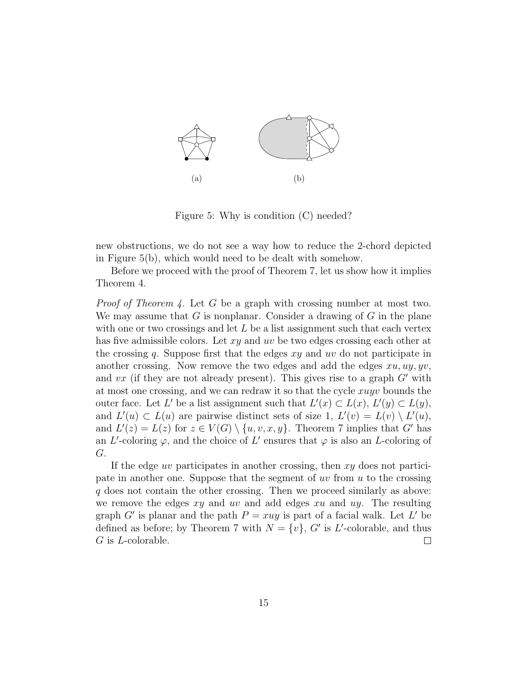

Figure 5: Why is condition (C) needed?

new obstructions, we do not see a way how to reduce the 2-chord depicted in Figure 5(b), which would need to be dealt with somehow.

Before we proceed with the proof of Theorem 7, let us show how it implies Theorem 4.

Proof of Theorem 4. Let G be a graph with crossing number at most two. We may assume that  $G$  is nonplanar. Consider a drawing of  $G$  in the plane with one or two crossings and let  $L$  be a list assignment such that each vertex has five admissible colors. Let xy and uv be two edges crossing each other at the crossing q. Suppose first that the edges  $xy$  and uv do not participate in another crossing. Now remove the two edges and add the edges  $xu, uy, yv$ , and vx (if they are not already present). This gives rise to a graph  $G'$  with at most one crossing, and we can redraw it so that the cycle xuyv bounds the outer face. Let L' be a list assignment such that  $L'(x) \subset L(x)$ ,  $L'(y) \subset L(y)$ , and  $L'(u) \subset L(u)$  are pairwise distinct sets of size 1,  $L'(v) = L(v) \setminus L'(u)$ , and  $L'(z) = L(z)$  for  $z \in V(G) \setminus \{u, v, x, y\}$ . Theorem 7 implies that G' has an L'-coloring  $\varphi$ , and the choice of L' ensures that  $\varphi$  is also an L-coloring of G.

If the edge uv participates in another crossing, then  $xy$  does not participate in another one. Suppose that the segment of  $uv$  from  $u$  to the crossing q does not contain the other crossing. Then we proceed similarly as above: we remove the edges  $xy$  and  $uv$  and add edges  $xu$  and  $uy$ . The resulting graph G' is planar and the path  $P = xuy$  is part of a facial walk. Let L' be defined as before; by Theorem 7 with  $N = \{v\}$ , G' is L'-colorable, and thus G is L-colorable.  $\Box$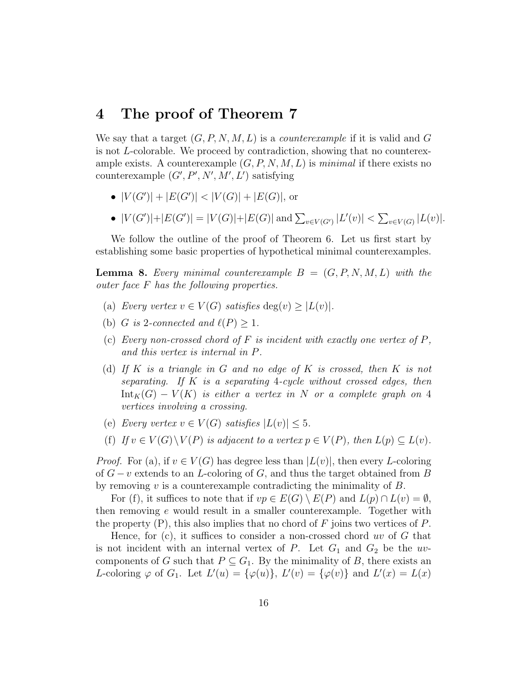#### 4 The proof of Theorem 7

We say that a target  $(G, P, N, M, L)$  is a *counterexample* if it is valid and G is not L-colorable. We proceed by contradiction, showing that no counterexample exists. A counterexample  $(G, P, N, M, L)$  is minimal if there exists no counterexample  $(G', P', N', M', L')$  satisfying

- $|V(G')| + |E(G')| < |V(G)| + |E(G)|$ , or
- $|V(G')|+|E(G')| = |V(G)|+|E(G)|$  and  $\sum_{v \in V(G')} |L'(v)| < \sum_{v \in V(G)} |L(v)|$ .

We follow the outline of the proof of Theorem 6. Let us first start by establishing some basic properties of hypothetical minimal counterexamples.

**Lemma 8.** Every minimal counterexample  $B = (G, P, N, M, L)$  with the outer face F has the following properties.

- (a) Every vertex  $v \in V(G)$  satisfies  $\deg(v) \geq |L(v)|$ .
- (b) G is 2-connected and  $\ell(P) \geq 1$ .
- (c) Every non-crossed chord of  $F$  is incident with exactly one vertex of  $P$ , and this vertex is internal in P.
- (d) If K is a triangle in G and no edge of K is crossed, then K is not separating. If K is a separating 4-cycle without crossed edges, then  $Int_K(G) - V(K)$  is either a vertex in N or a complete graph on 4 vertices involving a crossing.
- (e) Every vertex  $v \in V(G)$  satisfies  $|L(v)| \leq 5$ .
- (f) If  $v \in V(G) \backslash V(P)$  is adjacent to a vertex  $p \in V(P)$ , then  $L(p) \subset L(v)$ .

*Proof.* For (a), if  $v \in V(G)$  has degree less than  $|L(v)|$ , then every L-coloring of  $G - v$  extends to an L-coloring of G, and thus the target obtained from B by removing  $v$  is a counterexample contradicting the minimality of  $B$ .

For (f), it suffices to note that if  $vp \in E(G) \setminus E(P)$  and  $L(p) \cap L(v) = \emptyset$ , then removing e would result in a smaller counterexample. Together with the property  $(P)$ , this also implies that no chord of F joins two vertices of P.

Hence, for  $(c)$ , it suffices to consider a non-crossed chord uv of G that is not incident with an internal vertex of P. Let  $G_1$  and  $G_2$  be the uvcomponents of G such that  $P \subseteq G_1$ . By the minimality of B, there exists an L-coloring  $\varphi$  of  $G_1$ . Let  $L'(u) = {\varphi(u)}$ ,  $L'(v) = {\varphi(v)}$  and  $L'(x) = L(x)$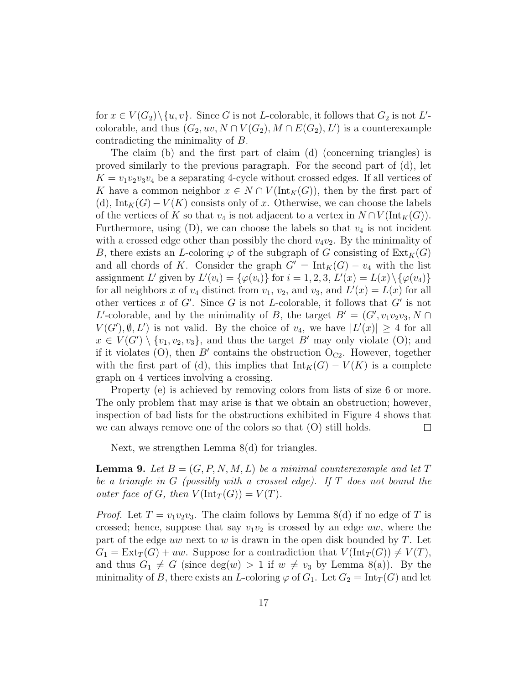for  $x \in V(G_2) \setminus \{u, v\}$ . Since G is not L-colorable, it follows that  $G_2$  is not L'colorable, and thus  $(G_2, uv, N \cap V(G_2), M \cap E(G_2), L')$  is a counterexample contradicting the minimality of B.

The claim (b) and the first part of claim (d) (concerning triangles) is proved similarly to the previous paragraph. For the second part of (d), let  $K = v_1v_2v_3v_4$  be a separating 4-cycle without crossed edges. If all vertices of K have a common neighbor  $x \in N \cap V(\text{Int}_K(G))$ , then by the first part of (d),  $Int_K(G) - V(K)$  consists only of x. Otherwise, we can choose the labels of the vertices of K so that  $v_4$  is not adjacent to a vertex in  $N \cap V(\text{Int}_K(G))$ . Furthermore, using  $(D)$ , we can choose the labels so that  $v_4$  is not incident with a crossed edge other than possibly the chord  $v_4v_2$ . By the minimality of B, there exists an L-coloring  $\varphi$  of the subgraph of G consisting of  $\text{Ext}_K(G)$ and all chords of K. Consider the graph  $G' = Int_K(G) - v_4$  with the list assignment L' given by  $L'(v_i) = {\varphi(v_i)}$  for  $i = 1, 2, 3, L'(x) = L(x) \setminus {\varphi(v_4)}$ for all neighbors x of  $v_4$  distinct from  $v_1$ ,  $v_2$ , and  $v_3$ , and  $L'(x) = L(x)$  for all other vertices x of  $G'$ . Since G is not L-colorable, it follows that  $G'$  is not L'-colorable, and by the minimality of B, the target  $B' = (G', v_1v_2v_3, N \cap$  $V(G'), \emptyset, L'$  is not valid. By the choice of  $v_4$ , we have  $|L'(x)| \geq 4$  for all  $x \in V(G') \setminus \{v_1, v_2, v_3\}$ , and thus the target B' may only violate (O); and if it violates (O), then  $B'$  contains the obstruction  $O_{C2}$ . However, together with the first part of (d), this implies that  $Int_K(G) - V(K)$  is a complete graph on 4 vertices involving a crossing.

Property (e) is achieved by removing colors from lists of size 6 or more. The only problem that may arise is that we obtain an obstruction; however, inspection of bad lists for the obstructions exhibited in Figure 4 shows that we can always remove one of the colors so that (O) still holds.  $\Box$ 

Next, we strengthen Lemma 8(d) for triangles.

**Lemma 9.** Let  $B = (G, P, N, M, L)$  be a minimal counterexample and let T be a triangle in G (possibly with a crossed edge). If  $T$  does not bound the outer face of G, then  $V(\text{Int}_T(G)) = V(T)$ .

*Proof.* Let  $T = v_1v_2v_3$ . The claim follows by Lemma 8(d) if no edge of T is crossed; hence, suppose that say  $v_1v_2$  is crossed by an edge uw, where the part of the edge uw next to w is drawn in the open disk bounded by  $T$ . Let  $G_1 = \text{Ext}_T(G) + uw$ . Suppose for a contradiction that  $V(\text{Int}_T(G)) \neq V(T)$ , and thus  $G_1 \neq G$  (since  $deg(w) > 1$  if  $w \neq v_3$  by Lemma 8(a)). By the minimality of B, there exists an L-coloring  $\varphi$  of  $G_1$ . Let  $G_2 = \text{Int}_T(G)$  and let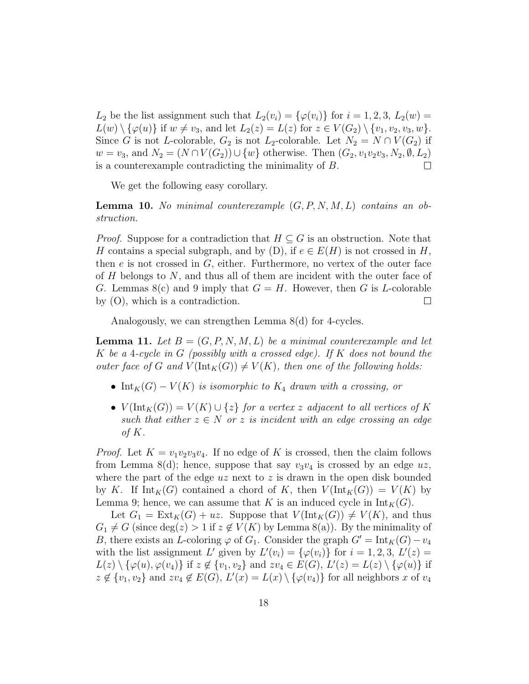$L_2$  be the list assignment such that  $L_2(v_i) = {\varphi(v_i)}$  for  $i = 1, 2, 3, L_2(w) =$  $L(w) \setminus {\varphi(u)}$  if  $w \neq v_3$ , and let  $L_2(z) = L(z)$  for  $z \in V(G_2) \setminus \{v_1, v_2, v_3, w\}.$ Since G is not L-colorable,  $G_2$  is not  $L_2$ -colorable. Let  $N_2 = N \cap V(G_2)$  if  $w = v_3$ , and  $N_2 = (N \cap V(G_2)) \cup \{w\}$  otherwise. Then  $(G_2, v_1v_2v_3, N_2, \emptyset, L_2)$  is a counterexample contradicting the minimality of B. is a counterexample contradicting the minimality of B.

We get the following easy corollary.

**Lemma 10.** No minimal counterexample  $(G, P, N, M, L)$  contains an obstruction.

*Proof.* Suppose for a contradiction that  $H \subseteq G$  is an obstruction. Note that H contains a special subgraph, and by  $(D)$ , if  $e \in E(H)$  is not crossed in H, then  $e$  is not crossed in  $G$ , either. Furthermore, no vertex of the outer face of  $H$  belongs to  $N$ , and thus all of them are incident with the outer face of G. Lemmas  $8(c)$  and 9 imply that  $G = H$ . However, then G is L-colorable by (O), which is a contradiction.  $\Box$ 

Analogously, we can strengthen Lemma 8(d) for 4-cycles.

**Lemma 11.** Let  $B = (G, P, N, M, L)$  be a minimal counterexample and let K be a 4-cycle in G (possibly with a crossed edge). If K does not bound the outer face of G and  $V(\text{Int}_K(G)) \neq V(K)$ , then one of the following holds:

- Int<sub>K</sub>(G)  $V(K)$  is isomorphic to  $K_4$  drawn with a crossing, or
- $V(\text{Int}_K(G)) = V(K) \cup \{z\}$  for a vertex z adjacent to all vertices of K such that either  $z \in N$  or z is incident with an edge crossing an edge of K.

*Proof.* Let  $K = v_1v_2v_3v_4$ . If no edge of K is crossed, then the claim follows from Lemma 8(d); hence, suppose that say  $v_3v_4$  is crossed by an edge uz, where the part of the edge  $uz$  next to z is drawn in the open disk bounded by K. If  $\text{Int}_K(G)$  contained a chord of K, then  $V(\text{Int}_K(G)) = V(K)$  by Lemma 9; hence, we can assume that K is an induced cycle in  $Int_K(G)$ .

Let  $G_1 = \text{Ext}_K(G) + uz$ . Suppose that  $V(\text{Int}_K(G)) \neq V(K)$ , and thus  $G_1 \neq G$  (since  $deg(z) > 1$  if  $z \notin V(K)$  by Lemma 8(a)). By the minimality of B, there exists an L-coloring  $\varphi$  of  $G_1$ . Consider the graph  $G' = \text{Int}_K(G) - v_4$ with the list assignment L' given by  $L'(v_i) = {\varphi(v_i)}$  for  $i = 1, 2, 3, L'(z) =$  $L(z) \setminus {\varphi(u), \varphi(v_4)}$  if  $z \notin {\{v_1, v_2\}}$  and  $zv_4 \in E(G), L'(z) = L(z) \setminus {\{\varphi(u)\}}$  if  $z \notin \{v_1, v_2\}$  and  $zv_4 \notin E(G)$ ,  $L'(x) = L(x) \setminus \{\varphi(v_4)\}\)$  for all neighbors x of  $v_4$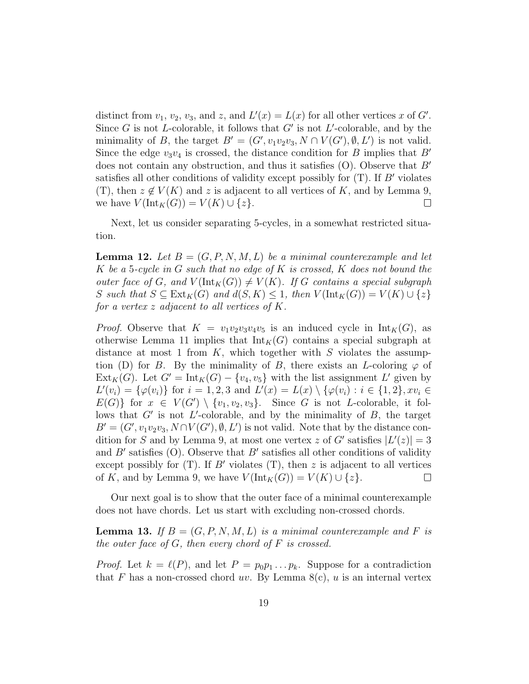distinct from  $v_1$ ,  $v_2$ ,  $v_3$ , and z, and  $L'(x) = L(x)$  for all other vertices x of G'. Since G is not L-colorable, it follows that  $G'$  is not L'-colorable, and by the minimality of B, the target  $B' = (G', v_1v_2v_3, N \cap V(G'), \emptyset, L')$  is not valid. Since the edge  $v_3v_4$  is crossed, the distance condition for B implies that B' does not contain any obstruction, and thus it satisfies  $(O)$ . Observe that  $B'$ satisfies all other conditions of validity except possibly for  $(T)$ . If B' violates (T), then  $z \notin V(K)$  and  $z$  is adjacent to all vertices of  $K$ , and by Lemma 9, we have  $V(\text{Int}_K(G)) = V(K) \cup \{z\}$ . we have  $V(\text{Int}_K(G)) = V(K) \cup \{z\}.$ 

Next, let us consider separating 5-cycles, in a somewhat restricted situation.

**Lemma 12.** Let  $B = (G, P, N, M, L)$  be a minimal counterexample and let K be a 5-cycle in G such that no edge of K is crossed, K does not bound the outer face of G, and  $V(\text{Int}_K(G)) \neq V(K)$ . If G contains a special subgraph S such that  $S \subseteq \text{Ext}_K(G)$  and  $d(S, K) \leq 1$ , then  $V(\text{Int}_K(G)) = V(K) \cup \{z\}$ for a vertex z adjacent to all vertices of K.

*Proof.* Observe that  $K = v_1v_2v_3v_4v_5$  is an induced cycle in  $Int_K(G)$ , as otherwise Lemma 11 implies that  $Int_K(G)$  contains a special subgraph at distance at most 1 from  $K$ , which together with  $S$  violates the assumption (D) for B. By the minimality of B, there exists an L-coloring  $\varphi$  of  $\text{Ext}_K(G)$ . Let  $G' = \text{Int}_K(G) - \{v_4, v_5\}$  with the list assignment L' given by  $L'(v_i) = \{\varphi(v_i)\}\$ for  $i = 1, 2, 3$  and  $L'(x) = L(x) \setminus \{\varphi(v_i) : i \in \{1, 2\}, xv_i \in$  $E(G)$  for  $x \in V(G') \setminus \{v_1, v_2, v_3\}.$  Since G is not L-colorable, it follows that  $G'$  is not L'-colorable, and by the minimality of  $B$ , the target  $B' = (G', v_1v_2v_3, N \cap V(G'), \emptyset, L')$  is not valid. Note that by the distance condition for S and by Lemma 9, at most one vertex z of G' satisfies  $|L'(z)| = 3$ and  $B'$  satisfies (O). Observe that  $B'$  satisfies all other conditions of validity except possibly for  $(T)$ . If B' violates  $(T)$ , then z is adjacent to all vertices of K, and by Lemma 9, we have  $V(\text{Int}_K(G)) = V(K) \cup \{z\}.$  $\Box$ 

Our next goal is to show that the outer face of a minimal counterexample does not have chords. Let us start with excluding non-crossed chords.

**Lemma 13.** If  $B = (G, P, N, M, L)$  is a minimal counterexample and F is the outer face of  $G$ , then every chord of  $F$  is crossed.

*Proof.* Let  $k = \ell(P)$ , and let  $P = p_0p_1 \dots p_k$ . Suppose for a contradiction that F has a non-crossed chord uv. By Lemma  $8(c)$ , u is an internal vertex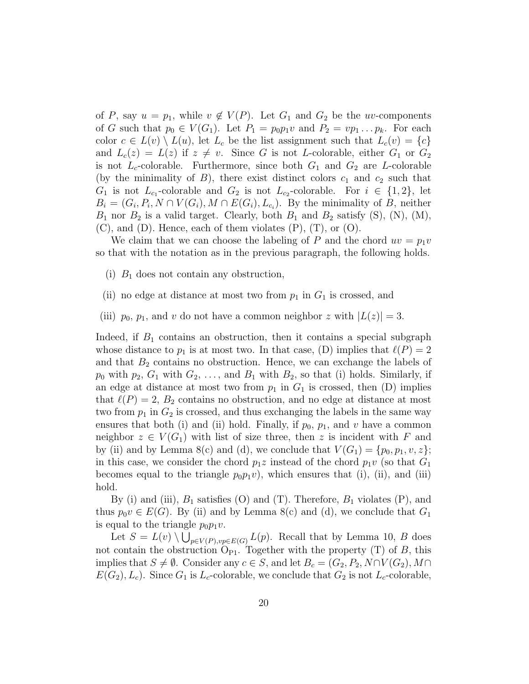of P, say  $u = p_1$ , while  $v \notin V(P)$ . Let  $G_1$  and  $G_2$  be the uv-components of G such that  $p_0 \in V(G_1)$ . Let  $P_1 = p_0 p_1 v$  and  $P_2 = v p_1 \dots p_k$ . For each color  $c \in L(v) \setminus L(u)$ , let  $L_c$  be the list assignment such that  $L_c(v) = \{c\}$ and  $L_c(z) = L(z)$  if  $z \neq v$ . Since G is not L-colorable, either  $G_1$  or  $G_2$ is not  $L_c$ -colorable. Furthermore, since both  $G_1$  and  $G_2$  are L-colorable (by the minimality of  $B$ ), there exist distinct colors  $c_1$  and  $c_2$  such that  $G_1$  is not  $L_{c_1}$ -colorable and  $G_2$  is not  $L_{c_2}$ -colorable. For  $i \in \{1,2\}$ , let  $B_i = (G_i, P_i, N \cap V(G_i), M \cap E(G_i), L_{c_i})$ . By the minimality of B, neither  $B_1$  nor  $B_2$  is a valid target. Clearly, both  $B_1$  and  $B_2$  satisfy (S), (N), (M),  $(C)$ , and  $(D)$ . Hence, each of them violates  $(P)$ ,  $(T)$ , or  $(O)$ .

We claim that we can choose the labeling of P and the chord  $uv = p_1v$ so that with the notation as in the previous paragraph, the following holds.

- (i)  $B_1$  does not contain any obstruction,
- (ii) no edge at distance at most two from  $p_1$  in  $G_1$  is crossed, and
- (iii)  $p_0$ ,  $p_1$ , and v do not have a common neighbor z with  $|L(z)| = 3$ .

Indeed, if  $B_1$  contains an obstruction, then it contains a special subgraph whose distance to  $p_1$  is at most two. In that case, (D) implies that  $\ell(P) = 2$ and that  $B_2$  contains no obstruction. Hence, we can exchange the labels of  $p_0$  with  $p_2, G_1$  with  $G_2, \ldots$ , and  $B_1$  with  $B_2$ , so that (i) holds. Similarly, if an edge at distance at most two from  $p_1$  in  $G_1$  is crossed, then (D) implies that  $\ell(P) = 2$ ,  $B_2$  contains no obstruction, and no edge at distance at most two from  $p_1$  in  $G_2$  is crossed, and thus exchanging the labels in the same way ensures that both (i) and (ii) hold. Finally, if  $p_0$ ,  $p_1$ , and v have a common neighbor  $z \in V(G_1)$  with list of size three, then z is incident with F and by (ii) and by Lemma 8(c) and (d), we conclude that  $V(G_1) = \{p_0, p_1, v, z\};$ in this case, we consider the chord  $p_1z$  instead of the chord  $p_1v$  (so that  $G_1$ becomes equal to the triangle  $p_0p_1v$ , which ensures that (i), (ii), and (iii) hold.

By (i) and (iii),  $B_1$  satisfies (O) and (T). Therefore,  $B_1$  violates (P), and thus  $p_0v \in E(G)$ . By (ii) and by Lemma 8(c) and (d), we conclude that  $G_1$ is equal to the triangle  $p_0p_1v$ .

Let  $S = L(v) \setminus \bigcup_{p \in V(P), vp \in E(G)} L(p)$ . Recall that by Lemma 10, B does not contain the obstruction  $O_{P1}$ . Together with the property (T) of B, this implies that  $S \neq \emptyset$ . Consider any  $c \in S$ , and let  $B_c = (G_2, P_2, N \cap V(G_2), M \cap V(G_1))$  $E(G_2), L_c$ ). Since  $G_1$  is  $L_c$ -colorable, we conclude that  $G_2$  is not  $L_c$ -colorable,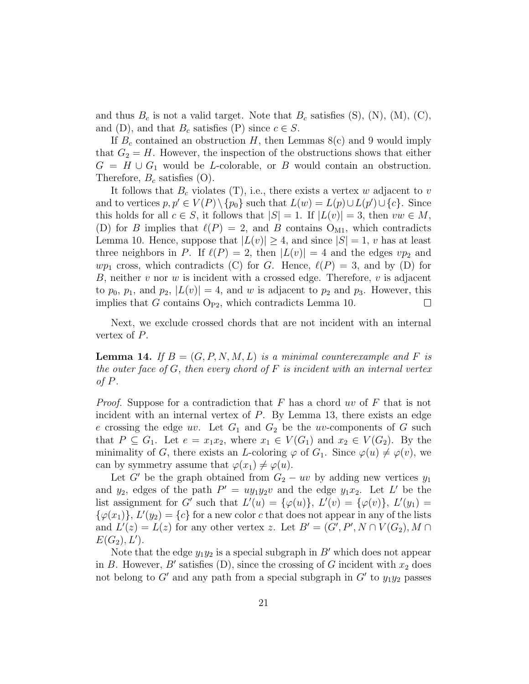and thus  $B_c$  is not a valid target. Note that  $B_c$  satisfies (S), (N), (M), (C), and (D), and that  $B_c$  satisfies (P) since  $c \in S$ .

If  $B_c$  contained an obstruction H, then Lemmas  $8(c)$  and 9 would imply that  $G_2 = H$ . However, the inspection of the obstructions shows that either  $G = H \cup G_1$  would be L-colorable, or B would contain an obstruction. Therefore,  $B_c$  satisfies (O).

It follows that  $B_c$  violates (T), i.e., there exists a vertex w adjacent to v and to vertices  $p, p' \in V(P) \setminus \{p_0\}$  such that  $L(w) = L(p) \cup L(p') \cup \{c\}$ . Since this holds for all  $c \in S$ , it follows that  $|S| = 1$ . If  $|L(v)| = 3$ , then  $vw \in M$ , (D) for B implies that  $\ell(P) = 2$ , and B contains O<sub>M1</sub>, which contradicts Lemma 10. Hence, suppose that  $|L(v)| \geq 4$ , and since  $|S| = 1$ , v has at least three neighbors in P. If  $\ell(P) = 2$ , then  $|L(v)| = 4$  and the edges  $vp_2$  and  $wp_1$  cross, which contradicts (C) for G. Hence,  $\ell(P) = 3$ , and by (D) for  $B$ , neither  $v$  nor  $w$  is incident with a crossed edge. Therefore,  $v$  is adjacent to  $p_0$ ,  $p_1$ , and  $p_2$ ,  $|L(v)| = 4$ , and w is adjacent to  $p_2$  and  $p_3$ . However, this implies that G contains O<sub>P2</sub>, which contradicts Lemma 10. implies that G contains  $O_{P2}$ , which contradicts Lemma 10.

Next, we exclude crossed chords that are not incident with an internal vertex of P.

**Lemma 14.** If  $B = (G, P, N, M, L)$  is a minimal counterexample and F is the outer face of  $G$ , then every chord of  $F$  is incident with an internal vertex of  $P$ .

*Proof.* Suppose for a contradiction that F has a chord uv of F that is not incident with an internal vertex of P. By Lemma 13, there exists an edge e crossing the edge uv. Let  $G_1$  and  $G_2$  be the uv-components of G such that  $P \subseteq G_1$ . Let  $e = x_1x_2$ , where  $x_1 \in V(G_1)$  and  $x_2 \in V(G_2)$ . By the minimality of G, there exists an L-coloring  $\varphi$  of G<sub>1</sub>. Since  $\varphi(u) \neq \varphi(v)$ , we can by symmetry assume that  $\varphi(x_1) \neq \varphi(u)$ .

Let G' be the graph obtained from  $G_2 - uv$  by adding new vertices  $y_1$ and  $y_2$ , edges of the path  $P' = uy_1y_2v$  and the edge  $y_1x_2$ . Let L' be the list assignment for G' such that  $L'(u) = {\varphi(u)}$ ,  $L'(v) = {\varphi(v)}$ ,  $L'(y_1) =$  $\{\varphi(x_1)\}, L'(y_2) = \{c\}$  for a new color c that does not appear in any of the lists and  $L'(z) = L(z)$  for any other vertex z. Let  $B' = (G', P', N \cap V(G_2), M \cap V(G_1))$  $E(G_2), L'$ ).

Note that the edge  $y_1y_2$  is a special subgraph in B' which does not appear in B. However, B' satisfies (D), since the crossing of G incident with  $x_2$  does not belong to  $G'$  and any path from a special subgraph in  $G'$  to  $y_1y_2$  passes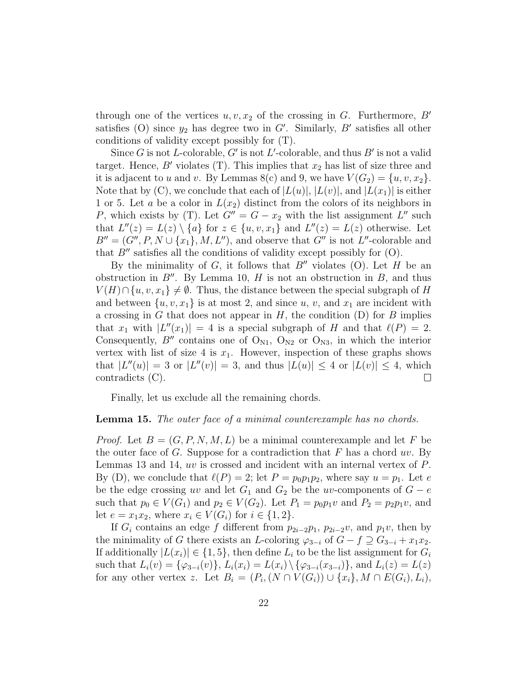through one of the vertices  $u, v, x_2$  of the crossing in G. Furthermore, B' satisfies (O) since  $y_2$  has degree two in G'. Similarly, B' satisfies all other conditions of validity except possibly for (T).

Since G is not L-colorable, G' is not L'-colorable, and thus B' is not a valid target. Hence, B' violates (T). This implies that  $x_2$  has list of size three and it is adjacent to u and v. By Lemmas 8(c) and 9, we have  $V(G_2) = \{u, v, x_2\}.$ Note that by  $(C)$ , we conclude that each of  $|L(u)|, |L(v)|$ , and  $|L(x_1)|$  is either 1 or 5. Let a be a color in  $L(x_2)$  distinct from the colors of its neighbors in P, which exists by (T). Let  $G'' = G - x_2$  with the list assignment L'' such that  $L''(z) = L(z) \setminus \{a\}$  for  $z \in \{u, v, x_1\}$  and  $L''(z) = L(z)$  otherwise. Let  $B'' = (G'', P, N \cup \{x_1\}, M, L'')$ , and observe that  $G''$  is not  $L''$ -colorable and that  $B''$  satisfies all the conditions of validity except possibly for  $(O)$ .

By the minimality of G, it follows that  $B''$  violates (O). Let H be an obstruction in  $B''$ . By Lemma 10, H is not an obstruction in B, and thus  $V(H) \cap \{u, v, x_1\} \neq \emptyset$ . Thus, the distance between the special subgraph of H and between  $\{u, v, x_1\}$  is at most 2, and since u, v, and  $x_1$  are incident with a crossing in G that does not appear in  $H$ , the condition (D) for B implies that  $x_1$  with  $|L''(x_1)| = 4$  is a special subgraph of H and that  $\ell(P) = 2$ . Consequently, B'' contains one of  $O_{N1}$ ,  $O_{N2}$  or  $O_{N3}$ , in which the interior vertex with list of size 4 is  $x_1$ . However, inspection of these graphs shows that  $|L''(u)| = 3$  or  $|L''(v)| = 3$ , and thus  $|L(u)| \leq 4$  or  $|L(v)| \leq 4$ , which contradicts (C).

Finally, let us exclude all the remaining chords.

#### Lemma 15. The outer face of a minimal counterexample has no chords.

*Proof.* Let  $B = (G, P, N, M, L)$  be a minimal counterexample and let F be the outer face of G. Suppose for a contradiction that F has a chord  $uv$ . By Lemmas 13 and 14, uv is crossed and incident with an internal vertex of P. By (D), we conclude that  $\ell(P) = 2$ ; let  $P = p_0p_1p_2$ , where say  $u = p_1$ . Let e be the edge crossing uv and let  $G_1$  and  $G_2$  be the uv-components of  $G - e$ such that  $p_0 \in V(G_1)$  and  $p_2 \in V(G_2)$ . Let  $P_1 = p_0 p_1 v$  and  $P_2 = p_2 p_1 v$ , and let  $e = x_1 x_2$ , where  $x_i \in V(G_i)$  for  $i \in \{1, 2\}$ .

If  $G_i$  contains an edge f different from  $p_{2i-2}p_1$ ,  $p_{2i-2}v$ , and  $p_1v$ , then by the minimality of G there exists an L-coloring  $\varphi_{3-i}$  of  $G - f \supseteq G_{3-i} + x_1x_2$ . If additionally  $|L(x_i)| \in \{1, 5\}$ , then define  $L_i$  to be the list assignment for  $G_i$ such that  $L_i(v) = {\varphi_{3-i}(v)}, L_i(x_i) = L(x_i) \setminus {\varphi_{3-i}(x_{3-i})},$  and  $L_i(z) = L(z)$ for any other vertex z. Let  $B_i = (P_i, (N \cap V(G_i)) \cup \{x_i\}, M \cap E(G_i), L_i)$ ,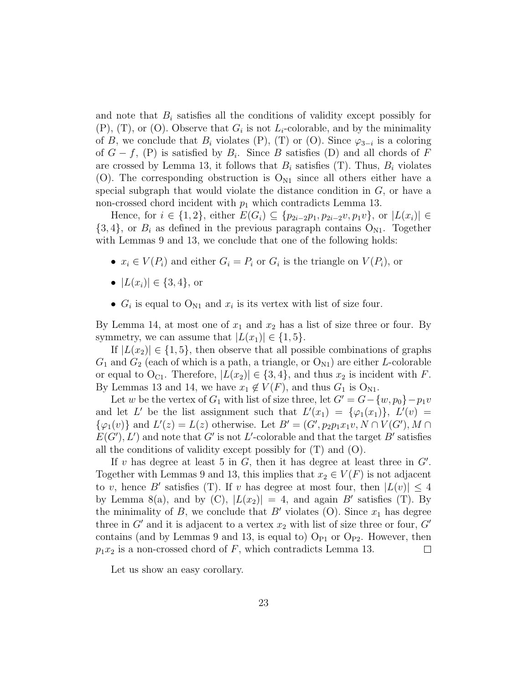and note that  $B_i$  satisfies all the conditions of validity except possibly for  $(P)$ ,  $(T)$ , or  $(O)$ . Observe that  $G_i$  is not  $L_i$ -colorable, and by the minimality of B, we conclude that  $B_i$  violates (P), (T) or (O). Since  $\varphi_{3-i}$  is a coloring of  $G - f$ , (P) is satisfied by  $B_i$ . Since B satisfies (D) and all chords of F are crossed by Lemma 13, it follows that  $B_i$  satisfies (T). Thus,  $B_i$  violates (O). The corresponding obstruction is  $O_{N1}$  since all others either have a special subgraph that would violate the distance condition in  $G$ , or have a non-crossed chord incident with  $p_1$  which contradicts Lemma 13.

Hence, for  $i \in \{1,2\}$ , either  $E(G_i) \subseteq \{p_{2i-2}p_1, p_{2i-2}v, p_1v\}$ , or  $|L(x_i)| \in$  $\{3, 4\}$ , or  $B_i$  as defined in the previous paragraph contains  $O_{N1}$ . Together with Lemmas 9 and 13, we conclude that one of the following holds:

- $x_i \in V(P_i)$  and either  $G_i = P_i$  or  $G_i$  is the triangle on  $V(P_i)$ , or
- $|L(x_i)| \in \{3, 4\}$ , or
- $G_i$  is equal to  $O_{N1}$  and  $x_i$  is its vertex with list of size four.

By Lemma 14, at most one of  $x_1$  and  $x_2$  has a list of size three or four. By symmetry, we can assume that  $|L(x_1)| \in \{1, 5\}.$ 

If  $|L(x_2)| \in \{1, 5\}$ , then observe that all possible combinations of graphs  $G_1$  and  $G_2$  (each of which is a path, a triangle, or  $O_{N1}$ ) are either L-colorable or equal to O<sub>C1</sub>. Therefore,  $|L(x_2)| \in \{3, 4\}$ , and thus  $x_2$  is incident with F. By Lemmas 13 and 14, we have  $x_1 \notin V(F)$ , and thus  $G_1$  is  $O_{N1}$ .

Let w be the vertex of  $G_1$  with list of size three, let  $G' = G - \{w, p_0\} - p_1v$ and let L' be the list assignment such that  $L'(x_1) = {\varphi_1(x_1)}, L'(v) =$  $\{\varphi_1(v)\}\$  and  $L'(z) = L(z)$  otherwise. Let  $B' = (G', p_2p_1x_1v, N \cap V(G'), M \cap V(G'))$  $E(G'), L'$  and note that G' is not L'-colorable and that the target B' satisfies all the conditions of validity except possibly for  $(T)$  and  $(0)$ .

If v has degree at least 5 in  $G$ , then it has degree at least three in  $G'$ . Together with Lemmas 9 and 13, this implies that  $x_2 \in V(F)$  is not adjacent to v, hence B' satisfies (T). If v has degree at most four, then  $|L(v)| \leq 4$ by Lemma 8(a), and by (C),  $|L(x_2)| = 4$ , and again B' satisfies (T). By the minimality of B, we conclude that B' violates (O). Since  $x_1$  has degree three in  $G'$  and it is adjacent to a vertex  $x_2$  with list of size three or four,  $G'$ contains (and by Lemmas 9 and 13, is equal to)  $O_{P1}$  or  $O_{P2}$ . However, then  $p_1x_2$  is a non-crossed chord of F, which contradicts Lemma 13.  $\Box$ 

Let us show an easy corollary.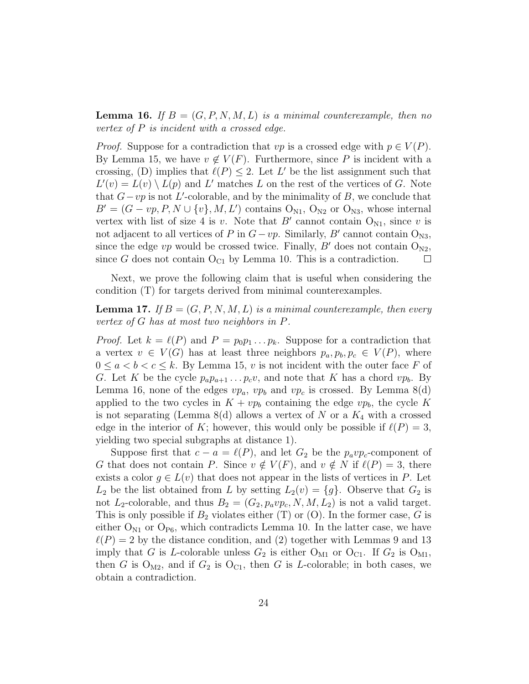**Lemma 16.** If  $B = (G, P, N, M, L)$  is a minimal counterexample, then no vertex of P is incident with a crossed edge.

*Proof.* Suppose for a contradiction that  $vp$  is a crossed edge with  $p \in V(P)$ . By Lemma 15, we have  $v \notin V(F)$ . Furthermore, since P is incident with a crossing, (D) implies that  $\ell(P) \leq 2$ . Let L' be the list assignment such that  $L'(v) = L(v) \setminus L(p)$  and L' matches L on the rest of the vertices of G. Note that  $G-vp$  is not L'-colorable, and by the minimality of B, we conclude that  $B' = (G - vp, P, N \cup \{v\}, M, L')$  contains  $O_{N1}$ ,  $O_{N2}$  or  $O_{N3}$ , whose internal vertex with list of size 4 is v. Note that  $B'$  cannot contain  $O_{N1}$ , since v is not adjacent to all vertices of P in  $G-vp$ . Similarly, B' cannot contain O<sub>N3</sub>, since the edge vp would be crossed twice. Finally, B' does not contain  $O_{N2}$ , since G does not contain  $O_{C_1}$  by Lemma 10. This is a contradiction.  $\Box$ 

Next, we prove the following claim that is useful when considering the condition (T) for targets derived from minimal counterexamples.

**Lemma 17.** If  $B = (G, P, N, M, L)$  is a minimal counterexample, then every vertex of G has at most two neighbors in P.

*Proof.* Let  $k = \ell(P)$  and  $P = p_0p_1 \ldots p_k$ . Suppose for a contradiction that a vertex  $v \in V(G)$  has at least three neighbors  $p_a, p_b, p_c \in V(P)$ , where  $0 \leq a < b < c \leq k$ . By Lemma 15, v is not incident with the outer face F of G. Let K be the cycle  $p_a p_{a+1} \ldots p_c v$ , and note that K has a chord  $vp_b$ . By Lemma 16, none of the edges  $vp_a$ ,  $vp_b$  and  $vp_c$  is crossed. By Lemma 8(d) applied to the two cycles in  $K + vp_b$  containing the edge  $vp_b$ , the cycle K is not separating (Lemma 8(d) allows a vertex of N or a  $K_4$  with a crossed edge in the interior of K; however, this would only be possible if  $\ell(P) = 3$ , yielding two special subgraphs at distance 1).

Suppose first that  $c - a = \ell(P)$ , and let  $G_2$  be the  $p_a v p_c$ -component of G that does not contain P. Since  $v \notin V(F)$ , and  $v \notin N$  if  $\ell(P) = 3$ , there exists a color  $g \in L(v)$  that does not appear in the lists of vertices in P. Let  $L_2$  be the list obtained from L by setting  $L_2(v) = \{g\}$ . Observe that  $G_2$  is not  $L_2$ -colorable, and thus  $B_2 = (G_2, p_a v p_c, N, M, L_2)$  is not a valid target. This is only possible if  $B_2$  violates either (T) or (O). In the former case, G is either  $O_{N1}$  or  $O_{P6}$ , which contradicts Lemma 10. In the latter case, we have  $\ell(P) = 2$  by the distance condition, and (2) together with Lemmas 9 and 13 imply that G is L-colorable unless  $G_2$  is either  $O_{M1}$  or  $O_{C1}$ . If  $G_2$  is  $O_{M1}$ , then G is  $O_{M2}$ , and if  $G_2$  is  $O_{C1}$ , then G is L-colorable; in both cases, we obtain a contradiction.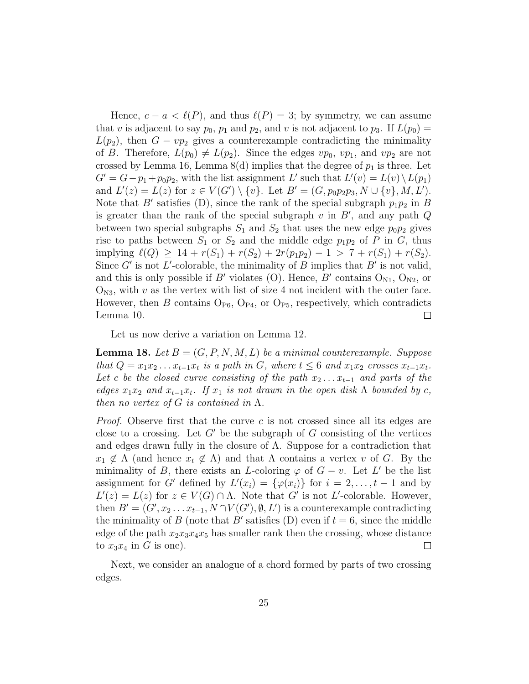Hence,  $c - a < \ell(P)$ , and thus  $\ell(P) = 3$ ; by symmetry, we can assume that v is adjacent to say  $p_0$ ,  $p_1$  and  $p_2$ , and v is not adjacent to  $p_3$ . If  $L(p_0)$  =  $L(p_2)$ , then  $G - vp_2$  gives a counterexample contradicting the minimality of B. Therefore,  $L(p_0) \neq L(p_2)$ . Since the edges  $vp_0$ ,  $vp_1$ , and  $vp_2$  are not crossed by Lemma 16, Lemma 8(d) implies that the degree of  $p_1$  is three. Let  $G' = G - p_1 + p_0 p_2$ , with the list assignment L' such that  $L'(v) = L(v) \setminus L(p_1)$ and  $L'(z) = L(z)$  for  $z \in V(G') \setminus \{v\}$ . Let  $B' = (G, p_0 p_2 p_3, N \cup \{v\}, M, L')$ . Note that  $B'$  satisfies (D), since the rank of the special subgraph  $p_1p_2$  in B is greater than the rank of the special subgraph  $v$  in  $B'$ , and any path  $Q$ between two special subgraphs  $S_1$  and  $S_2$  that uses the new edge  $p_0p_2$  gives rise to paths between  $S_1$  or  $S_2$  and the middle edge  $p_1p_2$  of P in G, thus implying  $\ell(Q) \geq 14 + r(S_1) + r(S_2) + 2r(p_1p_2) - 1 > 7 + r(S_1) + r(S_2).$ Since G' is not L'-colorable, the minimality of B implies that B' is not valid, and this is only possible if B' violates (O). Hence, B' contains  $O_{N1}$ ,  $O_{N2}$ , or  $O_{N3}$ , with v as the vertex with list of size 4 not incident with the outer face. However, then B contains  $O_{P6}$ ,  $O_{P4}$ , or  $O_{P5}$ , respectively, which contradicts Lemma 10.  $\Box$ 

Let us now derive a variation on Lemma 12.

**Lemma 18.** Let  $B = (G, P, N, M, L)$  be a minimal counterexample. Suppose that  $Q = x_1x_2 \ldots x_{t-1}x_t$  is a path in G, where  $t \leq 6$  and  $x_1x_2$  crosses  $x_{t-1}x_t$ . Let c be the closed curve consisting of the path  $x_2 \ldots x_{t-1}$  and parts of the edges  $x_1x_2$  and  $x_{t-1}x_t$ . If  $x_1$  is not drawn in the open disk  $\Lambda$  bounded by c, then no vertex of G is contained in  $\Lambda$ .

*Proof.* Observe first that the curve  $c$  is not crossed since all its edges are close to a crossing. Let  $G'$  be the subgraph of G consisting of the vertices and edges drawn fully in the closure of  $\Lambda$ . Suppose for a contradiction that  $x_1 \notin \Lambda$  (and hence  $x_t \notin \Lambda$ ) and that  $\Lambda$  contains a vertex v of G. By the minimality of B, there exists an L-coloring  $\varphi$  of  $G - v$ . Let L' be the list assignment for G' defined by  $L'(x_i) = {\varphi(x_i)}$  for  $i = 2, ..., t - 1$  and by  $L'(z) = L(z)$  for  $z \in V(G) \cap \Lambda$ . Note that G' is not L'-colorable. However, then  $B' = (G', x_2 \dots x_{t-1}, N \cap V(G'), \emptyset, L')$  is a counterexample contradicting the minimality of B (note that B' satisfies  $(D)$  even if  $t = 6$ , since the middle edge of the path  $x_2x_3x_4x_5$  has smaller rank then the crossing, whose distance to  $x_3x_4$  in G is one).  $\Box$ 

Next, we consider an analogue of a chord formed by parts of two crossing edges.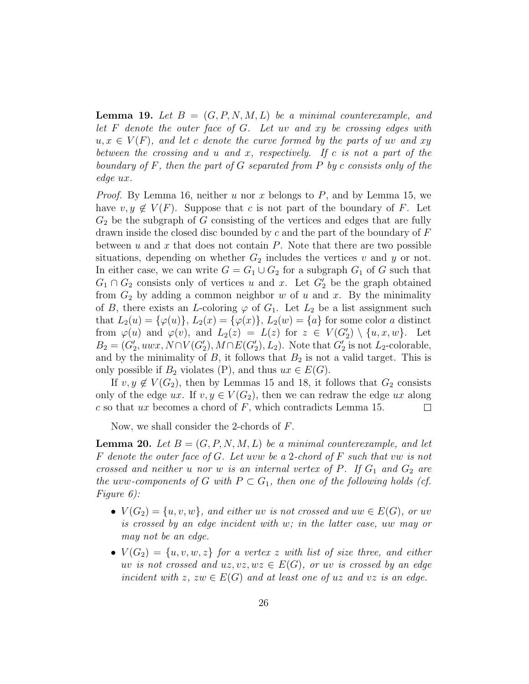**Lemma 19.** Let  $B = (G, P, N, M, L)$  be a minimal counterexample, and let  $F$  denote the outer face of  $G$ . Let uv and  $xy$  be crossing edges with  $u, x \in V(F)$ , and let c denote the curve formed by the parts of uv and xy between the crossing and u and x, respectively. If c is not a part of the boundary of  $F$ , then the part of  $G$  separated from  $P$  by  $c$  consists only of the edge ux.

*Proof.* By Lemma 16, neither u nor x belongs to P, and by Lemma 15, we have  $v, y \notin V(F)$ . Suppose that c is not part of the boundary of F. Let  $G_2$  be the subgraph of G consisting of the vertices and edges that are fully drawn inside the closed disc bounded by c and the part of the boundary of  $F$ between u and x that does not contain  $P$ . Note that there are two possible situations, depending on whether  $G_2$  includes the vertices v and y or not. In either case, we can write  $G=G_1\cup G_2$  for a subgraph  $G_1$  of  $G$  such that  $G_1 \cap G_2$  consists only of vertices u and x. Let  $G_2'$  be the graph obtained from  $G_2$  by adding a common neighbor w of u and x. By the minimality of B, there exists an L-coloring  $\varphi$  of  $G_1$ . Let  $L_2$  be a list assignment such that  $L_2(u) = {\varphi(u)}$ ,  $L_2(x) = {\varphi(x)}$ ,  $L_2(w) = {a}$  for some color a distinct from  $\varphi(u)$  and  $\varphi(v)$ , and  $L_2(z) = L(z)$  for  $z \in V(G'_2) \setminus \{u, x, w\}$ . Let  $B_2 = (G'_2, uwx, N \cap V(G'_2), M \cap E(G'_2), L_2)$ . Note that  $G'_2$  is not  $L_2$ -colorable, and by the minimality of  $B$ , it follows that  $B_2$  is not a valid target. This is only possible if  $B_2$  violates (P), and thus  $ux \in E(G)$ .

If  $v, y \notin V(G_2)$ , then by Lemmas 15 and 18, it follows that  $G_2$  consists only of the edge ux. If  $v, y \in V(G_2)$ , then we can redraw the edge ux along c so that ux becomes a chord of F, which contradicts Lemma 15.  $c$  so that ux becomes a chord of  $F$ , which contradicts Lemma 15.

Now, we shall consider the 2-chords of F.

**Lemma 20.** Let  $B = (G, P, N, M, L)$  be a minimal counterexample, and let F denote the outer face of G. Let uvw be a 2-chord of F such that vw is not crossed and neither u nor w is an internal vertex of P. If  $G_1$  and  $G_2$  are the uvw-components of G with  $P \subset G_1$ , then one of the following holds (cf. Figure 6):

- $V(G_2) = \{u, v, w\}$ , and either uv is not crossed and uw  $\in E(G)$ , or uv is crossed by an edge incident with w; in the latter case, uw may or may not be an edge.
- $V(G_2) = \{u, v, w, z\}$  for a vertex z with list of size three, and either uv is not crossed and  $uz, vz, wz \in E(G)$ , or uv is crossed by an edge incident with z,  $zw \in E(G)$  and at least one of uz and vz is an edge.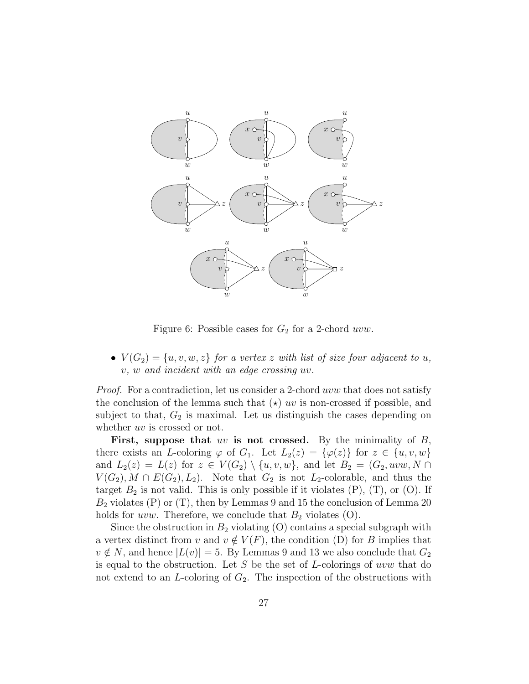

Figure 6: Possible cases for  $G_2$  for a 2-chord *uvw*.

•  $V(G_2) = \{u, v, w, z\}$  for a vertex z with list of size four adjacent to u, v, w and incident with an edge crossing uv.

Proof. For a contradiction, let us consider a 2-chord uvw that does not satisfy the conclusion of the lemma such that  $(\star)$  uv is non-crossed if possible, and subject to that,  $G_2$  is maximal. Let us distinguish the cases depending on whether *uv* is crossed or not.

First, suppose that uv is not crossed. By the minimality of  $B$ , there exists an L-coloring  $\varphi$  of  $G_1$ . Let  $L_2(z) = {\varphi(z)}$  for  $z \in \{u, v, w\}$ and  $L_2(z) = L(z)$  for  $z \in V(G_2) \setminus \{u, v, w\}$ , and let  $B_2 = (G_2, uvw, N \cap$  $V(G_2), M \cap E(G_2), L_2$ . Note that  $G_2$  is not  $L_2$ -colorable, and thus the target  $B_2$  is not valid. This is only possible if it violates  $(P)$ ,  $(T)$ , or  $(O)$ . If  $B_2$  violates (P) or (T), then by Lemmas 9 and 15 the conclusion of Lemma 20 holds for uvw. Therefore, we conclude that  $B_2$  violates  $(O)$ .

Since the obstruction in  $B_2$  violating  $(O)$  contains a special subgraph with a vertex distinct from v and  $v \notin V(F)$ , the condition (D) for B implies that  $v \notin N$ , and hence  $|L(v)| = 5$ . By Lemmas 9 and 13 we also conclude that  $G_2$ is equal to the obstruction. Let  $S$  be the set of  $L$ -colorings of uvw that do not extend to an  $L$ -coloring of  $G_2$ . The inspection of the obstructions with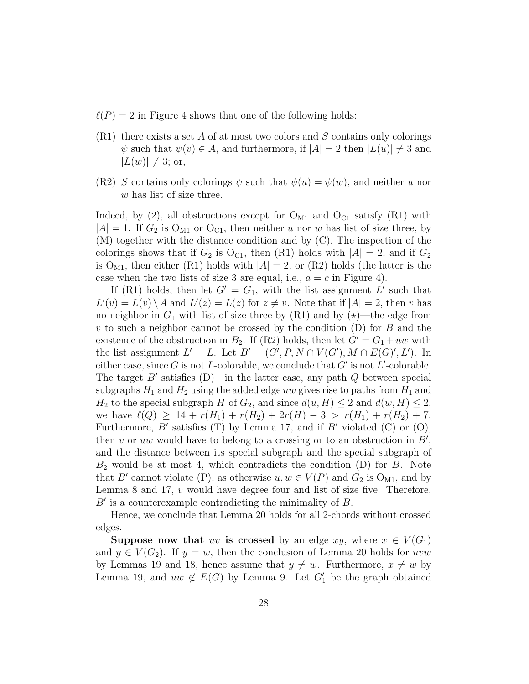- $\ell(P) = 2$  in Figure 4 shows that one of the following holds:
- $(R1)$  there exists a set A of at most two colors and S contains only colorings  $\psi$  such that  $\psi(v) \in A$ , and furthermore, if  $|A| = 2$  then  $|L(u)| \neq 3$  and  $|L(w)| \neq 3$ ; or,
- (R2) S contains only colorings  $\psi$  such that  $\psi(u) = \psi(w)$ , and neither u nor w has list of size three.

Indeed, by (2), all obstructions except for  $O_{M1}$  and  $O_{C1}$  satisfy (R1) with  $|A| = 1$ . If  $G_2$  is  $O_{M1}$  or  $O_{C1}$ , then neither u nor w has list of size three, by (M) together with the distance condition and by (C). The inspection of the colorings shows that if  $G_2$  is  $O_{C_1}$ , then (R1) holds with  $|A| = 2$ , and if  $G_2$ is  $O_{M1}$ , then either (R1) holds with  $|A| = 2$ , or (R2) holds (the latter is the case when the two lists of size 3 are equal, i.e.,  $a = c$  in Figure 4).

If (R1) holds, then let  $G' = G_1$ , with the list assignment L' such that  $L'(v) = L(v) \setminus A$  and  $L'(z) = L(z)$  for  $z \neq v$ . Note that if  $|A| = 2$ , then v has no neighbor in  $G_1$  with list of size three by (R1) and by  $(\star)$ —the edge from v to such a neighbor cannot be crossed by the condition  $(D)$  for B and the existence of the obstruction in  $B_2$ . If (R2) holds, then let  $G' = G_1 + uw$  with the list assignment  $L' = L$ . Let  $B' = (G', P, N \cap V(G'), M \cap E(G)', L')$ . In either case, since G is not L-colorable, we conclude that  $G'$  is not L'-colorable. The target  $B'$  satisfies (D)—in the latter case, any path  $Q$  between special subgraphs  $H_1$  and  $H_2$  using the added edge uw gives rise to paths from  $H_1$  and  $H_2$  to the special subgraph H of  $G_2$ , and since  $d(u, H) \leq 2$  and  $d(w, H) \leq 2$ , we have  $\ell(Q) \geq 14 + r(H_1) + r(H_2) + 2r(H) - 3 > r(H_1) + r(H_2) + 7.$ Furthermore,  $B'$  satisfies (T) by Lemma 17, and if  $B'$  violated (C) or (O), then v or uw would have to belong to a crossing or to an obstruction in  $B'$ , and the distance between its special subgraph and the special subgraph of  $B_2$  would be at most 4, which contradicts the condition (D) for B. Note that B' cannot violate (P), as otherwise  $u, w \in V(P)$  and  $G_2$  is  $O_{M1}$ , and by Lemma 8 and 17, v would have degree four and list of size five. Therefore,  $B'$  is a counterexample contradicting the minimality of  $B$ .

Hence, we conclude that Lemma 20 holds for all 2-chords without crossed edges.

Suppose now that uv is crossed by an edge xy, where  $x \in V(G_1)$ and  $y \in V(G_2)$ . If  $y = w$ , then the conclusion of Lemma 20 holds for uvw by Lemmas 19 and 18, hence assume that  $y \neq w$ . Furthermore,  $x \neq w$  by Lemma 19, and  $uw \notin E(G)$  by Lemma 9. Let  $G'_1$  be the graph obtained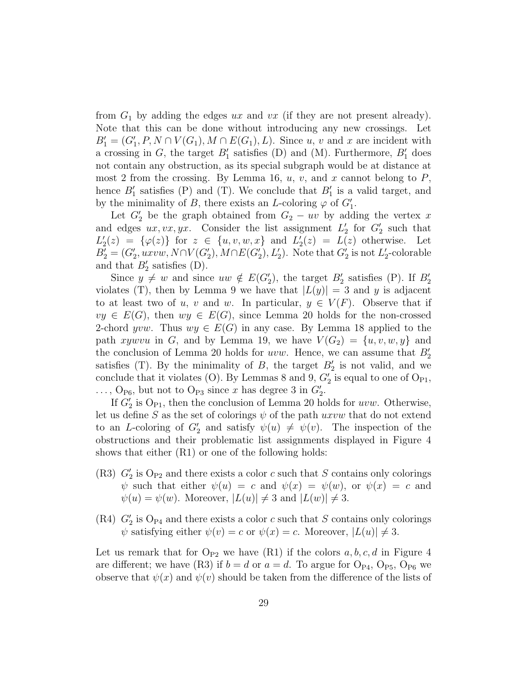from  $G_1$  by adding the edges ux and vx (if they are not present already). Note that this can be done without introducing any new crossings. Let  $B_1' = (G_1', P, N \cap V(G_1), M \cap E(G_1), L)$ . Since u, v and x are incident with a crossing in  $G$ , the target  $B'_1$  satisfies (D) and (M). Furthermore,  $B'_1$  does not contain any obstruction, as its special subgraph would be at distance at most 2 from the crossing. By Lemma 16,  $u, v$ , and x cannot belong to  $P$ , hence  $B_1'$  satisfies (P) and (T). We conclude that  $B_1'$  is a valid target, and by the minimality of B, there exists an L-coloring  $\varphi$  of  $G_1'$ .

Let  $G_2'$  be the graph obtained from  $G_2 - uv$  by adding the vertex x and edges  $ux, vx, yx$ . Consider the list assignment  $L'_2$  for  $G'_2$  such that  $L'_2(z) = {\varphi(z)}$  for  $z \in {u, v, w, x}$  and  $L'_2(z) = L(z)$  otherwise. Let  $B'_{2} = (G'_{2}, uxvw, N\cap V(G'_{2}), M\cap E(G'_{2}), L'_{2})$ . Note that  $G'_{2}$  is not  $L'_{2}$ -colorable and that  $B'_2$  satisfies (D).

Since  $y \neq w$  and since  $uw \notin E(G'_2)$ , the target  $B'_2$  satisfies (P). If  $B'_2$ violates (T), then by Lemma 9 we have that  $|L(y)| = 3$  and y is adjacent to at least two of u, v and w. In particular,  $y \in V(F)$ . Observe that if  $vy \in E(G)$ , then  $wy \in E(G)$ , since Lemma 20 holds for the non-crossed 2-chord yvw. Thus  $wy \in E(G)$  in any case. By Lemma 18 applied to the path xywvu in G, and by Lemma 19, we have  $V(G_2) = \{u, v, w, y\}$  and the conclusion of Lemma 20 holds for  $uvw$ . Hence, we can assume that  $B_2'$ satisfies (T). By the minimality of  $B$ , the target  $B'_2$  is not valid, and we conclude that it violates (O). By Lemmas 8 and 9,  $G_2'$  is equal to one of  $\mathrm{O}_{\mathrm{P1}},$  $\ldots$ , O<sub>P6</sub>, but not to O<sub>P3</sub> since x has degree 3 in  $G_2'$ .

If  $G_2'$  is  $O_{P1}$ , then the conclusion of Lemma 20 holds for uvw. Otherwise, let us define S as the set of colorings  $\psi$  of the path uxvw that do not extend to an L-coloring of  $G_2'$  and satisfy  $\psi(u) \neq \psi(v)$ . The inspection of the obstructions and their problematic list assignments displayed in Figure 4 shows that either (R1) or one of the following holds:

- (R3)  $G_2'$  is O<sub>P2</sub> and there exists a color c such that S contains only colorings  $\psi$  such that either  $\psi(u) = c$  and  $\psi(x) = \psi(w)$ , or  $\psi(x) = c$  and  $\psi(u) = \psi(w)$ . Moreover,  $|L(u)| \neq 3$  and  $|L(w)| \neq 3$ .
- $(R4)$   $G_2$  is  $O_{P4}$  and there exists a color c such that S contains only colorings  $\psi$  satisfying either  $\psi(v) = c$  or  $\psi(x) = c$ . Moreover,  $|L(u)| \neq 3$ .

Let us remark that for  $\mathrm{O}_{P2}$  we have (R1) if the colors  $a, b, c, d$  in Figure 4 are different; we have (R3) if  $b = d$  or  $a = d$ . To argue for  $O_{P4}$ ,  $O_{P5}$ ,  $O_{P6}$  we observe that  $\psi(x)$  and  $\psi(y)$  should be taken from the difference of the lists of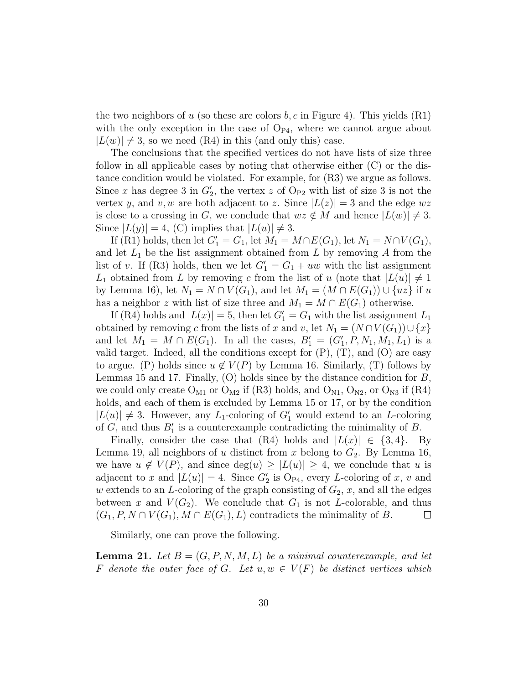the two neighbors of u (so these are colors  $b, c$  in Figure 4). This yields (R1) with the only exception in the case of  $O_{P4}$ , where we cannot argue about  $|L(w)| \neq 3$ , so we need (R4) in this (and only this) case.

The conclusions that the specified vertices do not have lists of size three follow in all applicable cases by noting that otherwise either (C) or the distance condition would be violated. For example, for (R3) we argue as follows. Since x has degree 3 in  $G_2'$ , the vertex z of  $O_{P2}$  with list of size 3 is not the vertex y, and v, w are both adjacent to z. Since  $|L(z)| = 3$  and the edge  $wz$ is close to a crossing in G, we conclude that  $wz \notin M$  and hence  $|L(w)| \neq 3$ . Since  $|L(y)| = 4$ , (C) implies that  $|L(u)| \neq 3$ .

If (R1) holds, then let  $G_1' = G_1$ , let  $M_1 = M \cap E(G_1)$ , let  $N_1 = N \cap V(G_1)$ , and let  $L_1$  be the list assignment obtained from L by removing A from the list of v. If (R3) holds, then we let  $G_1' = G_1 + uw$  with the list assignment  $L_1$  obtained from L by removing c from the list of u (note that  $|L(u)| \neq 1$ by Lemma 16), let  $N_1 = N \cap V(G_1)$ , and let  $M_1 = (M \cap E(G_1)) \cup \{uz\}$  if u has a neighbor z with list of size three and  $M_1 = M \cap E(G_1)$  otherwise.

If (R4) holds and  $|L(x)| = 5$ , then let  $G_1' = G_1$  with the list assignment  $L_1$ obtained by removing c from the lists of x and v, let  $N_1 = (N \cap V(G_1)) \cup \{x\}$ and let  $M_1 = M \cap E(G_1)$ . In all the cases,  $B'_1 = (G'_1, P, N_1, M_1, L_1)$  is a valid target. Indeed, all the conditions except for  $(P)$ ,  $(T)$ , and  $(O)$  are easy to argue. (P) holds since  $u \notin V(P)$  by Lemma 16. Similarly, (T) follows by Lemmas 15 and 17. Finally,  $(O)$  holds since by the distance condition for  $B$ , we could only create  $O_{M1}$  or  $O_{M2}$  if (R3) holds, and  $O_{N1}$ ,  $O_{N2}$ , or  $O_{N3}$  if (R4) holds, and each of them is excluded by Lemma 15 or 17, or by the condition  $|L(u)| \neq 3$ . However, any  $L_1$ -coloring of  $G'_1$  would extend to an  $L$ -coloring of  $G$ , and thus  $B'_1$  is a counterexample contradicting the minimality of  $B$ .

Finally, consider the case that  $(R4)$  holds and  $|L(x)| \in \{3, 4\}$ . By Lemma 19, all neighbors of u distinct from x belong to  $G_2$ . By Lemma 16, we have  $u \notin V(P)$ , and since  $deg(u) \geq |L(u)| \geq 4$ , we conclude that u is adjacent to x and  $|L(u)| = 4$ . Since  $G_2$  is  $O_{P4}$ , every L-coloring of x, v and w extends to an L-coloring of the graph consisting of  $G_2$ , x, and all the edges between x and  $V(G_2)$ . We conclude that  $G_1$  is not L-colorable, and thus  $(G_1, P, N \cap V(G_1), M \cap E(G_1), L)$  contradicts the minimality of B.  $\Box$ 

Similarly, one can prove the following.

**Lemma 21.** Let  $B = (G, P, N, M, L)$  be a minimal counterexample, and let F denote the outer face of G. Let  $u, w \in V(F)$  be distinct vertices which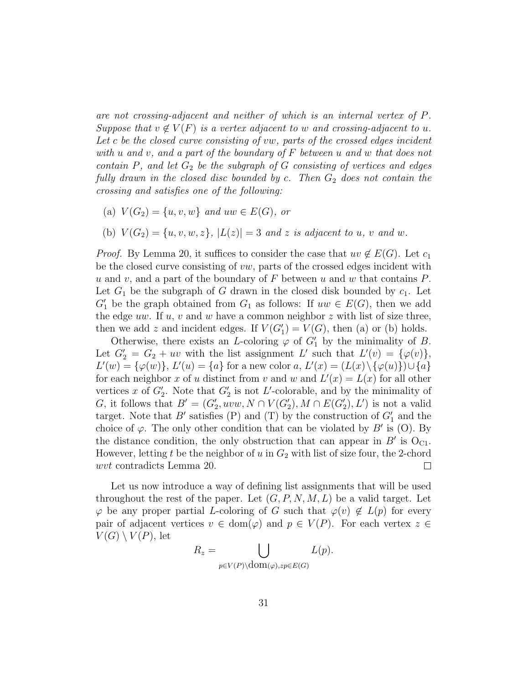are not crossing-adjacent and neither of which is an internal vertex of P. Suppose that  $v \notin V(F)$  is a vertex adjacent to w and crossing-adjacent to u. Let c be the closed curve consisting of vw, parts of the crossed edges incident with u and v, and a part of the boundary of  $F$  between u and w that does not contain  $P$ , and let  $G_2$  be the subgraph of  $G$  consisting of vertices and edges fully drawn in the closed disc bounded by c. Then  $G_2$  does not contain the crossing and satisfies one of the following:

- (a)  $V(G_2) = \{u, v, w\}$  and  $uw \in E(G)$ , or
- (b)  $V(G_2) = \{u, v, w, z\}, |L(z)| = 3$  and z is adjacent to u, v and w.

*Proof.* By Lemma 20, it suffices to consider the case that  $uv \notin E(G)$ . Let  $c_1$ be the closed curve consisting of  $vw$ , parts of the crossed edges incident with u and v, and a part of the boundary of F between u and w that contains  $P$ . Let  $G_1$  be the subgraph of G drawn in the closed disk bounded by  $c_1$ . Let  $G'_{1}$  be the graph obtained from  $G_{1}$  as follows: If  $uw \in E(G)$ , then we add the edge uw. If u, v and w have a common neighbor  $z$  with list of size three, then we add z and incident edges. If  $V(G'_{1}) = V(G)$ , then (a) or (b) holds.

Otherwise, there exists an *L*-coloring  $\varphi$  of  $G'_1$  by the minimality of *B*. Let  $G_2' = G_2 + uv$  with the list assignment L' such that  $L'(v) = {\varphi(v)},$  $L'(w) = {\varphi(w)}$ ,  $L'(u) = {a}$  for a new color  $a, L'(x) = (L(x) \setminus {\varphi(u)}) \cup {a}$ for each neighbor x of u distinct from v and w and  $L'(x) = L(x)$  for all other vertices x of  $G_2'$ . Note that  $G_2'$  is not L'-colorable, and by the minimality of G, it follows that  $B' = (G'_2,uvw, N \cap V(G'_2), M \cap E(G'_2), L')$  is not a valid target. Note that  $B'$  satisfies (P) and (T) by the construction of  $G'_1$  and the choice of  $\varphi$ . The only other condition that can be violated by B' is (O). By the distance condition, the only obstruction that can appear in  $B'$  is  $O_{C1}$ . However, letting t be the neighbor of u in  $G_2$  with list of size four, the 2-chord wvt contradicts Lemma 20.  $\Box$ 

Let us now introduce a way of defining list assignments that will be used throughout the rest of the paper. Let  $(G, P, N, M, L)$  be a valid target. Let  $\varphi$  be any proper partial L-coloring of G such that  $\varphi(v) \notin L(p)$  for every pair of adjacent vertices  $v \in \text{dom}(\varphi)$  and  $p \in V(P)$ . For each vertex  $z \in$  $V(G) \setminus V(P)$ , let

$$
R_z = \bigcup_{p \in V(P) \setminus \text{dom}(\varphi), zp \in E(G)} L(p).
$$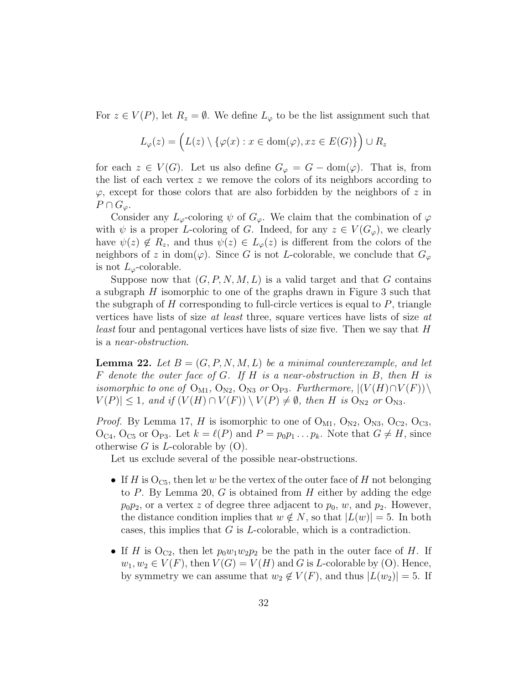For  $z \in V(P)$ , let  $R_z = \emptyset$ . We define  $L_{\varphi}$  to be the list assignment such that

$$
L_{\varphi}(z) = \left( L(z) \setminus \{ \varphi(x) : x \in \text{dom}(\varphi), xz \in E(G) \} \right) \cup R_z
$$

for each  $z \in V(G)$ . Let us also define  $G_{\varphi} = G - \text{dom}(\varphi)$ . That is, from the list of each vertex  $z$  we remove the colors of its neighbors according to  $\varphi$ , except for those colors that are also forbidden by the neighbors of z in  $P \cap G_{\varphi}$ .

Consider any  $L_{\varphi}$ -coloring  $\psi$  of  $G_{\varphi}$ . We claim that the combination of  $\varphi$ with  $\psi$  is a proper L-coloring of G. Indeed, for any  $z \in V(G_{\varphi})$ , we clearly have  $\psi(z) \notin R_z$ , and thus  $\psi(z) \in L_{\varphi}(z)$  is different from the colors of the neighbors of z in dom( $\varphi$ ). Since G is not L-colorable, we conclude that  $G_{\varphi}$ is not  $L_{\varphi}$ -colorable.

Suppose now that  $(G, P, N, M, L)$  is a valid target and that G contains a subgraph H isomorphic to one of the graphs drawn in Figure 3 such that the subgraph of  $H$  corresponding to full-circle vertices is equal to  $P$ , triangle vertices have lists of size at least three, square vertices have lists of size at least four and pentagonal vertices have lists of size five. Then we say that H is a near-obstruction.

**Lemma 22.** Let  $B = (G, P, N, M, L)$  be a minimal counterexample, and let F denote the outer face of G. If H is a near-obstruction in B, then H is isomorphic to one of  $O_{M1}$ ,  $O_{N2}$ ,  $O_{N3}$  or  $O_{P3}$ . Furthermore,  $|(V(H) \cap V(F)) \setminus$  $|V(P)| \leq 1$ , and if  $(V(H) \cap V(F)) \setminus V(P) \neq \emptyset$ , then H is  $O_{N2}$  or  $O_{N3}$ .

*Proof.* By Lemma 17, H is isomorphic to one of  $O_{M1}$ ,  $O_{N2}$ ,  $O_{N3}$ ,  $O_{C2}$ ,  $O_{C3}$ ,  $O_{C4}$ ,  $O_{C5}$  or  $O_{P3}$ . Let  $k = \ell(P)$  and  $P = p_0p_1 \ldots p_k$ . Note that  $G \neq H$ , since otherwise G is L-colorable by  $(O)$ .

Let us exclude several of the possible near-obstructions.

- If H is  $O<sub>C5</sub>$ , then let w be the vertex of the outer face of H not belonging to P. By Lemma 20, G is obtained from  $H$  either by adding the edge  $p_0p_2$ , or a vertex z of degree three adjacent to  $p_0$ , w, and  $p_2$ . However, the distance condition implies that  $w \notin N$ , so that  $|L(w)| = 5$ . In both cases, this implies that G is L-colorable, which is a contradiction.
- If H is  $O_{C2}$ , then let  $p_0w_1w_2p_2$  be the path in the outer face of H. If  $w_1, w_2 \in V(F)$ , then  $V(G) = V(H)$  and G is L-colorable by (O). Hence, by symmetry we can assume that  $w_2 \notin V(F)$ , and thus  $|L(w_2)| = 5$ . If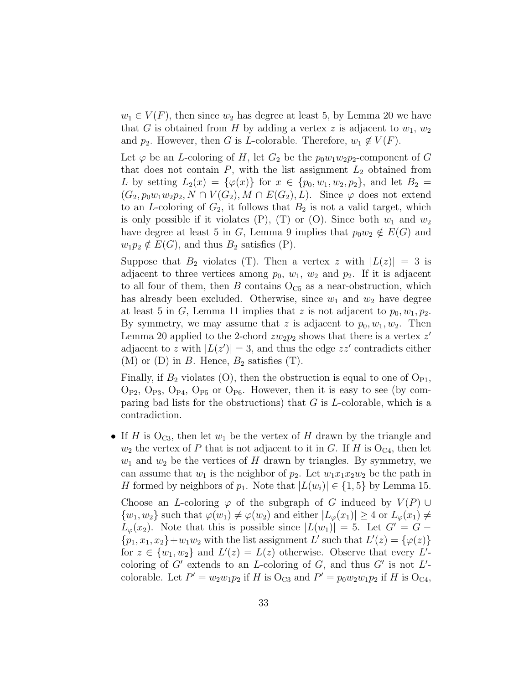$w_1 \in V(F)$ , then since  $w_2$  has degree at least 5, by Lemma 20 we have that G is obtained from H by adding a vertex z is adjacent to  $w_1, w_2$ and  $p_2$ . However, then G is L-colorable. Therefore,  $w_1 \notin V(F)$ .

Let  $\varphi$  be an *L*-coloring of H, let  $G_2$  be the  $p_0w_1w_2p_2$ -component of G that does not contain  $P$ , with the list assignment  $L_2$  obtained from L by setting  $L_2(x) = {\varphi(x)}$  for  $x \in {p_0, w_1, w_2, p_2}$ , and let  $B_2 =$  $(G_2, p_0w_1w_2p_2, N \cap V(G_2), M \cap E(G_2), L)$ . Since  $\varphi$  does not extend to an L-coloring of  $G_2$ , it follows that  $B_2$  is not a valid target, which is only possible if it violates  $(P)$ ,  $(T)$  or  $(O)$ . Since both  $w_1$  and  $w_2$ have degree at least 5 in G, Lemma 9 implies that  $p_0w_2 \notin E(G)$  and  $w_1p_2 \notin E(G)$ , and thus  $B_2$  satisfies (P).

Suppose that  $B_2$  violates (T). Then a vertex z with  $|L(z)| = 3$  is adjacent to three vertices among  $p_0$ ,  $w_1$ ,  $w_2$  and  $p_2$ . If it is adjacent to all four of them, then B contains  $O<sub>C5</sub>$  as a near-obstruction, which has already been excluded. Otherwise, since  $w_1$  and  $w_2$  have degree at least 5 in G, Lemma 11 implies that z is not adjacent to  $p_0, w_1, p_2$ . By symmetry, we may assume that z is adjacent to  $p_0, w_1, w_2$ . Then Lemma 20 applied to the 2-chord  $zw_2p_2$  shows that there is a vertex  $z'$ adjacent to z with  $|L(z')| = 3$ , and thus the edge  $zz'$  contradicts either (M) or (D) in B. Hence,  $B_2$  satisfies (T).

Finally, if  $B_2$  violates (O), then the obstruction is equal to one of  $O_{P1}$ ,  $O_{P2}$ ,  $O_{P3}$ ,  $O_{P4}$ ,  $O_{P5}$  or  $O_{P6}$ . However, then it is easy to see (by comparing bad lists for the obstructions) that  $G$  is  $L$ -colorable, which is a contradiction.

• If H is  $O_{C3}$ , then let  $w_1$  be the vertex of H drawn by the triangle and  $w_2$  the vertex of P that is not adjacent to it in G. If H is  $O_{C4}$ , then let  $w_1$  and  $w_2$  be the vertices of H drawn by triangles. By symmetry, we can assume that  $w_1$  is the neighbor of  $p_2$ . Let  $w_1x_1x_2w_2$  be the path in H formed by neighbors of  $p_1$ . Note that  $|L(w_i)| \in \{1, 5\}$  by Lemma 15.

Choose an L-coloring  $\varphi$  of the subgraph of G induced by  $V(P) \cup$  $\{w_1, w_2\}$  such that  $\varphi(w_1) \neq \varphi(w_2)$  and either  $|L_\varphi(x_1)| \geq 4$  or  $L_\varphi(x_1) \neq 0$  $L_{\varphi}(x_2)$ . Note that this is possible since  $|L(w_1)| = 5$ . Let  $G' = G \{p_1, x_1, x_2\} + w_1w_2$  with the list assignment L' such that  $L'(z) = {\varphi(z)}$ for  $z \in \{w_1, w_2\}$  and  $L'(z) = L(z)$  otherwise. Observe that every  $L'$ coloring of  $G'$  extends to an *L*-coloring of  $G$ , and thus  $G'$  is not  $L'$ colorable. Let  $P' = w_2w_1p_2$  if H is  $O_{C3}$  and  $P' = p_0w_2w_1p_2$  if H is  $O_{C4}$ ,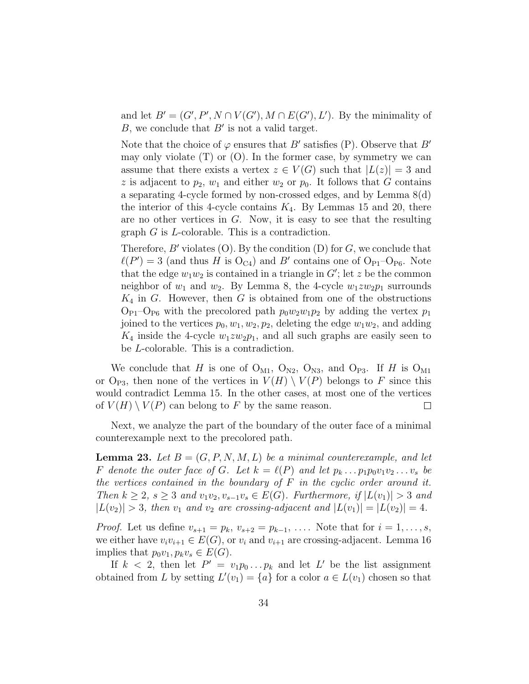and let  $B' = (G', P', N \cap V(G'), M \cap E(G'), L')$ . By the minimality of B, we conclude that  $B'$  is not a valid target.

Note that the choice of  $\varphi$  ensures that B' satisfies (P). Observe that B' may only violate  $(T)$  or  $(0)$ . In the former case, by symmetry we can assume that there exists a vertex  $z \in V(G)$  such that  $|L(z)| = 3$  and z is adjacent to  $p_2$ ,  $w_1$  and either  $w_2$  or  $p_0$ . It follows that G contains a separating 4-cycle formed by non-crossed edges, and by Lemma 8(d) the interior of this 4-cycle contains  $K_4$ . By Lemmas 15 and 20, there are no other vertices in  $G$ . Now, it is easy to see that the resulting graph G is L-colorable. This is a contradiction.

Therefore, B' violates (O). By the condition (D) for G, we conclude that  $\ell(P') = 3$  (and thus H is  $O_{C4}$ ) and B' contains one of  $O_{P1}-O_{P6}$ . Note that the edge  $w_1w_2$  is contained in a triangle in  $G'$ ; let z be the common neighbor of  $w_1$  and  $w_2$ . By Lemma 8, the 4-cycle  $w_1zw_2p_1$  surrounds  $K_4$  in G. However, then G is obtained from one of the obstructions  $O_{P1}-O_{P6}$  with the precolored path  $p_0w_2w_1p_2$  by adding the vertex  $p_1$ joined to the vertices  $p_0, w_1, w_2, p_2$ , deleting the edge  $w_1w_2$ , and adding  $K_4$  inside the 4-cycle  $w_1zw_2p_1$ , and all such graphs are easily seen to be L-colorable. This is a contradiction.

We conclude that H is one of  $O_{M1}$ ,  $O_{N2}$ ,  $O_{N3}$ , and  $O_{P3}$ . If H is  $O_{M1}$ or O<sub>P3</sub>, then none of the vertices in  $V(H) \setminus V(P)$  belongs to F since this would contradict Lemma 15. In the other cases, at most one of the vertices of  $V(H) \setminus V(P)$  can belong to F by the same reason.  $\Box$ 

Next, we analyze the part of the boundary of the outer face of a minimal counterexample next to the precolored path.

**Lemma 23.** Let  $B = (G, P, N, M, L)$  be a minimal counterexample, and let F denote the outer face of G. Let  $k = \ell(P)$  and let  $p_k \n\t\dots p_1 p_0v_1v_2 \dots v_s$  be the vertices contained in the boundary of  $F$  in the cyclic order around it. Then  $k \geq 2$ ,  $s \geq 3$  and  $v_1v_2, v_{s-1}v_s \in E(G)$ . Furthermore, if  $|L(v_1)| > 3$  and  $|L(v_2)| > 3$ , then  $v_1$  and  $v_2$  are crossing-adjacent and  $|L(v_1)| = |L(v_2)| = 4$ .

*Proof.* Let us define  $v_{s+1} = p_k$ ,  $v_{s+2} = p_{k-1}$ , .... Note that for  $i = 1, ..., s$ , we either have  $v_i v_{i+1} \in E(G)$ , or  $v_i$  and  $v_{i+1}$  are crossing-adjacent. Lemma 16 implies that  $p_0v_1, p_kv_s \in E(G)$ .

If  $k < 2$ , then let  $P' = v_1 p_0 \dots p_k$  and let L' be the list assignment obtained from L by setting  $L'(v_1) = \{a\}$  for a color  $a \in L(v_1)$  chosen so that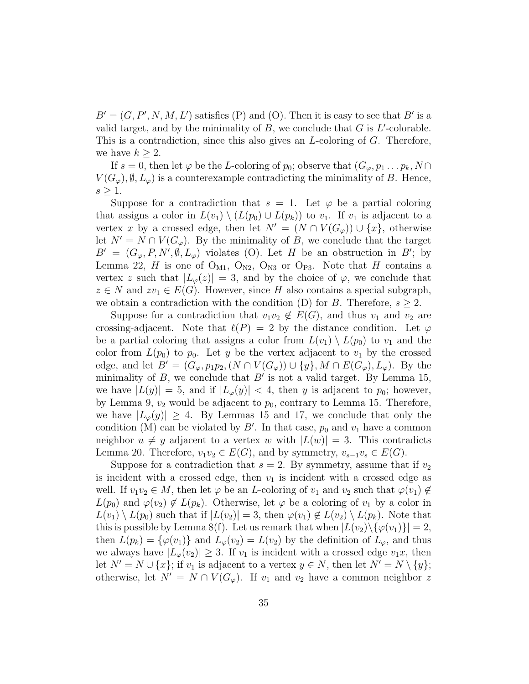$B' = (G, P', N, M, L')$  satisfies (P) and (O). Then it is easy to see that  $B'$  is a valid target, and by the minimality of  $B$ , we conclude that  $G$  is  $L'$ -colorable. This is a contradiction, since this also gives an L-coloring of G. Therefore, we have  $k \geq 2$ .

If  $s = 0$ , then let  $\varphi$  be the L-coloring of  $p_0$ ; observe that  $(G_{\varphi}, p_1 \ldots p_k, N \cap$  $V(G_{\varphi}), \emptyset, L_{\varphi}$  is a counterexample contradicting the minimality of B. Hence,  $s \geq 1$ .

Suppose for a contradiction that  $s = 1$ . Let  $\varphi$  be a partial coloring that assigns a color in  $L(v_1) \setminus (L(p_0) \cup L(p_k))$  to  $v_1$ . If  $v_1$  is adjacent to a vertex x by a crossed edge, then let  $N' = (N \cap V(G_{\varphi})) \cup \{x\}$ , otherwise let  $N' = N \cap V(G_{\varphi})$ . By the minimality of B, we conclude that the target  $B' = (G_{\varphi}, P, N', \emptyset, L_{\varphi})$  violates (O). Let H be an obstruction in B'; by Lemma 22, H is one of  $O_{M1}$ ,  $O_{N2}$ ,  $O_{N3}$  or  $O_{P3}$ . Note that H contains a vertex z such that  $|L_{\varphi}(z)| = 3$ , and by the choice of  $\varphi$ , we conclude that  $z \in N$  and  $zv_1 \in E(G)$ . However, since H also contains a special subgraph, we obtain a contradiction with the condition (D) for B. Therefore,  $s \geq 2$ .

Suppose for a contradiction that  $v_1v_2 \notin E(G)$ , and thus  $v_1$  and  $v_2$  are crossing-adjacent. Note that  $\ell(P) = 2$  by the distance condition. Let  $\varphi$ be a partial coloring that assigns a color from  $L(v_1) \setminus L(p_0)$  to  $v_1$  and the color from  $L(p_0)$  to  $p_0$ . Let y be the vertex adjacent to  $v_1$  by the crossed edge, and let  $B' = (G_{\varphi}, p_1p_2, (N \cap V(G_{\varphi})) \cup \{y\}, M \cap E(G_{\varphi}), L_{\varphi})$ . By the minimality of  $B$ , we conclude that  $B'$  is not a valid target. By Lemma 15, we have  $|L(y)| = 5$ , and if  $|L_{\varphi}(y)| < 4$ , then y is adjacent to  $p_0$ ; however, by Lemma 9,  $v_2$  would be adjacent to  $p_0$ , contrary to Lemma 15. Therefore, we have  $|L_{\varphi}(y)| \geq 4$ . By Lemmas 15 and 17, we conclude that only the condition (M) can be violated by  $B'$ . In that case,  $p_0$  and  $v_1$  have a common neighbor  $u \neq y$  adjacent to a vertex w with  $|L(w)| = 3$ . This contradicts Lemma 20. Therefore,  $v_1v_2 \in E(G)$ , and by symmetry,  $v_{s-1}v_s \in E(G)$ .

Suppose for a contradiction that  $s = 2$ . By symmetry, assume that if  $v_2$ is incident with a crossed edge, then  $v_1$  is incident with a crossed edge as well. If  $v_1v_2 \in M$ , then let  $\varphi$  be an *L*-coloring of  $v_1$  and  $v_2$  such that  $\varphi(v_1) \notin$  $L(p_0)$  and  $\varphi(v_2) \notin L(p_k)$ . Otherwise, let  $\varphi$  be a coloring of  $v_1$  by a color in  $L(v_1) \setminus L(p_0)$  such that if  $|L(v_2)| = 3$ , then  $\varphi(v_1) \notin L(v_2) \setminus L(p_k)$ . Note that this is possible by Lemma 8(f). Let us remark that when  $|L(v_2)\rangle \{\varphi(v_1)\}| = 2$ , then  $L(p_k) = {\varphi(v_1)}$  and  $L_\varphi(v_2) = L(v_2)$  by the definition of  $L_\varphi$ , and thus we always have  $|L_{\varphi}(v_2)| \geq 3$ . If  $v_1$  is incident with a crossed edge  $v_1x$ , then let  $N' = N \cup \{x\}$ ; if  $v_1$  is adjacent to a vertex  $y \in N$ , then let  $N' = N \setminus \{y\}$ ; otherwise, let  $N' = N \cap V(G_{\varphi})$ . If  $v_1$  and  $v_2$  have a common neighbor z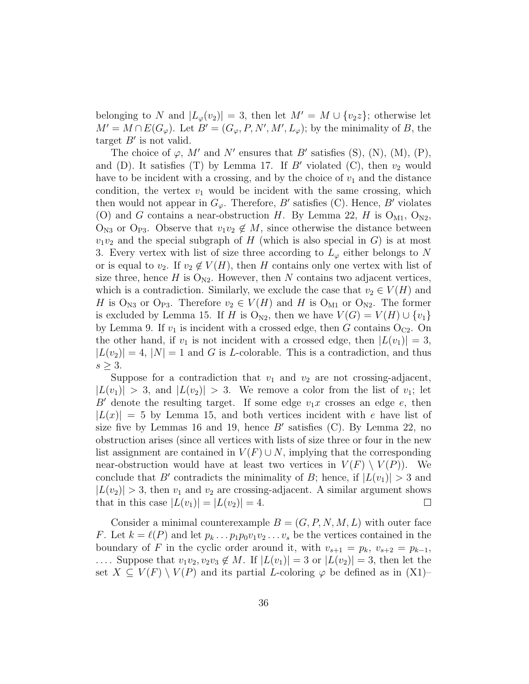belonging to N and  $|L_{\varphi}(v_2)| = 3$ , then let  $M' = M \cup \{v_2\ z\}$ ; otherwise let  $M' = M \cap E(G_{\varphi}).$  Let  $B' = (G_{\varphi}, P, N', M', L_{\varphi});$  by the minimality of B, the target  $B'$  is not valid.

The choice of  $\varphi$ , M' and N' ensures that B' satisfies (S), (N), (M), (P), and (D). It satisfies (T) by Lemma 17. If B' violated (C), then  $v_2$  would have to be incident with a crossing, and by the choice of  $v_1$  and the distance condition, the vertex  $v_1$  would be incident with the same crossing, which then would not appear in  $G_{\varphi}$ . Therefore, B' satisfies (C). Hence, B' violates (O) and G contains a near-obstruction H. By Lemma 22, H is  $O_{M1}$ ,  $O_{N2}$ ,  $O_{N3}$  or  $O_{P3}$ . Observe that  $v_1v_2 \notin M$ , since otherwise the distance between  $v_1v_2$  and the special subgraph of H (which is also special in G) is at most 3. Every vertex with list of size three according to  $L_{\varphi}$  either belongs to N or is equal to  $v_2$ . If  $v_2 \notin V(H)$ , then H contains only one vertex with list of size three, hence H is  $O_{N2}$ . However, then N contains two adjacent vertices, which is a contradiction. Similarly, we exclude the case that  $v_2 \in V(H)$  and H is O<sub>N3</sub> or O<sub>P3</sub>. Therefore  $v_2 \in V(H)$  and H is O<sub>M1</sub> or O<sub>N2</sub>. The former is excluded by Lemma 15. If H is O<sub>N2</sub>, then we have  $V(G) = V(H) \cup \{v_1\}$ by Lemma 9. If  $v_1$  is incident with a crossed edge, then G contains  $O_{C2}$ . On the other hand, if  $v_1$  is not incident with a crossed edge, then  $|L(v_1)| = 3$ ,  $|L(v_2)| = 4$ ,  $|N| = 1$  and G is L-colorable. This is a contradiction, and thus  $s \geq 3$ .

Suppose for a contradiction that  $v_1$  and  $v_2$  are not crossing-adjacent,  $|L(v_1)| > 3$ , and  $|L(v_2)| > 3$ . We remove a color from the list of  $v_1$ ; let B' denote the resulting target. If some edge  $v_1x$  crosses an edge e, then  $|L(x)| = 5$  by Lemma 15, and both vertices incident with e have list of size five by Lemmas 16 and 19, hence  $B'$  satisfies (C). By Lemma 22, no obstruction arises (since all vertices with lists of size three or four in the new list assignment are contained in  $V(F) \cup N$ , implying that the corresponding near-obstruction would have at least two vertices in  $V(F) \setminus V(P)$ . We conclude that B' contradicts the minimality of B; hence, if  $|L(v_1)| > 3$  and  $|L(v_2)| > 3$ , then  $v_1$  and  $v_2$  are crossing-adjacent. A similar argument shows that in this case  $|L(v_1)| = |L(v_2)| = 4$ . that in this case  $|L(v_1)| = |L(v_2)| = 4$ .

Consider a minimal counterexample  $B = (G, P, N, M, L)$  with outer face F. Let  $k = \ell(P)$  and let  $p_k \n\t\dots p_1 p_0 v_1 v_2 \dots v_s$  be the vertices contained in the boundary of F in the cyclic order around it, with  $v_{s+1} = p_k$ ,  $v_{s+2} = p_{k-1}$ , .... Suppose that  $v_1v_2, v_2v_3 \notin M$ . If  $|L(v_1)| = 3$  or  $|L(v_2)| = 3$ , then let the set  $X \subseteq V(F) \setminus V(P)$  and its partial L-coloring  $\varphi$  be defined as in  $(X1)$ –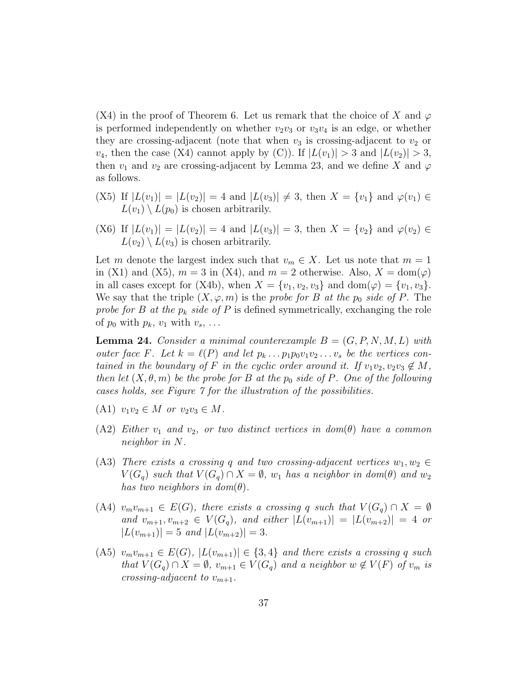(X4) in the proof of Theorem 6. Let us remark that the choice of X and  $\varphi$ is performed independently on whether  $v_2v_3$  or  $v_3v_4$  is an edge, or whether they are crossing-adjacent (note that when  $v_3$  is crossing-adjacent to  $v_2$  or  $v_4$ , then the case (X4) cannot apply by (C)). If  $|L(v_1)| > 3$  and  $|L(v_2)| > 3$ , then  $v_1$  and  $v_2$  are crossing-adjacent by Lemma 23, and we define X and  $\varphi$ as follows.

- (X5) If  $|L(v_1)| = |L(v_2)| = 4$  and  $|L(v_3)| \neq 3$ , then  $X = \{v_1\}$  and  $\varphi(v_1) \in$  $L(v_1) \setminus L(p_0)$  is chosen arbitrarily.
- (X6) If  $|L(v_1)| = |L(v_2)| = 4$  and  $|L(v_3)| = 3$ , then  $X = \{v_2\}$  and  $\varphi(v_2) \in$  $L(v_2) \setminus L(v_3)$  is chosen arbitrarily.

Let m denote the largest index such that  $v_m \in X$ . Let us note that  $m = 1$ in (X1) and (X5),  $m = 3$  in (X4), and  $m = 2$  otherwise. Also,  $X = \text{dom}(\varphi)$ in all cases except for (X4b), when  $X = \{v_1, v_2, v_3\}$  and  $dom(\varphi) = \{v_1, v_3\}.$ We say that the triple  $(X, \varphi, m)$  is the probe for B at the p<sub>0</sub> side of P. The probe for B at the  $p_k$  side of P is defined symmetrically, exchanging the role of  $p_0$  with  $p_k$ ,  $v_1$  with  $v_s$ , ...

**Lemma 24.** Consider a minimal counterexample  $B = (G, P, N, M, L)$  with outer face F. Let  $k = \ell(P)$  and let  $p_k \dots p_1 p_0 v_1 v_2 \dots v_s$  be the vertices contained in the boundary of F in the cyclic order around it. If  $v_1v_2, v_2v_3 \notin M$ , then let  $(X, \theta, m)$  be the probe for B at the  $p_0$  side of P. One of the following cases holds, see Figure 7 for the illustration of the possibilities.

- (A1)  $v_1v_2 \in M$  or  $v_2v_3 \in M$ .
- (A2) Either  $v_1$  and  $v_2$ , or two distinct vertices in dom( $\theta$ ) have a common neighbor in N.
- (A3) There exists a crossing q and two crossing-adjacent vertices  $w_1, w_2 \in$  $V(G_q)$  such that  $V(G_q) \cap X = \emptyset$ ,  $w_1$  has a neighbor in dom( $\theta$ ) and  $w_2$ has two neighbors in  $dom(\theta)$ .
- (A4)  $v_mv_{m+1} \in E(G)$ , there exists a crossing q such that  $V(G_q) \cap X = \emptyset$ and  $v_{m+1}, v_{m+2} \in V(G_q)$ , and either  $|L(v_{m+1})| = |L(v_{m+2})| = 4$  or  $|L(v_{m+1})| = 5$  and  $|L(v_{m+2})| = 3$ .
- (A5)  $v_mv_{m+1} \in E(G)$ ,  $|L(v_{m+1})| \in \{3,4\}$  and there exists a crossing q such that  $V(G_q) \cap X = \emptyset$ ,  $v_{m+1} \in V(G_q)$  and a neighbor  $w \notin V(F)$  of  $v_m$  is crossing-adjacent to  $v_{m+1}$ .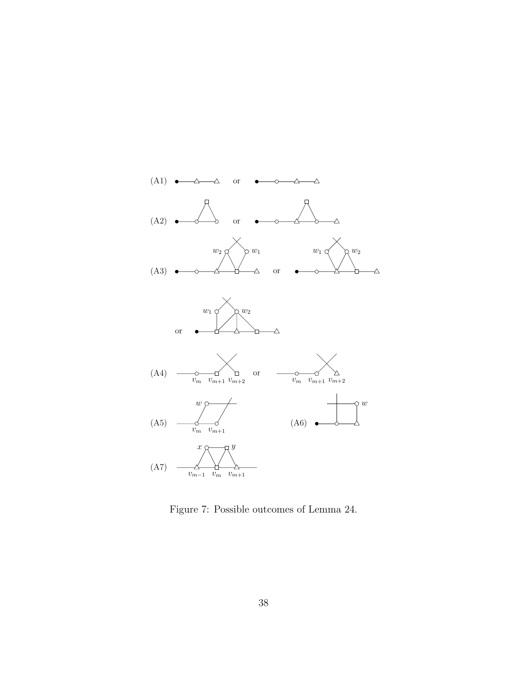

Figure 7: Possible outcomes of Lemma 24.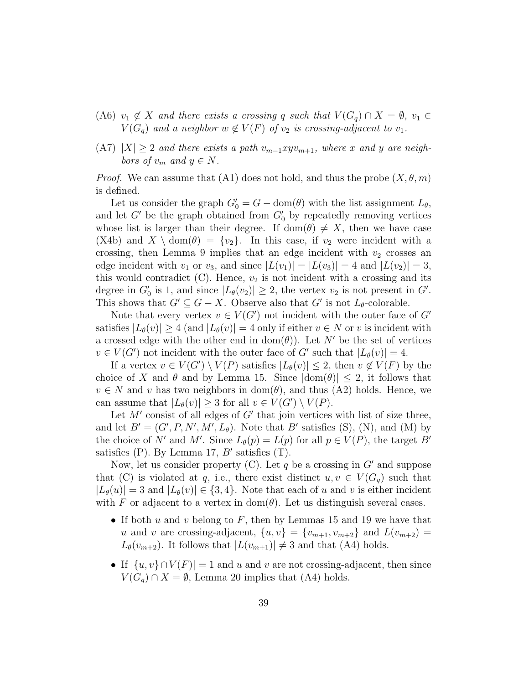- (A6)  $v_1 \notin X$  and there exists a crossing q such that  $V(G_q) \cap X = \emptyset$ ,  $v_1 \in$  $V(G_q)$  and a neighbor  $w \notin V(F)$  of  $v_2$  is crossing-adjacent to  $v_1$ .
- $(A7)$   $|X| \geq 2$  and there exists a path  $v_{m-1}xyv_{m+1}$ , where x and y are neighbors of  $v_m$  and  $y \in N$ .

*Proof.* We can assume that (A1) does not hold, and thus the probe  $(X, \theta, m)$ is defined.

Let us consider the graph  $G_0' = G - \text{dom}(\theta)$  with the list assignment  $L_{\theta}$ , and let  $G'$  be the graph obtained from  $G'_{0}$  by repeatedly removing vertices whose list is larger than their degree. If dom( $\theta$ )  $\neq X$ , then we have case (X4b) and  $X \setminus \text{dom}(\theta) = \{v_2\}$ . In this case, if  $v_2$  were incident with a crossing, then Lemma 9 implies that an edge incident with  $v_2$  crosses an edge incident with  $v_1$  or  $v_3$ , and since  $|L(v_1)| = |L(v_3)| = 4$  and  $|L(v_2)| = 3$ , this would contradict  $(C)$ . Hence,  $v_2$  is not incident with a crossing and its degree in  $G'_0$  is 1, and since  $|L_{\theta}(v_2)| \geq 2$ , the vertex  $v_2$  is not present in  $G'$ . This shows that  $G' \subseteq G - X$ . Observe also that  $G'$  is not  $L_{\theta}$ -colorable.

Note that every vertex  $v \in V(G')$  not incident with the outer face of G' satisfies  $|L_{\theta}(v)| \geq 4$  (and  $|L_{\theta}(v)| = 4$  only if either  $v \in N$  or v is incident with a crossed edge with the other end in  $dom(\theta)$ . Let N' be the set of vertices  $v \in V(G')$  not incident with the outer face of G' such that  $|L_{\theta}(v)| = 4$ .

If a vertex  $v \in V(G') \setminus V(P)$  satisfies  $|L_{\theta}(v)| \leq 2$ , then  $v \notin V(F)$  by the choice of X and  $\theta$  and by Lemma 15. Since  $|\text{dom}(\theta)| \leq 2$ , it follows that  $v \in N$  and v has two neighbors in  $dom(\theta)$ , and thus (A2) holds. Hence, we can assume that  $|L_{\theta}(v)| \geq 3$  for all  $v \in V(G') \setminus V(P)$ .

Let  $M'$  consist of all edges of  $G'$  that join vertices with list of size three, and let  $B' = (G', P, N', M', L_{\theta})$ . Note that B' satisfies (S), (N), and (M) by the choice of N' and M'. Since  $L_{\theta}(p) = L(p)$  for all  $p \in V(P)$ , the target B' satisfies (P). By Lemma 17,  $B'$  satisfies (T).

Now, let us consider property (C). Let q be a crossing in  $G'$  and suppose that (C) is violated at q, i.e., there exist distinct  $u, v \in V(G_q)$  such that  $|L_{\theta}(u)| = 3$  and  $|L_{\theta}(v)| \in \{3, 4\}$ . Note that each of u and v is either incident with F or adjacent to a vertex in dom( $\theta$ ). Let us distinguish several cases.

- If both u and v belong to F, then by Lemmas 15 and 19 we have that u and v are crossing-adjacent,  $\{u, v\} = \{v_{m+1}, v_{m+2}\}\$  and  $L(v_{m+2}) =$  $L_{\theta}(v_{m+2})$ . It follows that  $|L(v_{m+1})| \neq 3$  and that (A4) holds.
- If  $|\{u, v\} \cap V(F)| = 1$  and u and v are not crossing-adjacent, then since  $V(G_q) \cap X = \emptyset$ , Lemma 20 implies that (A4) holds.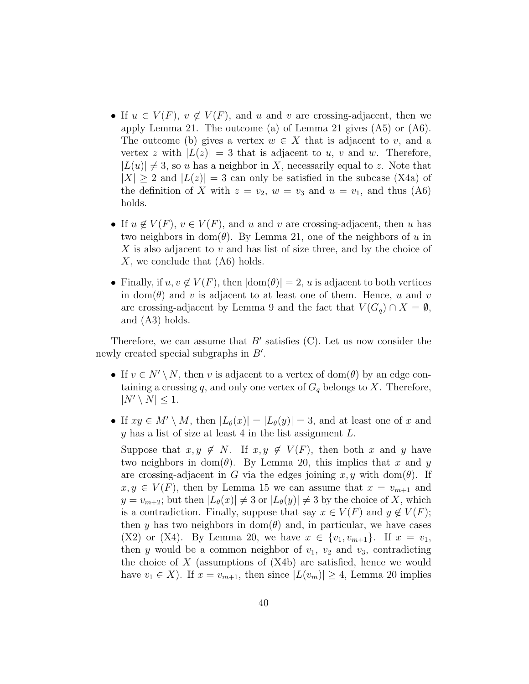- If  $u \in V(F)$ ,  $v \notin V(F)$ , and u and v are crossing-adjacent, then we apply Lemma 21. The outcome (a) of Lemma 21 gives (A5) or (A6). The outcome (b) gives a vertex  $w \in X$  that is adjacent to v, and a vertex z with  $|L(z)| = 3$  that is adjacent to u, v and w. Therefore,  $|L(u)| \neq 3$ , so u has a neighbor in X, necessarily equal to z. Note that  $|X| \geq 2$  and  $|L(z)| = 3$  can only be satisfied in the subcase (X4a) of the definition of X with  $z = v_2$ ,  $w = v_3$  and  $u = v_1$ , and thus (A6) holds.
- If  $u \notin V(F)$ ,  $v \in V(F)$ , and u and v are crossing-adjacent, then u has two neighbors in dom( $\theta$ ). By Lemma 21, one of the neighbors of u in X is also adjacent to  $v$  and has list of size three, and by the choice of X, we conclude that  $(A6)$  holds.
- Finally, if  $u, v \notin V(F)$ , then  $|\text{dom}(\theta)| = 2$ , u is adjacent to both vertices in dom( $\theta$ ) and v is adjacent to at least one of them. Hence, u and v are crossing-adjacent by Lemma 9 and the fact that  $V(G_q) \cap X = \emptyset$ , and (A3) holds.

Therefore, we can assume that  $B'$  satisfies (C). Let us now consider the newly created special subgraphs in  $B'$ .

- If  $v \in N' \setminus N$ , then v is adjacent to a vertex of dom( $\theta$ ) by an edge containing a crossing q, and only one vertex of  $G_q$  belongs to X. Therefore,  $|N' \setminus N| \leq 1$ .
- If  $xy \in M' \setminus M$ , then  $|L_{\theta}(x)| = |L_{\theta}(y)| = 3$ , and at least one of x and y has a list of size at least 4 in the list assignment  $L$ .

Suppose that  $x, y \notin N$ . If  $x, y \notin V(F)$ , then both x and y have two neighbors in dom( $\theta$ ). By Lemma 20, this implies that x and y are crossing-adjacent in G via the edges joining  $x, y$  with dom( $\theta$ ). If  $x, y \in V(F)$ , then by Lemma 15 we can assume that  $x = v_{m+1}$  and  $y = v_{m+2}$ ; but then  $|L_{\theta}(x)| \neq 3$  or  $|L_{\theta}(y)| \neq 3$  by the choice of X, which is a contradiction. Finally, suppose that say  $x \in V(F)$  and  $y \notin V(F)$ ; then y has two neighbors in dom( $\theta$ ) and, in particular, we have cases (X2) or (X4). By Lemma 20, we have  $x \in \{v_1, v_{m+1}\}.$  If  $x = v_1$ , then y would be a common neighbor of  $v_1$ ,  $v_2$  and  $v_3$ , contradicting the choice of  $X$  (assumptions of  $(X4b)$  are satisfied, hence we would have  $v_1 \in X$ ). If  $x = v_{m+1}$ , then since  $|L(v_m)| \geq 4$ , Lemma 20 implies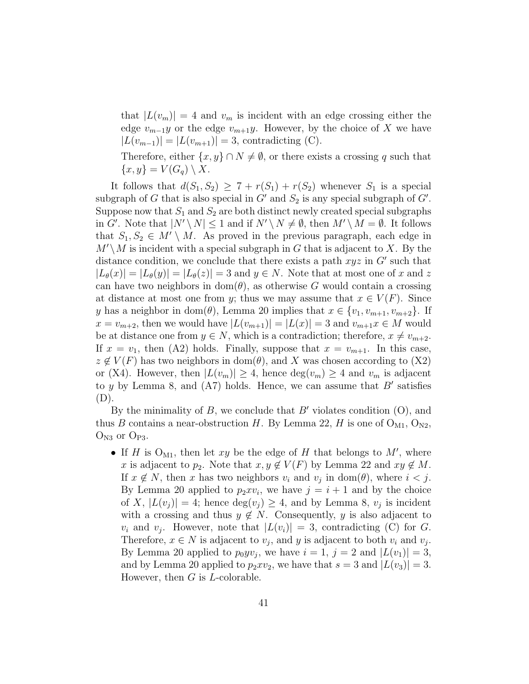that  $|L(v_m)| = 4$  and  $v_m$  is incident with an edge crossing either the edge  $v_{m-1}y$  or the edge  $v_{m+1}y$ . However, by the choice of X we have  $|L(v_{m-1})| = |L(v_{m+1})| = 3$ , contradicting (C).

Therefore, either  $\{x, y\} \cap N \neq \emptyset$ , or there exists a crossing q such that  $\{x,y\} = V(G_q) \setminus X$ .

It follows that  $d(S_1, S_2) \geq 7 + r(S_1) + r(S_2)$  whenever  $S_1$  is a special subgraph of G that is also special in  $G'$  and  $S_2$  is any special subgraph of  $G'$ . Suppose now that  $S_1$  and  $S_2$  are both distinct newly created special subgraphs in G'. Note that  $|N' \setminus N| \leq 1$  and if  $N' \setminus N \neq \emptyset$ , then  $M' \setminus M = \emptyset$ . It follows that  $S_1, S_2 \in M' \setminus M$ . As proved in the previous paragraph, each edge in  $M' \backslash M$  is incident with a special subgraph in G that is adjacent to X. By the distance condition, we conclude that there exists a path  $xyz$  in  $G'$  such that  $|L_{\theta}(x)| = |L_{\theta}(y)| = |L_{\theta}(z)| = 3$  and  $y \in N$ . Note that at most one of x and z can have two neighbors in  $dom(\theta)$ , as otherwise G would contain a crossing at distance at most one from y; thus we may assume that  $x \in V(F)$ . Since y has a neighbor in dom( $\theta$ ), Lemma 20 implies that  $x \in \{v_1, v_{m+1}, v_{m+2}\}.$  If  $x = v_{m+2}$ , then we would have  $|L(v_{m+1})| = |L(x)| = 3$  and  $v_{m+1}x \in M$  would be at distance one from  $y \in N$ , which is a contradiction; therefore,  $x \neq v_{m+2}$ . If  $x = v_1$ , then (A2) holds. Finally, suppose that  $x = v_{m+1}$ . In this case,  $z \notin V(F)$  has two neighbors in dom( $\theta$ ), and X was chosen according to (X2) or (X4). However, then  $|L(v_m)| \geq 4$ , hence  $\deg(v_m) \geq 4$  and  $v_m$  is adjacent to y by Lemma 8, and  $(A7)$  holds. Hence, we can assume that  $B'$  satisfies (D).

By the minimality of B, we conclude that  $B'$  violates condition  $(O)$ , and thus B contains a near-obstruction H. By Lemma 22, H is one of  $O_{M1}$ ,  $O_{N2}$ ,  $O_{N3}$  or  $O_{P3}$ .

• If H is  $O_{M1}$ , then let xy be the edge of H that belongs to M', where x is adjacent to  $p_2$ . Note that  $x, y \notin V(F)$  by Lemma 22 and  $xy \notin M$ . If  $x \notin N$ , then x has two neighbors  $v_i$  and  $v_j$  in dom( $\theta$ ), where  $i < j$ . By Lemma 20 applied to  $p_2 x v_i$ , we have  $j = i + 1$  and by the choice of X,  $|L(v_j)| = 4$ ; hence  $deg(v_j) \geq 4$ , and by Lemma 8,  $v_j$  is incident with a crossing and thus  $y \notin N$ . Consequently, y is also adjacent to  $v_i$  and  $v_j$ . However, note that  $|L(v_i)| = 3$ , contradicting (C) for G. Therefore,  $x \in N$  is adjacent to  $v_j$ , and y is adjacent to both  $v_i$  and  $v_j$ . By Lemma 20 applied to  $p_0yv_j$ , we have  $i = 1, j = 2$  and  $|L(v_1)| = 3$ , and by Lemma 20 applied to  $p_2xv_2$ , we have that  $s = 3$  and  $|L(v_3)| = 3$ . However, then  $G$  is  $L$ -colorable.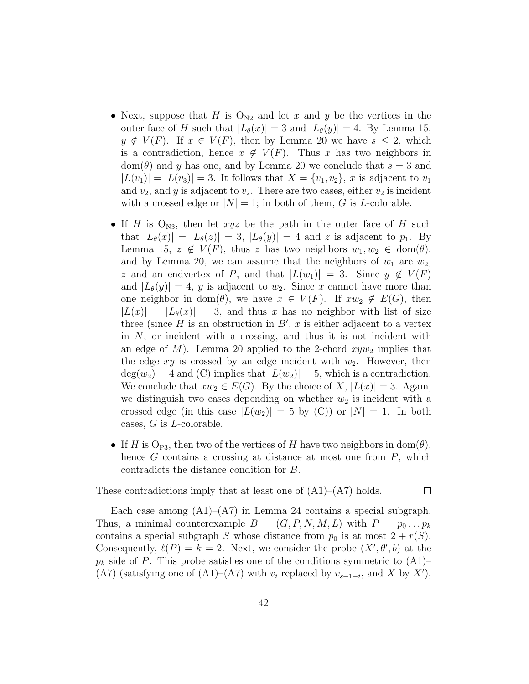- Next, suppose that H is  $O_{N2}$  and let x and y be the vertices in the outer face of H such that  $|L_{\theta}(x)| = 3$  and  $|L_{\theta}(y)| = 4$ . By Lemma 15,  $y \notin V(F)$ . If  $x \in V(F)$ , then by Lemma 20 we have  $s \leq 2$ , which is a contradiction, hence  $x \notin V(F)$ . Thus x has two neighbors in  $dom(\theta)$  and y has one, and by Lemma 20 we conclude that  $s = 3$  and  $|L(v_1)| = |L(v_3)| = 3$ . It follows that  $X = \{v_1, v_2\}, x$  is adjacent to  $v_1$ and  $v_2$ , and y is adjacent to  $v_2$ . There are two cases, either  $v_2$  is incident with a crossed edge or  $|N| = 1$ ; in both of them, G is L-colorable.
- If H is  $O_{N3}$ , then let xyz be the path in the outer face of H such that  $|L_{\theta}(x)| = |L_{\theta}(z)| = 3$ ,  $|L_{\theta}(y)| = 4$  and z is adjacent to  $p_1$ . By Lemma 15,  $z \notin V(F)$ , thus z has two neighbors  $w_1, w_2 \in \text{dom}(\theta)$ , and by Lemma 20, we can assume that the neighbors of  $w_1$  are  $w_2$ , z and an endvertex of P, and that  $|L(w_1)| = 3$ . Since  $y \notin V(F)$ and  $|L_{\theta}(y)| = 4$ , y is adjacent to  $w_2$ . Since x cannot have more than one neighbor in dom( $\theta$ ), we have  $x \in V(F)$ . If  $xw_2 \notin E(G)$ , then  $|L(x)| = |L_{\theta}(x)| = 3$ , and thus x has no neighbor with list of size three (since  $H$  is an obstruction in  $B'$ ,  $x$  is either adjacent to a vertex in N, or incident with a crossing, and thus it is not incident with an edge of M). Lemma 20 applied to the 2-chord  $xyw_2$  implies that the edge  $xy$  is crossed by an edge incident with  $w_2$ . However, then  $deg(w_2) = 4$  and (C) implies that  $|L(w_2)| = 5$ , which is a contradiction. We conclude that  $xw_2 \in E(G)$ . By the choice of X,  $|L(x)| = 3$ . Again, we distinguish two cases depending on whether  $w_2$  is incident with a crossed edge (in this case  $|L(w_2)| = 5$  by (C)) or  $|N| = 1$ . In both cases, G is L-colorable.
- If H is O<sub>P3</sub>, then two of the vertices of H have two neighbors in dom( $\theta$ ), hence  $G$  contains a crossing at distance at most one from  $P$ , which contradicts the distance condition for B.

 $\Box$ 

These contradictions imply that at least one of  $(A1)$ – $(A7)$  holds.

Each case among  $(A1)$ – $(A7)$  in Lemma 24 contains a special subgraph. Thus, a minimal counterexample  $B = (G, P, N, M, L)$  with  $P = p_0 \dots p_k$ contains a special subgraph S whose distance from  $p_0$  is at most  $2 + r(S)$ . Consequently,  $\ell(P) = k = 2$ . Next, we consider the probe  $(X', \theta', b)$  at the  $p_k$  side of P. This probe satisfies one of the conditions symmetric to  $(A1)$ – (A7) (satisfying one of (A1)–(A7) with  $v_i$  replaced by  $v_{s+1-i}$ , and X by X'),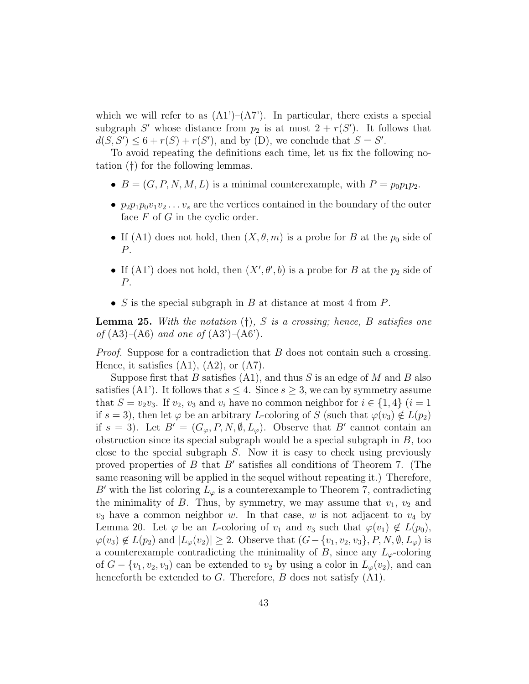which we will refer to as  $(A1')-(A7')$ . In particular, there exists a special subgraph S' whose distance from  $p_2$  is at most  $2 + r(S')$ . It follows that  $d(S, S') \leq 6 + r(S) + r(S')$ , and by (D), we conclude that  $S = S'$ .

To avoid repeating the definitions each time, let us fix the following notation (†) for the following lemmas.

- $B = (G, P, N, M, L)$  is a minimal counterexample, with  $P = p_0 p_1 p_2$ .
- $p_2p_1p_0v_1v_2 \ldots v_s$  are the vertices contained in the boundary of the outer face  $F$  of  $G$  in the cyclic order.
- If (A1) does not hold, then  $(X, \theta, m)$  is a probe for B at the  $p_0$  side of P.
- If (A1') does not hold, then  $(X', \theta', b)$  is a probe for B at the  $p_2$  side of P.
- S is the special subgraph in B at distance at most 4 from  $P$ .

**Lemma 25.** With the notation  $(t)$ , S is a crossing; hence, B satisfies one of  $(A3)$ – $(A6)$  and one of  $(A3')$ – $(A6')$ .

Proof. Suppose for a contradiction that B does not contain such a crossing. Hence, it satisfies  $(A1)$ ,  $(A2)$ , or  $(A7)$ .

Suppose first that B satisfies  $(A1)$ , and thus S is an edge of M and B also satisfies (A1'). It follows that  $s \leq 4$ . Since  $s \geq 3$ , we can by symmetry assume that  $S = v_2v_3$ . If  $v_2$ ,  $v_3$  and  $v_i$  have no common neighbor for  $i \in \{1,4\}$   $(i = 1$ if  $s = 3$ , then let  $\varphi$  be an arbitrary L-coloring of S (such that  $\varphi(v_3) \notin L(p_2)$ ) if  $s = 3$ ). Let  $B' = (G_{\varphi}, P, N, \emptyset, L_{\varphi})$ . Observe that  $B'$  cannot contain an obstruction since its special subgraph would be a special subgraph in  $B$ , too close to the special subgraph S. Now it is easy to check using previously proved properties of  $B$  that  $B'$  satisfies all conditions of Theorem 7. (The same reasoning will be applied in the sequel without repeating it.) Therefore, B' with the list coloring  $L_{\varphi}$  is a counterexample to Theorem 7, contradicting the minimality of  $B$ . Thus, by symmetry, we may assume that  $v_1$ ,  $v_2$  and  $v_3$  have a common neighbor w. In that case, w is not adjacent to  $v_4$  by Lemma 20. Let  $\varphi$  be an *L*-coloring of  $v_1$  and  $v_3$  such that  $\varphi(v_1) \notin L(p_0)$ ,  $\varphi(v_3) \notin L(p_2)$  and  $|L_{\varphi}(v_2)| \geq 2$ . Observe that  $(G - \{v_1, v_2, v_3\}, P, N, \emptyset, L_{\varphi})$  is a counterexample contradicting the minimality of B, since any  $L_{\varphi}$ -coloring of  $G - \{v_1, v_2, v_3\}$  can be extended to  $v_2$  by using a color in  $L_\varphi(v_2)$ , and can henceforth be extended to  $G$ . Therefore,  $B$  does not satisfy  $(A1)$ .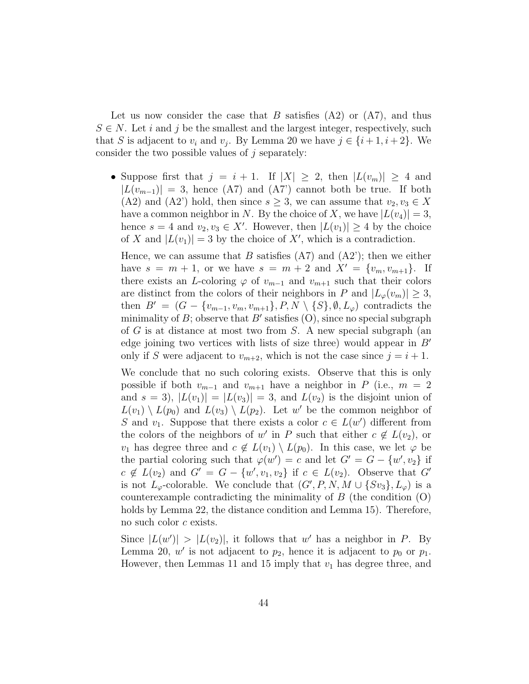Let us now consider the case that B satisfies  $(A2)$  or  $(A7)$ , and thus  $S \in N$ . Let i and j be the smallest and the largest integer, respectively, such that S is adjacent to  $v_i$  and  $v_j$ . By Lemma 20 we have  $j \in \{i+1, i+2\}$ . We consider the two possible values of  $j$  separately:

• Suppose first that  $j = i + 1$ . If  $|X| \geq 2$ , then  $|L(v_m)| \geq 4$  and  $|L(v_{m-1})| = 3$ , hence (A7) and (A7') cannot both be true. If both (A2) and (A2') hold, then since  $s \geq 3$ , we can assume that  $v_2, v_3 \in X$ have a common neighbor in N. By the choice of X, we have  $|L(v_4)| = 3$ , hence  $s = 4$  and  $v_2, v_3 \in X'$ . However, then  $|L(v_1)| \geq 4$  by the choice of X and  $|L(v_1)| = 3$  by the choice of X', which is a contradiction.

Hence, we can assume that B satisfies  $(A7)$  and  $(A2')$ ; then we either have  $s = m + 1$ , or we have  $s = m + 2$  and  $X' = \{v_m, v_{m+1}\}.$  If there exists an L-coloring  $\varphi$  of  $v_{m-1}$  and  $v_{m+1}$  such that their colors are distinct from the colors of their neighbors in P and  $|L_{\varphi}(v_m)| \geq 3$ , then  $B' = (G - \{v_{m-1}, v_m, v_{m+1}\}, P, N \setminus \{S\}, \emptyset, L_{\varphi})$  contradicts the minimality of B; observe that B' satisfies  $(O)$ , since no special subgraph of G is at distance at most two from S. A new special subgraph (an edge joining two vertices with lists of size three) would appear in  $B'$ only if S were adjacent to  $v_{m+2}$ , which is not the case since  $j = i + 1$ .

We conclude that no such coloring exists. Observe that this is only possible if both  $v_{m-1}$  and  $v_{m+1}$  have a neighbor in P (i.e.,  $m = 2$ and  $s = 3$ ,  $|L(v_1)| = |L(v_3)| = 3$ , and  $L(v_2)$  is the disjoint union of  $L(v_1) \setminus L(p_0)$  and  $L(v_3) \setminus L(p_2)$ . Let w' be the common neighbor of S and  $v_1$ . Suppose that there exists a color  $c \in L(w')$  different from the colors of the neighbors of w' in P such that either  $c \notin L(v_2)$ , or  $v_1$  has degree three and  $c \notin L(v_1) \setminus L(p_0)$ . In this case, we let  $\varphi$  be the partial coloring such that  $\varphi(w') = c$  and let  $G' = G - \{w', v_2\}$  if  $c \notin L(v_2)$  and  $G' = G - \{w', v_1, v_2\}$  if  $c \in L(v_2)$ . Observe that  $G'$ is not  $L_{\varphi}$ -colorable. We conclude that  $(G', P, N, M \cup \{Sv_3\}, L_{\varphi})$  is a counterexample contradicting the minimality of  $B$  (the condition  $(O)$ ) holds by Lemma 22, the distance condition and Lemma 15). Therefore, no such color c exists.

Since  $|L(w')| > |L(v_2)|$ , it follows that w' has a neighbor in P. By Lemma 20,  $w'$  is not adjacent to  $p_2$ , hence it is adjacent to  $p_0$  or  $p_1$ . However, then Lemmas 11 and 15 imply that  $v_1$  has degree three, and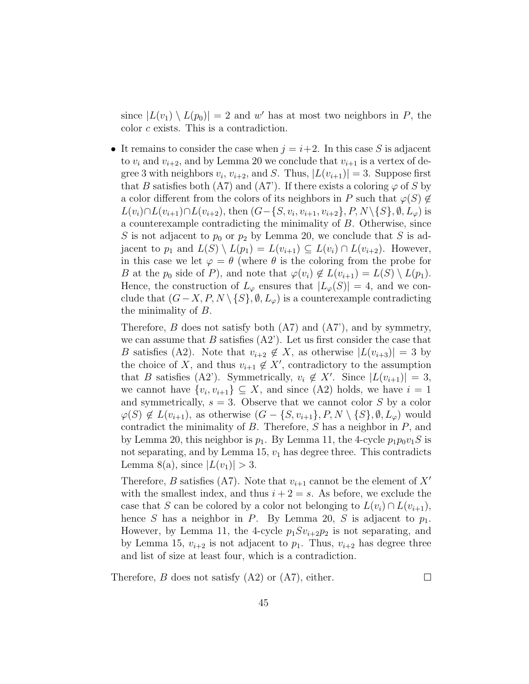since  $|L(v_1) \setminus L(p_0)| = 2$  and w' has at most two neighbors in P, the color c exists. This is a contradiction.

• It remains to consider the case when  $j = i+2$ . In this case S is adjacent to  $v_i$  and  $v_{i+2}$ , and by Lemma 20 we conclude that  $v_{i+1}$  is a vertex of degree 3 with neighbors  $v_i$ ,  $v_{i+2}$ , and S. Thus,  $|L(v_{i+1})| = 3$ . Suppose first that B satisfies both (A7) and (A7). If there exists a coloring  $\varphi$  of S by a color different from the colors of its neighbors in P such that  $\varphi(S) \notin$  $L(v_i) \cap L(v_{i+1}) \cap L(v_{i+2})$ , then  $(G - \{S, v_i, v_{i+1}, v_{i+2}\}, P, N \setminus \{S\}, \emptyset, L_{\varphi})$  is a counterexample contradicting the minimality of B. Otherwise, since S is not adjacent to  $p_0$  or  $p_2$  by Lemma 20, we conclude that S is adjacent to  $p_1$  and  $L(S) \setminus L(p_1) = L(v_{i+1}) \subseteq L(v_i) \cap L(v_{i+2})$ . However, in this case we let  $\varphi = \theta$  (where  $\theta$  is the coloring from the probe for B at the  $p_0$  side of P), and note that  $\varphi(v_i) \notin L(v_{i+1}) = L(S) \setminus L(p_1)$ . Hence, the construction of  $L_{\varphi}$  ensures that  $|L_{\varphi}(S)| = 4$ , and we conclude that  $(G - X, P, N \setminus \{S\}, \emptyset, L_{\varphi})$  is a counterexample contradicting the minimality of B.

Therefore,  $B$  does not satisfy both  $(A7)$  and  $(A7')$ , and by symmetry, we can assume that  $B$  satisfies  $(A2')$ . Let us first consider the case that B satisfies (A2). Note that  $v_{i+2} \notin X$ , as otherwise  $|L(v_{i+3})| = 3$  by the choice of X, and thus  $v_{i+1} \notin X'$ , contradictory to the assumption that B satisfies (A2'). Symmetrically,  $v_i \notin X'$ . Since  $|L(v_{i+1})| = 3$ , we cannot have  $\{v_i, v_{i+1}\} \subseteq X$ , and since  $(A2)$  holds, we have  $i = 1$ and symmetrically,  $s = 3$ . Observe that we cannot color S by a color  $\varphi(S) \notin L(v_{i+1}),$  as otherwise  $(G - \{S, v_{i+1}\}, P, N \setminus \{S\}, \emptyset, L_{\varphi})$  would contradict the minimality of  $B$ . Therefore,  $S$  has a neighbor in  $P$ , and by Lemma 20, this neighbor is  $p_1$ . By Lemma 11, the 4-cycle  $p_1p_0v_1S$  is not separating, and by Lemma 15,  $v_1$  has degree three. This contradicts Lemma 8(a), since  $|L(v_1)| > 3$ .

Therefore, B satisfies (A7). Note that  $v_{i+1}$  cannot be the element of  $X'$ with the smallest index, and thus  $i + 2 = s$ . As before, we exclude the case that S can be colored by a color not belonging to  $L(v_i) \cap L(v_{i+1}),$ hence S has a neighbor in P. By Lemma 20, S is adjacent to  $p_1$ . However, by Lemma 11, the 4-cycle  $p_1Sv_{i+2}p_2$  is not separating, and by Lemma 15,  $v_{i+2}$  is not adjacent to  $p_1$ . Thus,  $v_{i+2}$  has degree three and list of size at least four, which is a contradiction.

Therefore,  $B$  does not satisfy  $(A2)$  or  $(A7)$ , either.

 $\Box$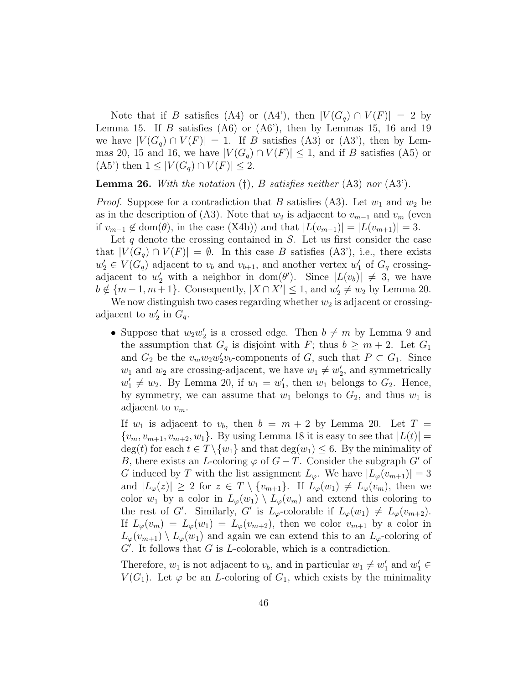Note that if B satisfies (A4) or (A4'), then  $|V(G_q) \cap V(F)| = 2$  by Lemma 15. If B satisfies  $(46)$  or  $(46')$ , then by Lemmas 15, 16 and 19 we have  $|V(G_q) \cap V(F)| = 1$ . If B satisfies (A3) or (A3'), then by Lemmas 20, 15 and 16, we have  $|V(G_q) \cap V(F)| \leq 1$ , and if B satisfies (A5) or  $(A5')$  then  $1 \leq |V(G_q) \cap V(F)| \leq 2$ .

**Lemma 26.** With the notation  $(\dagger)$ , B satisfies neither  $(A3)$  nor  $(A3')$ .

*Proof.* Suppose for a contradiction that B satisfies (A3). Let  $w_1$  and  $w_2$  be as in the description of (A3). Note that  $w_2$  is adjacent to  $v_{m-1}$  and  $v_m$  (even if  $v_{m-1} \notin \text{dom}(\theta)$ , in the case (X4b)) and that  $|L(v_{m-1})| = |L(v_{m+1})| = 3$ .

Let  $q$  denote the crossing contained in  $S$ . Let us first consider the case that  $|V(G_q) \cap V(F)| = \emptyset$ . In this case B satisfies (A3'), i.e., there exists  $w_2' \in V(G_q)$  adjacent to  $v_b$  and  $v_{b+1}$ , and another vertex  $w_1'$  of  $G_q$  crossingadjacent to  $w'_2$  with a neighbor in dom( $\theta'$ ). Since  $|L(v_b)| \neq 3$ , we have  $b \notin \{m-1, m+1\}$ . Consequently,  $|X \cap X'| \leq 1$ , and  $w'_2 \neq w_2$  by Lemma 20.

We now distinguish two cases regarding whether  $w_2$  is adjacent or crossingadjacent to  $w'_2$  in  $G_q$ .

• Suppose that  $w_2w_2'$  is a crossed edge. Then  $b \neq m$  by Lemma 9 and the assumption that  $G_q$  is disjoint with F; thus  $b \geq m+2$ . Let  $G_1$ and  $G_2$  be the  $v_m w_2 w_2' v_b$ -components of  $G$ , such that  $P \subset G_1$ . Since  $w_1$  and  $w_2$  are crossing-adjacent, we have  $w_1 \neq w'_2$ , and symmetrically  $w'_1 \neq w_2$ . By Lemma 20, if  $w_1 = w'_1$ , then  $w_1$  belongs to  $G_2$ . Hence, by symmetry, we can assume that  $w_1$  belongs to  $G_2$ , and thus  $w_1$  is adjacent to  $v_m$ .

If  $w_1$  is adjacent to  $v_b$ , then  $b = m + 2$  by Lemma 20. Let  $T =$  $\{v_m, v_{m+1}, v_{m+2}, w_1\}$ . By using Lemma 18 it is easy to see that  $|L(t)| =$  $\deg(t)$  for each  $t \in T \setminus \{w_1\}$  and that  $\deg(w_1) \leq 6$ . By the minimality of B, there exists an L-coloring  $\varphi$  of  $G-T$ . Consider the subgraph G' of G induced by T with the list assignment  $L_{\varphi}$ . We have  $|L_{\varphi}(v_{m+1})|=3$ and  $|L_{\varphi}(z)| \geq 2$  for  $z \in T \setminus \{v_{m+1}\}.$  If  $L_{\varphi}(w_1) \neq L_{\varphi}(v_m)$ , then we color  $w_1$  by a color in  $L_\varphi(w_1) \setminus L_\varphi(v_m)$  and extend this coloring to the rest of G'. Similarly, G' is  $L_{\varphi}$ -colorable if  $L_{\varphi}(w_1) \neq L_{\varphi}(v_{m+2})$ . If  $L_{\varphi}(v_m) = L_{\varphi}(w_1) = L_{\varphi}(v_{m+2})$ , then we color  $v_{m+1}$  by a color in  $L_{\varphi}(v_{m+1}) \setminus L_{\varphi}(w_1)$  and again we can extend this to an  $L_{\varphi}$ -coloring of  $G'$ . It follows that G is L-colorable, which is a contradiction.

Therefore,  $w_1$  is not adjacent to  $v_b$ , and in particular  $w_1 \neq w'_1$  and  $w'_1 \in$  $V(G_1)$ . Let  $\varphi$  be an *L*-coloring of  $G_1$ , which exists by the minimality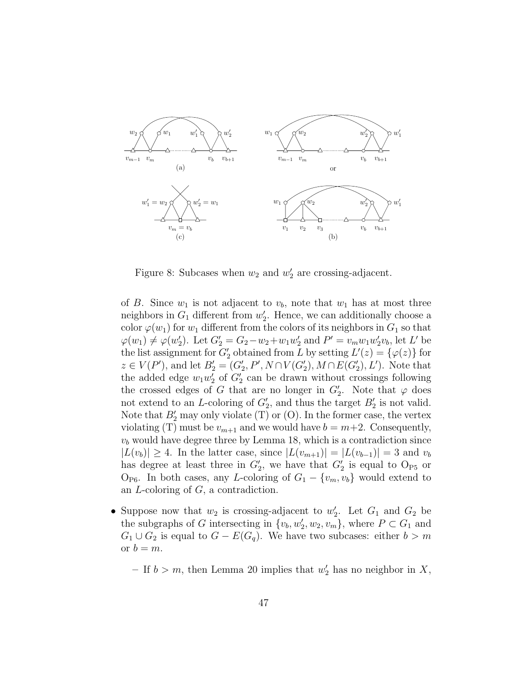

Figure 8: Subcases when  $w_2$  and  $w'_2$  are crossing-adjacent.

of B. Since  $w_1$  is not adjacent to  $v_b$ , note that  $w_1$  has at most three neighbors in  $G_1$  different from  $w_2'$ . Hence, we can additionally choose a color  $\varphi(w_1)$  for  $w_1$  different from the colors of its neighbors in  $G_1$  so that  $\varphi(w_1) \neq \varphi(w_2')$ . Let  $G_2' = G_2 - w_2 + w_1 w_2'$  and  $P' = v_m w_1 w_2' v_b$ , let L' be the list assignment for  $G_2'$  obtained from L by setting  $L'(z) = {\varphi(z)}$  for  $z \in V(P')$ , and let  $B'_2 = (G'_2, P', N \cap V(G'_2), M \cap E(G'_2), L')$ . Note that the added edge  $w_1w_2'$  of  $G_2'$  can be drawn without crossings following the crossed edges of G that are no longer in  $G_2'$ . Note that  $\varphi$  does not extend to an L-coloring of  $G_2'$ , and thus the target  $B_2'$  is not valid. Note that  $B_2'$  may only violate (T) or (O). In the former case, the vertex violating (T) must be  $v_{m+1}$  and we would have  $b = m+2$ . Consequently,  $v<sub>b</sub>$  would have degree three by Lemma 18, which is a contradiction since  $|L(v_b)| \geq 4$ . In the latter case, since  $|L(v_{m+1})| = |L(v_{b-1})| = 3$  and  $v_b$ has degree at least three in  $G_2'$ , we have that  $G_2'$  is equal to  $O_{P5}$  or  $O_{\text{P6}}$ . In both cases, any L-coloring of  $G_1 - \{v_m, v_b\}$  would extend to an L-coloring of G, a contradiction.

• Suppose now that  $w_2$  is crossing-adjacent to  $w'_2$ . Let  $G_1$  and  $G_2$  be the subgraphs of G intersecting in  $\{v_b, w'_2, w_2, v_m\}$ , where  $P \subset G_1$  and  $G_1 \cup G_2$  is equal to  $G - E(G_q)$ . We have two subcases: either  $b > m$ or  $b = m$ .

– If  $b > m$ , then Lemma 20 implies that  $w'_2$  has no neighbor in X,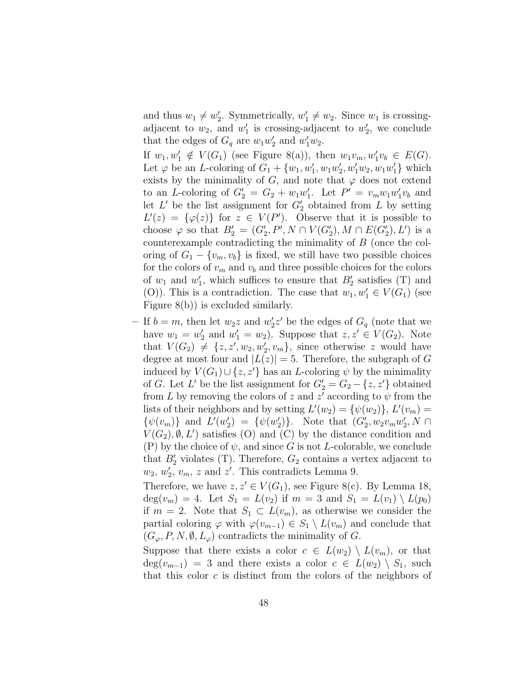and thus  $w_1 \neq w_2'$ . Symmetrically,  $w_1' \neq w_2$ . Since  $w_1$  is crossingadjacent to  $w_2$ , and  $w'_1$  is crossing-adjacent to  $w'_2$ , we conclude that the edges of  $G_q$  are  $w_1w_2'$  and  $w_1'w_2$ .

If  $w_1, w'_1 \notin V(G_1)$  (see Figure 8(a)), then  $w_1v_m, w'_1v_b \in E(G)$ . Let  $\varphi$  be an *L*-coloring of  $G_1 + \{w_1, w'_1, w_1w'_2, w'_1w_2, w_1w'_1\}$  which exists by the minimality of G, and note that  $\varphi$  does not extend to an L-coloring of  $G_2' = G_2 + w_1w_1'$ . Let  $P' = v_mw_1w_1'v_b$  and let  $L'$  be the list assignment for  $G'_2$  obtained from L by setting  $L'(z) = {\varphi(z)}$  for  $z \in V(P')$ . Observe that it is possible to choose  $\varphi$  so that  $B'_2 = (G'_2, P', N \cap V(G'_2), M \cap E(G'_2), L')$  is a counterexample contradicting the minimality of B (once the coloring of  $G_1 - \{v_m, v_b\}$  is fixed, we still have two possible choices for the colors of  $v_m$  and  $v_b$  and three possible choices for the colors of  $w_1$  and  $w'_1$ , which suffices to ensure that  $B'_2$  satisfies (T) and (O)). This is a contradiction. The case that  $w_1, w'_1 \in V(G_1)$  (see Figure 8(b)) is excluded similarly.

- If  $b = m$ , then let  $w_2z$  and  $w'_2z'$  be the edges of  $G_q$  (note that we have  $w_1 = w_2'$  and  $w_1' = w_2$ . Suppose that  $z, z' \in V(G_2)$ . Note that  $V(G_2) \neq \{z, z', w_2, w'_2, v_m\}$ , since otherwise z would have degree at most four and  $|L(z)| = 5$ . Therefore, the subgraph of G induced by  $V(G_1) \cup \{z, z'\}$  has an L-coloring  $\psi$  by the minimality of G. Let L' be the list assignment for  $G'_2 = G_2 - \{z, z'\}$  obtained from L by removing the colors of z and z' according to  $\psi$  from the lists of their neighbors and by setting  $L'(w_2) = \{\psi(w_2)\}, L'(v_m) =$  $\{\psi(v_m)\}\$ and  $L'(w_2') = \{\psi(w_2')\}.$  Note that  $(G_2', w_2v_mw_2', N \cap$  $V(G_2), \emptyset, L'$  satisfies (O) and (C) by the distance condition and (P) by the choice of  $\psi$ , and since G is not L-colorable, we conclude that  $B_2'$  violates (T). Therefore,  $G_2$  contains a vertex adjacent to  $w_2, w'_2, v_m, z$  and  $z'$ . This contradicts Lemma 9.

Therefore, we have  $z, z' \in V(G_1)$ , see Figure 8(c). By Lemma 18,  $deg(v_m) = 4$ . Let  $S_1 = L(v_2)$  if  $m = 3$  and  $S_1 = L(v_1) \setminus L(p_0)$ if  $m = 2$ . Note that  $S_1 \subset L(v_m)$ , as otherwise we consider the partial coloring  $\varphi$  with  $\varphi(v_{m-1}) \in S_1 \setminus L(v_m)$  and conclude that  $(G_{\varphi}, P, N, \emptyset, L_{\varphi})$  contradicts the minimality of G.

Suppose that there exists a color  $c \in L(w_2) \setminus L(v_m)$ , or that  $deg(v_{m-1}) = 3$  and there exists a color  $c \in L(w_2) \setminus S_1$ , such that this color  $c$  is distinct from the colors of the neighbors of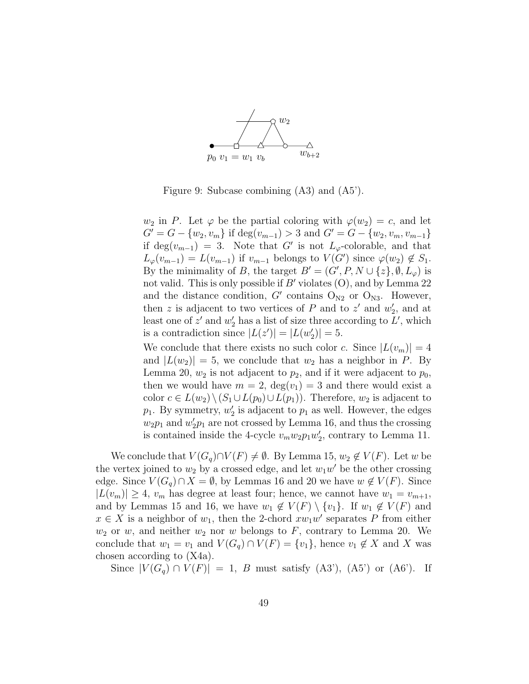

Figure 9: Subcase combining (A3) and (A5').

 $w_2$  in P. Let  $\varphi$  be the partial coloring with  $\varphi(w_2) = c$ , and let  $G' = G - \{w_2, v_m\}$  if  $\deg(v_{m-1}) > 3$  and  $G' = G - \{w_2, v_m, v_{m-1}\}$ if  $\deg(v_{m-1}) = 3$ . Note that G' is not  $L_{\varphi}$ -colorable, and that  $L_{\varphi}(v_{m-1}) = L(v_{m-1})$  if  $v_{m-1}$  belongs to  $V(G')$  since  $\varphi(w_2) \notin S_1$ . By the minimality of B, the target  $B' = (G', P, N \cup \{z\}, \emptyset, L_{\varphi})$  is not valid. This is only possible if  $B'$  violates  $(0)$ , and by Lemma 22 and the distance condition,  $G'$  contains  $O_{N2}$  or  $O_{N3}$ . However, then z is adjacent to two vertices of P and to  $z'$  and  $w'_2$ , and at least one of  $z'$  and  $w'_2$  has a list of size three according to  $L'$ , which is a contradiction since  $|L(z')| = |L(w'_2)| = 5$ .

We conclude that there exists no such color c. Since  $|L(v_m)| = 4$ and  $|L(w_2)| = 5$ , we conclude that  $w_2$  has a neighbor in P. By Lemma 20,  $w_2$  is not adjacent to  $p_2$ , and if it were adjacent to  $p_0$ , then we would have  $m = 2$ ,  $deg(v_1) = 3$  and there would exist a color  $c \in L(w_2) \setminus (S_1 \cup L(p_0) \cup L(p_1))$ . Therefore,  $w_2$  is adjacent to  $p_1$ . By symmetry,  $w_2'$  is adjacent to  $p_1$  as well. However, the edges  $w_2p_1$  and  $w_2'p_1$  are not crossed by Lemma 16, and thus the crossing is contained inside the 4-cycle  $v_m w_2 p_1 w_2'$ , contrary to Lemma 11.

We conclude that  $V(G_q) \cap V(F) \neq \emptyset$ . By Lemma 15,  $w_2 \notin V(F)$ . Let w be the vertex joined to  $w_2$  by a crossed edge, and let  $w_1w'$  be the other crossing edge. Since  $V(G_q) \cap X = \emptyset$ , by Lemmas 16 and 20 we have  $w \notin V(F)$ . Since  $|L(v_m)| \geq 4$ ,  $v_m$  has degree at least four; hence, we cannot have  $w_1 = v_{m+1}$ , and by Lemmas 15 and 16, we have  $w_1 \notin V(F) \setminus \{v_1\}$ . If  $w_1 \notin V(F)$  and  $x \in X$  is a neighbor of  $w_1$ , then the 2-chord  $xw_1w'$  separates P from either  $w_2$  or w, and neither  $w_2$  nor w belongs to F, contrary to Lemma 20. We conclude that  $w_1 = v_1$  and  $V(G_q) \cap V(F) = \{v_1\}$ , hence  $v_1 \notin X$  and X was chosen according to (X4a).

Since  $|V(G_q) \cap V(F)| = 1$ , B must satisfy  $(A3')$ ,  $(A5')$  or  $(A6')$ . If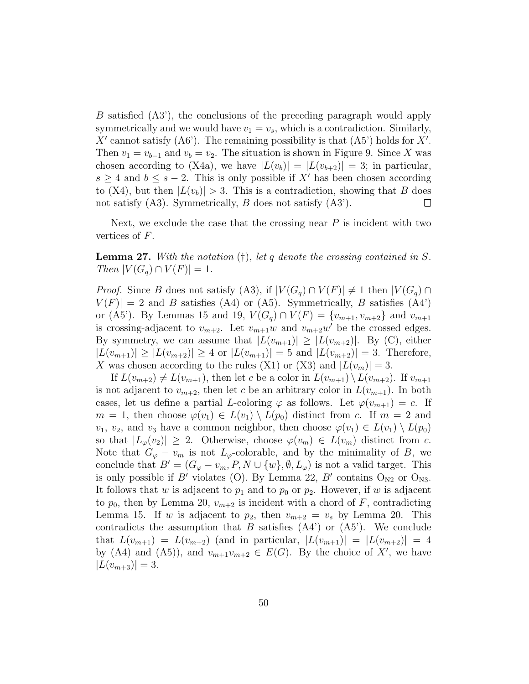B satisfied (A3'), the conclusions of the preceding paragraph would apply symmetrically and we would have  $v_1 = v_s$ , which is a contradiction. Similarly, X' cannot satisfy  $(AG')$ . The remaining possibility is that  $(AS')$  holds for X'. Then  $v_1 = v_{b-1}$  and  $v_b = v_2$ . The situation is shown in Figure 9. Since X was chosen according to (X4a), we have  $|L(v_b)| = |L(v_{b+2})| = 3$ ; in particular,  $s \geq 4$  and  $b \leq s - 2$ . This is only possible if X' has been chosen according to (X4), but then  $|L(v_b)| > 3$ . This is a contradiction, showing that B does not satisfy (A3). Symmetrically, B does not satisfy (A3). not satisfy (A3). Symmetrically, B does not satisfy (A3').

Next, we exclude the case that the crossing near  $P$  is incident with two vertices of F.

**Lemma 27.** With the notation  $(†)$ , let q denote the crossing contained in S.  $Then |V(G_q) \cap V(F)| = 1.$ 

*Proof.* Since B does not satisfy (A3), if  $|V(G_q) \cap V(F)| \neq 1$  then  $|V(G_q) \cap V(G)|$  $V(F)$  = 2 and B satisfies (A4) or (A5). Symmetrically, B satisfies (A4') or (A5'). By Lemmas 15 and 19,  $V(G_q) \cap V(F) = \{v_{m+1}, v_{m+2}\}\$  and  $v_{m+1}$ is crossing-adjacent to  $v_{m+2}$ . Let  $v_{m+1}w$  and  $v_{m+2}w'$  be the crossed edges. By symmetry, we can assume that  $|L(v_{m+1})| \geq |L(v_{m+2})|$ . By (C), either  $|L(v_{m+1})| \ge |L(v_{m+2})| \ge 4$  or  $|L(v_{m+1})| = 5$  and  $|L(v_{m+2})| = 3$ . Therefore, X was chosen according to the rules (X1) or (X3) and  $|L(v_m)| = 3$ .

If  $L(v_{m+2}) \neq L(v_{m+1})$ , then let c be a color in  $L(v_{m+1}) \setminus L(v_{m+2})$ . If  $v_{m+1}$ is not adjacent to  $v_{m+2}$ , then let c be an arbitrary color in  $L(v_{m+1})$ . In both cases, let us define a partial L-coloring  $\varphi$  as follows. Let  $\varphi(v_{m+1}) = c$ . If  $m = 1$ , then choose  $\varphi(v_1) \in L(v_1) \setminus L(p_0)$  distinct from c. If  $m = 2$  and  $v_1, v_2$ , and  $v_3$  have a common neighbor, then choose  $\varphi(v_1) \in L(v_1) \setminus L(p_0)$ so that  $|L_{\varphi}(v_2)| \geq 2$ . Otherwise, choose  $\varphi(v_m) \in L(v_m)$  distinct from c. Note that  $G_{\varphi} - v_m$  is not  $L_{\varphi}$ -colorable, and by the minimality of B, we conclude that  $B' = (G_{\varphi} - v_m, P, N \cup \{w\}, \emptyset, L_{\varphi})$  is not a valid target. This is only possible if B' violates (O). By Lemma 22, B' contains  $O_{N2}$  or  $O_{N3}$ . It follows that w is adjacent to  $p_1$  and to  $p_0$  or  $p_2$ . However, if w is adjacent to  $p_0$ , then by Lemma 20,  $v_{m+2}$  is incident with a chord of F, contradicting Lemma 15. If w is adjacent to  $p_2$ , then  $v_{m+2} = v_s$  by Lemma 20. This contradicts the assumption that B satisfies  $(A4')$  or  $(A5')$ . We conclude that  $L(v_{m+1}) = L(v_{m+2})$  (and in particular,  $|L(v_{m+1})| = |L(v_{m+2})| = 4$ by (A4) and (A5)), and  $v_{m+1}v_{m+2} \in E(G)$ . By the choice of X', we have  $|L(v_{m+3})| = 3.$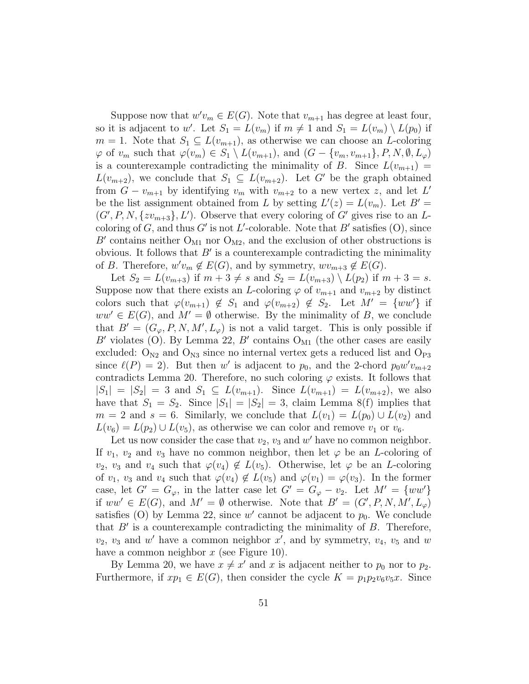Suppose now that  $w'v_m \in E(G)$ . Note that  $v_{m+1}$  has degree at least four, so it is adjacent to w'. Let  $S_1 = L(v_m)$  if  $m \neq 1$  and  $S_1 = L(v_m) \setminus L(p_0)$  if  $m = 1$ . Note that  $S_1 \subseteq L(v_{m+1})$ , as otherwise we can choose an *L*-coloring  $\varphi$  of  $v_m$  such that  $\varphi(v_m) \in S_1 \setminus L(v_{m+1}),$  and  $(G - \{v_m, v_{m+1}\}, P, N, \emptyset, L_\varphi)$ is a counterexample contradicting the minimality of B. Since  $L(v_{m+1}) =$  $L(v_{m+2})$ , we conclude that  $S_1 \subseteq L(v_{m+2})$ . Let G' be the graph obtained from  $G - v_{m+1}$  by identifying  $v_m$  with  $v_{m+2}$  to a new vertex z, and let L' be the list assignment obtained from L by setting  $L'(z) = L(v_m)$ . Let  $B' =$  $(G', P, N, \{zv_{m+3}\}, L')$ . Observe that every coloring of  $G'$  gives rise to an Lcoloring of G, and thus G' is not L'-colorable. Note that B' satisfies  $(0)$ , since B' contains neither  $O_{M1}$  nor  $O_{M2}$ , and the exclusion of other obstructions is obvious. It follows that  $B'$  is a counterexample contradicting the minimality of B. Therefore,  $w'v_m \notin E(G)$ , and by symmetry,  $wv_{m+3} \notin E(G)$ .

Let  $S_2 = L(v_{m+3})$  if  $m+3 \neq s$  and  $S_2 = L(v_{m+3}) \setminus L(p_2)$  if  $m+3 = s$ . Suppose now that there exists an L-coloring  $\varphi$  of  $v_{m+1}$  and  $v_{m+2}$  by distinct colors such that  $\varphi(v_{m+1}) \notin S_1$  and  $\varphi(v_{m+2}) \notin S_2$ . Let  $M' = \{ww'\}$  if  $ww' \in E(G)$ , and  $M' = \emptyset$  otherwise. By the minimality of B, we conclude that  $B' = (G_{\varphi}, P, N, M', L_{\varphi})$  is not a valid target. This is only possible if B' violates (O). By Lemma 22, B' contains  $O_{M1}$  (the other cases are easily excluded:  $O_{N2}$  and  $O_{N3}$  since no internal vertex gets a reduced list and  $O_{P3}$ since  $\ell(P) = 2$ ). But then w' is adjacent to  $p_0$ , and the 2-chord  $p_0w'v_{m+2}$ contradicts Lemma 20. Therefore, no such coloring  $\varphi$  exists. It follows that  $|S_1| = |S_2| = 3$  and  $S_1 \subseteq L(v_{m+1})$ . Since  $L(v_{m+1}) = L(v_{m+2})$ , we also have that  $S_1 = S_2$ . Since  $|S_1| = |S_2| = 3$ , claim Lemma 8(f) implies that  $m = 2$  and  $s = 6$ . Similarly, we conclude that  $L(v_1) = L(p_0) \cup L(v_2)$  and  $L(v_6) = L(p_2) \cup L(v_5)$ , as otherwise we can color and remove  $v_1$  or  $v_6$ .

Let us now consider the case that  $v_2$ ,  $v_3$  and  $w'$  have no common neighbor. If  $v_1$ ,  $v_2$  and  $v_3$  have no common neighbor, then let  $\varphi$  be an *L*-coloring of  $v_2$ ,  $v_3$  and  $v_4$  such that  $\varphi(v_4) \notin L(v_5)$ . Otherwise, let  $\varphi$  be an *L*-coloring of  $v_1$ ,  $v_3$  and  $v_4$  such that  $\varphi(v_4) \notin L(v_5)$  and  $\varphi(v_1) = \varphi(v_3)$ . In the former case, let  $G' = G_{\varphi}$ , in the latter case let  $G' = G_{\varphi} - v_2$ . Let  $M' = \{ww'\}$ if  $ww' \in E(G)$ , and  $M' = \emptyset$  otherwise. Note that  $B' = (G', P, N, M', L_{\varphi})$ satisfies (O) by Lemma 22, since  $w'$  cannot be adjacent to  $p_0$ . We conclude that  $B'$  is a counterexample contradicting the minimality of  $B$ . Therefore,  $v_2$ ,  $v_3$  and  $w'$  have a common neighbor  $x'$ , and by symmetry,  $v_4$ ,  $v_5$  and  $w$ have a common neighbor  $x$  (see Figure 10).

By Lemma 20, we have  $x \neq x'$  and x is adjacent neither to  $p_0$  nor to  $p_2$ . Furthermore, if  $xp_1 \in E(G)$ , then consider the cycle  $K = p_1p_2v_6v_5x$ . Since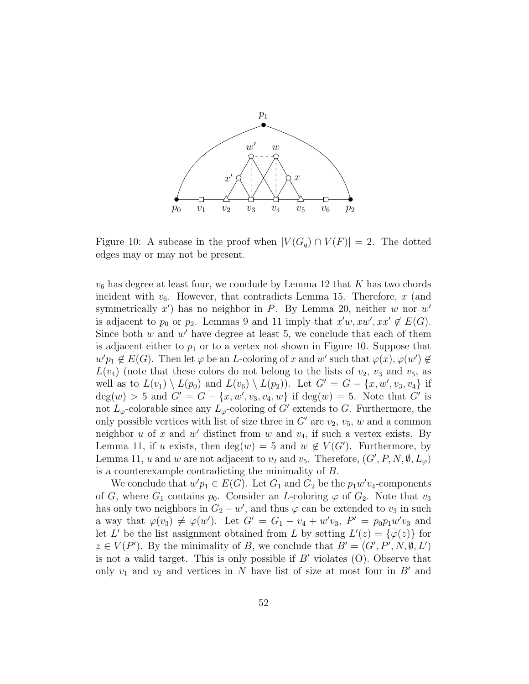

Figure 10: A subcase in the proof when  $|V(G_q) \cap V(F)| = 2$ . The dotted edges may or may not be present.

 $v_6$  has degree at least four, we conclude by Lemma 12 that K has two chords incident with  $v_6$ . However, that contradicts Lemma 15. Therefore, x (and symmetrically  $x'$ ) has no neighbor in P. By Lemma 20, neither w nor w' is adjacent to  $p_0$  or  $p_2$ . Lemmas 9 and 11 imply that  $x'w, xw', xx' \notin E(G)$ . Since both  $w$  and  $w'$  have degree at least 5, we conclude that each of them is adjacent either to  $p_1$  or to a vertex not shown in Figure 10. Suppose that  $w'p_1 \notin E(G)$ . Then let  $\varphi$  be an *L*-coloring of x and w' such that  $\varphi(x), \varphi(w') \notin$  $L(v_4)$  (note that these colors do not belong to the lists of  $v_2$ ,  $v_3$  and  $v_5$ , as well as to  $L(v_1) \setminus L(p_0)$  and  $L(v_6) \setminus L(p_2)$ ). Let  $G' = G - \{x, w', v_3, v_4\}$  if  $deg(w) > 5$  and  $G' = G - \{x, w', v_3, v_4, w\}$  if  $deg(w) = 5$ . Note that G' is not  $L_{\varphi}$ -colorable since any  $L_{\varphi}$ -coloring of G' extends to G. Furthermore, the only possible vertices with list of size three in  $G'$  are  $v_2$ ,  $v_5$ , w and a common neighbor  $u$  of  $x$  and  $w'$  distinct from  $w$  and  $v_4$ , if such a vertex exists. By Lemma 11, if u exists, then  $deg(w) = 5$  and  $w \notin V(G')$ . Furthermore, by Lemma 11, u and w are not adjacent to  $v_2$  and  $v_5$ . Therefore,  $(G', P, N, \emptyset, L_{\varphi})$ is a counterexample contradicting the minimality of B.

We conclude that  $w'p_1 \in E(G)$ . Let  $G_1$  and  $G_2$  be the  $p_1w'v_4$ -components of G, where  $G_1$  contains  $p_0$ . Consider an L-coloring  $\varphi$  of  $G_2$ . Note that  $v_3$ has only two neighbors in  $G_2 - w'$ , and thus  $\varphi$  can be extended to  $v_3$  in such a way that  $\varphi(v_3) \neq \varphi(w')$ . Let  $G' = G_1 - v_4 + w'v_3$ ,  $P' = p_0p_1w'v_3$  and let L' be the list assignment obtained from L by setting  $L'(z) = {\varphi(z)}$  for  $z \in V(P')$ . By the minimality of B, we conclude that  $B' = (G', P', N, \emptyset, L')$ is not a valid target. This is only possible if  $B'$  violates (O). Observe that only  $v_1$  and  $v_2$  and vertices in N have list of size at most four in  $B'$  and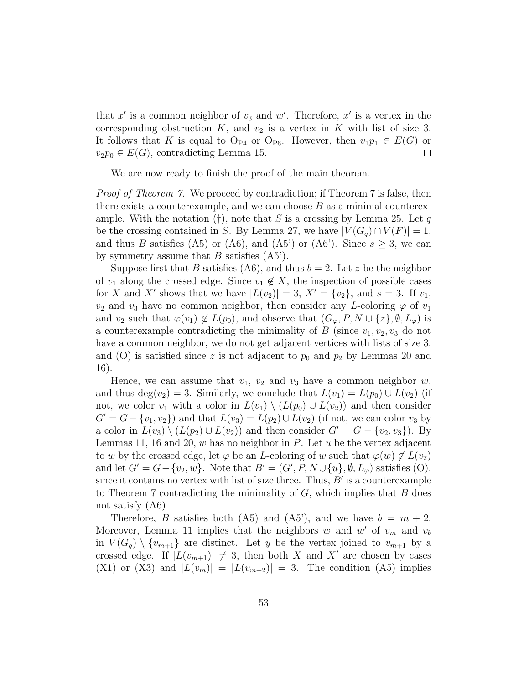that  $x'$  is a common neighbor of  $v_3$  and  $w'$ . Therefore,  $x'$  is a vertex in the corresponding obstruction  $K$ , and  $v_2$  is a vertex in  $K$  with list of size 3. It follows that K is equal to O<sub>P4</sub> or O<sub>P6</sub>. However, then  $v_1p_1 \in E(G)$  or  $v_2p_0 \in E(G)$ , contradicting Lemma 15.  $v_2p_0 \in E(G)$ , contradicting Lemma 15.

We are now ready to finish the proof of the main theorem.

Proof of Theorem 7. We proceed by contradiction; if Theorem 7 is false, then there exists a counterexample, and we can choose  $B$  as a minimal counterexample. With the notation (†), note that S is a crossing by Lemma 25. Let q be the crossing contained in S. By Lemma 27, we have  $|V(G_q) \cap V(F)| = 1$ , and thus B satisfies (A5) or (A6), and (A5') or (A6'). Since  $s \geq 3$ , we can by symmetry assume that  $B$  satisfies  $(A5')$ .

Suppose first that B satisfies (A6), and thus  $b = 2$ . Let z be the neighbor of  $v_1$  along the crossed edge. Since  $v_1 \notin X$ , the inspection of possible cases for X and X' shows that we have  $|L(v_2)| = 3$ ,  $X' = \{v_2\}$ , and  $s = 3$ . If  $v_1$ ,  $v_2$  and  $v_3$  have no common neighbor, then consider any L-coloring  $\varphi$  of  $v_1$ and  $v_2$  such that  $\varphi(v_1) \notin L(p_0)$ , and observe that  $(G_{\varphi}, P, N \cup \{z\}, \emptyset, L_{\varphi})$  is a counterexample contradicting the minimality of  $B$  (since  $v_1, v_2, v_3$  do not have a common neighbor, we do not get adjacent vertices with lists of size 3, and (O) is satisfied since z is not adjacent to  $p_0$  and  $p_2$  by Lemmas 20 and 16).

Hence, we can assume that  $v_1$ ,  $v_2$  and  $v_3$  have a common neighbor  $w$ , and thus deg(v<sub>2</sub>) = 3. Similarly, we conclude that  $L(v_1) = L(p_0) \cup L(v_2)$  (if not, we color  $v_1$  with a color in  $L(v_1) \setminus (L(p_0) \cup L(v_2))$  and then consider  $G' = G - \{v_1, v_2\}$  and that  $L(v_3) = L(p_2) \cup L(v_2)$  (if not, we can color  $v_3$  by a color in  $L(v_3) \setminus (L(p_2) \cup L(v_2))$  and then consider  $G' = G - \{v_2, v_3\}$ . By Lemmas 11, 16 and 20, w has no neighbor in P. Let  $u$  be the vertex adjacent to w by the crossed edge, let  $\varphi$  be an L-coloring of w such that  $\varphi(w) \notin L(v_2)$ and let  $G' = G - \{v_2, w\}$ . Note that  $B' = (G', P, N \cup \{u\}, \emptyset, L_{\varphi})$  satisfies  $(O)$ , since it contains no vertex with list of size three. Thus,  $B'$  is a counterexample to Theorem 7 contradicting the minimality of  $G$ , which implies that  $B$  does not satisfy (A6).

Therefore, B satisfies both (A5) and (A5), and we have  $b = m + 2$ . Moreover, Lemma 11 implies that the neighbors w and w' of  $v_m$  and  $v_b$ in  $V(G_q) \setminus \{v_{m+1}\}\$ are distinct. Let y be the vertex joined to  $v_{m+1}$  by a crossed edge. If  $|L(v_{m+1})| \neq 3$ , then both X and X' are chosen by cases  $(X1)$  or  $(X3)$  and  $|L(v_m)| = |L(v_{m+2})| = 3$ . The condition  $(A5)$  implies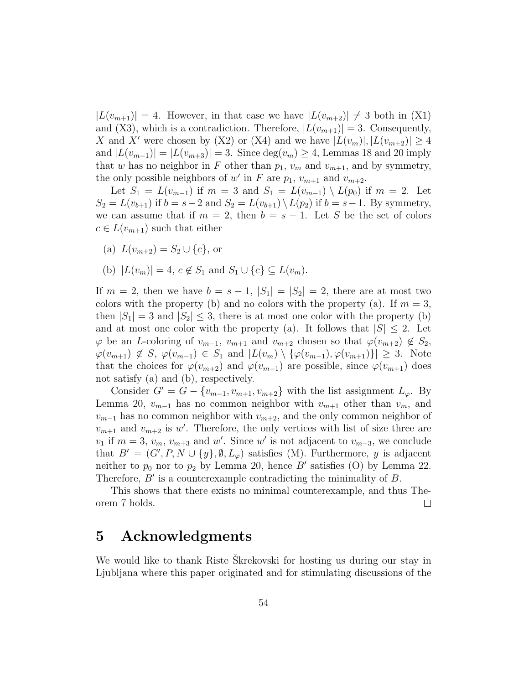$|L(v_{m+1})| = 4$ . However, in that case we have  $|L(v_{m+2})| \neq 3$  both in (X1) and (X3), which is a contradiction. Therefore,  $|L(v_{m+1})| = 3$ . Consequently, X and X' were chosen by (X2) or (X4) and we have  $|L(v_m)|, |L(v_{m+2})| \geq 4$ and  $|L(v_{m-1})| = |L(v_{m+3})| = 3$ . Since  $\deg(v_m) \geq 4$ , Lemmas 18 and 20 imply that w has no neighbor in F other than  $p_1$ ,  $v_m$  and  $v_{m+1}$ , and by symmetry, the only possible neighbors of w' in F are  $p_1$ ,  $v_{m+1}$  and  $v_{m+2}$ .

Let  $S_1 = L(v_{m-1})$  if  $m = 3$  and  $S_1 = L(v_{m-1}) \setminus L(p_0)$  if  $m = 2$ . Let  $S_2 = L(v_{b+1})$  if  $b = s-2$  and  $S_2 = L(v_{b+1}) \setminus L(p_2)$  if  $b = s-1$ . By symmetry, we can assume that if  $m = 2$ , then  $b = s - 1$ . Let S be the set of colors  $c \in L(v_{m+1})$  such that either

(a)  $L(v_{m+2}) = S_2 \cup \{c\}$ , or

(b) 
$$
|L(v_m)| = 4, c \notin S_1
$$
 and  $S_1 \cup \{c\} \subseteq L(v_m)$ .

If  $m = 2$ , then we have  $b = s - 1$ ,  $|S_1| = |S_2| = 2$ , there are at most two colors with the property (b) and no colors with the property (a). If  $m = 3$ , then  $|S_1| = 3$  and  $|S_2| \leq 3$ , there is at most one color with the property (b) and at most one color with the property (a). It follows that  $|S| \leq 2$ . Let  $\varphi$  be an *L*-coloring of  $v_{m-1}$ ,  $v_{m+1}$  and  $v_{m+2}$  chosen so that  $\varphi(v_{m+2}) \notin S_2$ ,  $\varphi(v_{m+1}) \notin S, \varphi(v_{m-1}) \in S_1 \text{ and } |L(v_m) \setminus {\varphi(v_{m-1}), \varphi(v_{m+1})}| \geq 3.$  Note that the choices for  $\varphi(v_{m+2})$  and  $\varphi(v_{m-1})$  are possible, since  $\varphi(v_{m+1})$  does not satisfy (a) and (b), respectively.

Consider  $G' = G - \{v_{m-1}, v_{m+1}, v_{m+2}\}\$  with the list assignment  $L_{\varphi}$ . By Lemma 20,  $v_{m-1}$  has no common neighbor with  $v_{m+1}$  other than  $v_m$ , and  $v_{m-1}$  has no common neighbor with  $v_{m+2}$ , and the only common neighbor of  $v_{m+1}$  and  $v_{m+2}$  is w'. Therefore, the only vertices with list of size three are  $v_1$  if  $m=3, v_m, v_{m+3}$  and w'. Since w' is not adjacent to  $v_{m+3}$ , we conclude that  $B' = (G', P, N \cup \{y\}, \emptyset, L_{\varphi})$  satisfies (M). Furthermore, y is adjacent neither to  $p_0$  nor to  $p_2$  by Lemma 20, hence B' satisfies (O) by Lemma 22. Therefore,  $B'$  is a counterexample contradicting the minimality of  $B$ .

This shows that there exists no minimal counterexample, and thus Theorem 7 holds.  $\Box$ 

### 5 Acknowledgments

We would like to thank Riste Skrekovski for hosting us during our stay in Ljubljana where this paper originated and for stimulating discussions of the